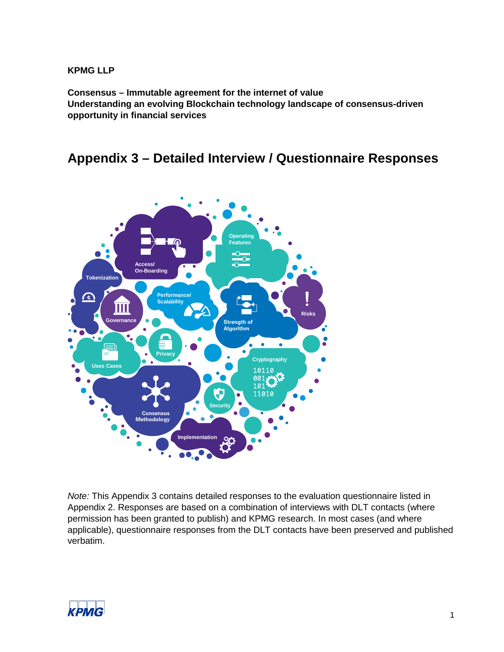#### **KPMG LLP**

**Consensus – Immutable agreement for the internet of value Understanding an evolving Blockchain technology landscape of consensus-driven opportunity in financial services**

## **Appendix 3 – Detailed Interview / Questionnaire Responses**



*Note:* This Appendix 3 contains detailed responses to the evaluation questionnaire listed in Appendix 2. Responses are based on a combination of interviews with DLT contacts (where permission has been granted to publish) and KPMG research. In most cases (and where applicable), questionnaire responses from the DLT contacts have been preserved and published verbatim.

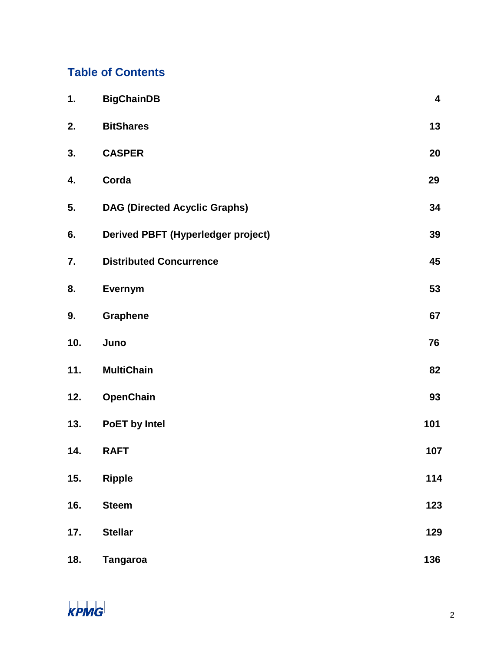## **Table of Contents**

| 1.  | <b>BigChainDB</b>                         | $\overline{\mathbf{4}}$ |
|-----|-------------------------------------------|-------------------------|
| 2.  | <b>BitShares</b>                          | 13                      |
| 3.  | <b>CASPER</b>                             | 20                      |
| 4.  | Corda                                     | 29                      |
| 5.  | <b>DAG (Directed Acyclic Graphs)</b>      | 34                      |
| 6.  | <b>Derived PBFT (Hyperledger project)</b> | 39                      |
| 7.  | <b>Distributed Concurrence</b>            | 45                      |
| 8.  | Evernym                                   | 53                      |
| 9.  | Graphene                                  | 67                      |
| 10. | Juno                                      | 76                      |
| 11. | <b>MultiChain</b>                         | 82                      |
| 12. | OpenChain                                 | 93                      |
| 13. | PoET by Intel                             | 101                     |
| 14. | <b>RAFT</b>                               | 107                     |
| 15. | <b>Ripple</b>                             | 114                     |
| 16. | <b>Steem</b>                              | 123                     |
| 17. | <b>Stellar</b>                            | 129                     |
| 18. | <b>Tangaroa</b>                           | 136                     |

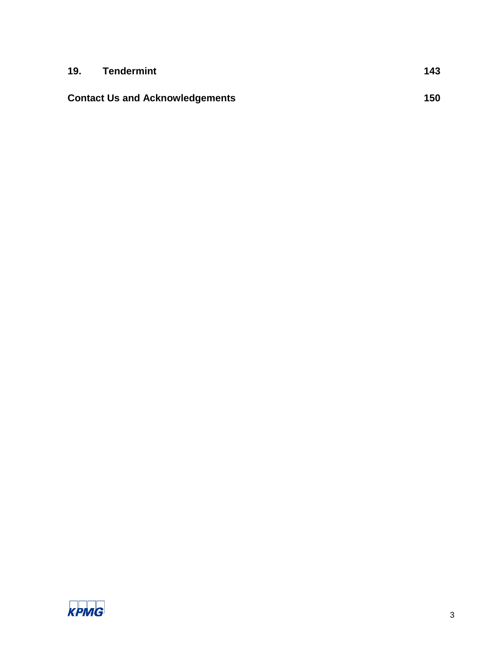| 19. | <b>Tendermint</b>                      | 143 |
|-----|----------------------------------------|-----|
|     | <b>Contact Us and Acknowledgements</b> | 150 |

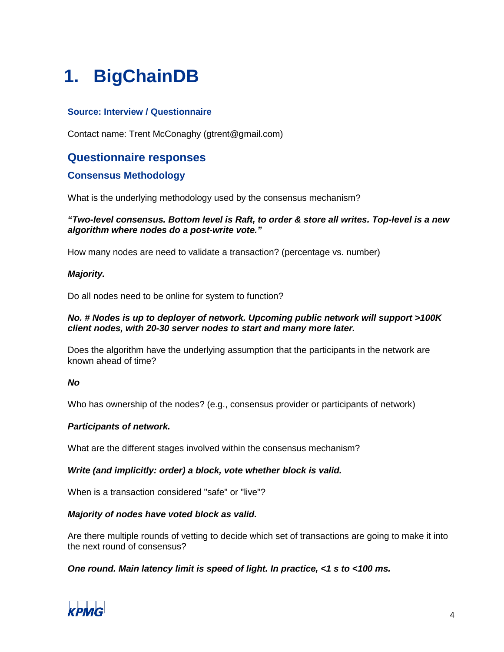# <span id="page-3-0"></span>**1. BigChainDB**

## **Source: Interview / Questionnaire**

Contact name: Trent McConaghy (gtrent@gmail.com)

## **Questionnaire responses**

## **Consensus Methodology**

What is the underlying methodology used by the consensus mechanism?

#### *"Two-level consensus. Bottom level is Raft, to order & store all writes. Top-level is a new algorithm where nodes do a post-write vote."*

How many nodes are need to validate a transaction? (percentage vs. number)

#### *Majority.*

Do all nodes need to be online for system to function?

#### *No. # Nodes is up to deployer of network. Upcoming public network will support >100K client nodes, with 20-30 server nodes to start and many more later.*

Does the algorithm have the underlying assumption that the participants in the network are known ahead of time?

#### *No*

Who has ownership of the nodes? (e.g., consensus provider or participants of network)

#### *Participants of network.*

What are the different stages involved within the consensus mechanism?

#### *Write (and implicitly: order) a block, vote whether block is valid.*

When is a transaction considered "safe" or "live"?

#### *Majority of nodes have voted block as valid.*

Are there multiple rounds of vetting to decide which set of transactions are going to make it into the next round of consensus?

*One round. Main latency limit is speed of light. In practice, <1 s to <100 ms.*

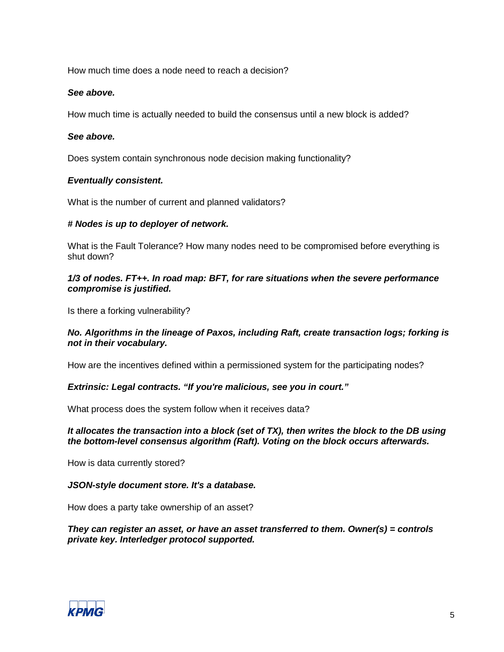How much time does a node need to reach a decision?

#### *See above.*

How much time is actually needed to build the consensus until a new block is added?

#### *See above.*

Does system contain synchronous node decision making functionality?

#### *Eventually consistent.*

What is the number of current and planned validators?

#### *# Nodes is up to deployer of network.*

What is the Fault Tolerance? How many nodes need to be compromised before everything is shut down?

#### *1/3 of nodes. FT++. In road map: BFT, for rare situations when the severe performance compromise is justified.*

Is there a forking vulnerability?

#### *No. Algorithms in the lineage of Paxos, including Raft, create transaction logs; forking is not in their vocabulary.*

How are the incentives defined within a permissioned system for the participating nodes?

#### *Extrinsic: Legal contracts. "If you're malicious, see you in court."*

What process does the system follow when it receives data?

#### *It allocates the transaction into a block (set of TX), then writes the block to the DB using the bottom-level consensus algorithm (Raft). Voting on the block occurs afterwards.*

How is data currently stored?

#### *JSON-style document store. It's a database.*

How does a party take ownership of an asset?

#### *They can register an asset, or have an asset transferred to them. Owner(s) = controls private key. Interledger protocol supported.*

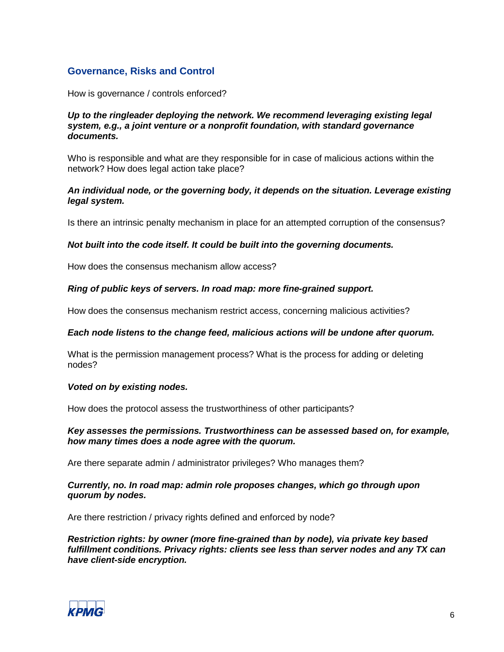## **Governance, Risks and Control**

How is governance / controls enforced?

#### *Up to the ringleader deploying the network. We recommend leveraging existing legal system, e.g., a joint venture or a nonprofit foundation, with standard governance documents.*

Who is responsible and what are they responsible for in case of malicious actions within the network? How does legal action take place?

#### *An individual node, or the governing body, it depends on the situation. Leverage existing legal system.*

Is there an intrinsic penalty mechanism in place for an attempted corruption of the consensus?

#### *Not built into the code itself. It could be built into the governing documents.*

How does the consensus mechanism allow access?

#### *Ring of public keys of servers. In road map: more fine-grained support.*

How does the consensus mechanism restrict access, concerning malicious activities?

#### *Each node listens to the change feed, malicious actions will be undone after quorum.*

What is the permission management process? What is the process for adding or deleting nodes?

#### *Voted on by existing nodes.*

How does the protocol assess the trustworthiness of other participants?

*Key assesses the permissions. Trustworthiness can be assessed based on, for example, how many times does a node agree with the quorum.*

Are there separate admin / administrator privileges? Who manages them?

#### *Currently, no. In road map: admin role proposes changes, which go through upon quorum by nodes.*

Are there restriction / privacy rights defined and enforced by node?

*Restriction rights: by owner (more fine-grained than by node), via private key based fulfillment conditions. Privacy rights: clients see less than server nodes and any TX can have client-side encryption.*

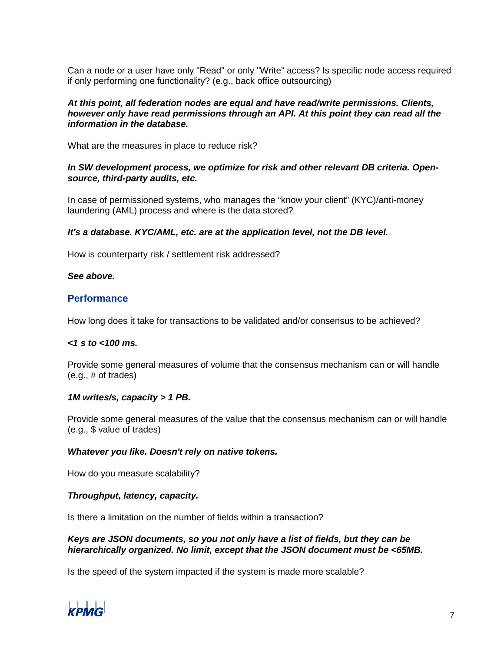Can a node or a user have only "Read" or only "Write" access? Is specific node access required if only performing one functionality? (e.g., back office outsourcing)

#### *At this point, all federation nodes are equal and have read/write permissions. Clients, however only have read permissions through an API. At this point they can read all the information in the database.*

What are the measures in place to reduce risk?

#### *In SW development process, we optimize for risk and other relevant DB criteria. Opensource, third-party audits, etc.*

In case of permissioned systems, who manages the "know your client" (KYC)/anti-money laundering (AML) process and where is the data stored?

#### *It's a database. KYC/AML, etc. are at the application level, not the DB level.*

How is counterparty risk / settlement risk addressed?

#### *See above.*

#### **Performance**

How long does it take for transactions to be validated and/or consensus to be achieved?

#### *<1 s to <100 ms.*

Provide some general measures of volume that the consensus mechanism can or will handle (e.g., # of trades)

#### *1M writes/s, capacity > 1 PB.*

Provide some general measures of the value that the consensus mechanism can or will handle (e.g., \$ value of trades)

#### *Whatever you like. Doesn't rely on native tokens.*

How do you measure scalability?

#### *Throughput, latency, capacity.*

Is there a limitation on the number of fields within a transaction?

#### *Keys are JSON documents, so you not only have a list of fields, but they can be hierarchically organized. No limit, except that the JSON document must be <65MB.*

Is the speed of the system impacted if the system is made more scalable?

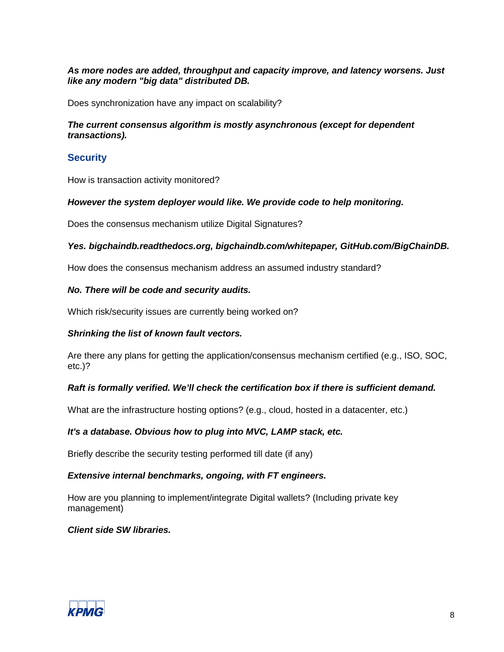#### *As more nodes are added, throughput and capacity improve, and latency worsens. Just like any modern "big data" distributed DB.*

Does synchronization have any impact on scalability?

#### *The current consensus algorithm is mostly asynchronous (except for dependent transactions).*

## **Security**

How is transaction activity monitored?

#### *However the system deployer would like. We provide code to help monitoring.*

Does the consensus mechanism utilize Digital Signatures?

#### *Yes. bigchaindb.readthedocs.org, bigchaindb.com/whitepaper, GitHub.com/BigChainDB.*

How does the consensus mechanism address an assumed industry standard?

#### *No. There will be code and security audits.*

Which risk/security issues are currently being worked on?

#### *Shrinking the list of known fault vectors.*

Are there any plans for getting the application/consensus mechanism certified (e.g., ISO, SOC, etc.)?

#### *Raft is formally verified. We'll check the certification box if there is sufficient demand.*

What are the infrastructure hosting options? (e.g., cloud, hosted in a datacenter, etc.)

#### *It's a database. Obvious how to plug into MVC, LAMP stack, etc.*

Briefly describe the security testing performed till date (if any)

#### *Extensive internal benchmarks, ongoing, with FT engineers.*

How are you planning to implement/integrate Digital wallets? (Including private key management)

#### *Client side SW libraries.*

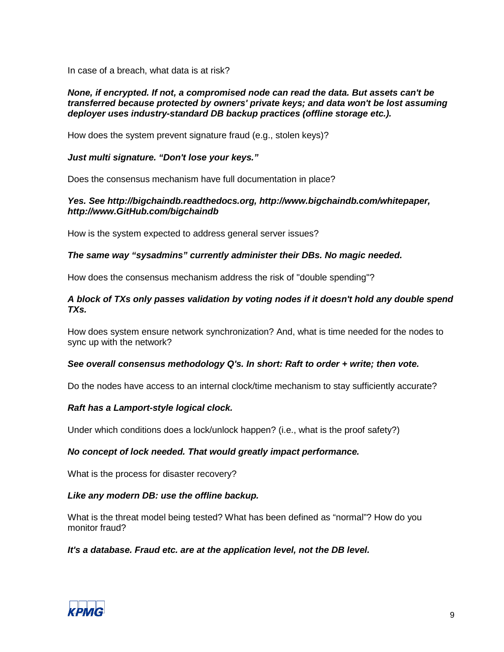In case of a breach, what data is at risk?

#### *None, if encrypted. If not, a compromised node can read the data. But assets can't be transferred because protected by owners' private keys; and data won't be lost assuming deployer uses industry-standard DB backup practices (offline storage etc.).*

How does the system prevent signature fraud (e.g., stolen keys)?

#### *Just multi signature. "Don't lose your keys."*

Does the consensus mechanism have full documentation in place?

#### *Yes. See http://bigchaindb.readthedocs.org, http://www.bigchaindb.com/whitepaper, http://www.GitHub.com/bigchaindb*

How is the system expected to address general server issues?

#### *The same way "sysadmins" currently administer their DBs. No magic needed.*

How does the consensus mechanism address the risk of "double spending"?

#### *A block of TXs only passes validation by voting nodes if it doesn't hold any double spend TXs.*

How does system ensure network synchronization? And, what is time needed for the nodes to sync up with the network?

#### *See overall consensus methodology Q's. In short: Raft to order + write; then vote.*

Do the nodes have access to an internal clock/time mechanism to stay sufficiently accurate?

#### *Raft has a Lamport-style logical clock.*

Under which conditions does a lock/unlock happen? (i.e., what is the proof safety?)

#### *No concept of lock needed. That would greatly impact performance.*

What is the process for disaster recovery?

#### *Like any modern DB: use the offline backup.*

What is the threat model being tested? What has been defined as "normal"? How do you monitor fraud?

#### *It's a database. Fraud etc. are at the application level, not the DB level.*

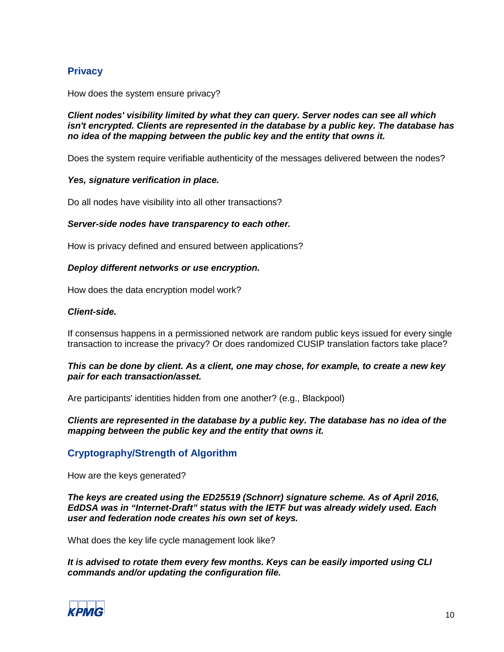## **Privacy**

How does the system ensure privacy?

*Client nodes' visibility limited by what they can query. Server nodes can see all which isn't encrypted. Clients are represented in the database by a public key. The database has no idea of the mapping between the public key and the entity that owns it.*

Does the system require verifiable authenticity of the messages delivered between the nodes?

#### *Yes, signature verification in place.*

Do all nodes have visibility into all other transactions?

#### *Server-side nodes have transparency to each other.*

How is privacy defined and ensured between applications?

#### *Deploy different networks or use encryption.*

How does the data encryption model work?

#### *Client-side.*

If consensus happens in a permissioned network are random public keys issued for every single transaction to increase the privacy? Or does randomized CUSIP translation factors take place?

#### *This can be done by client. As a client, one may chose, for example, to create a new key pair for each transaction/asset.*

Are participants' identities hidden from one another? (e.g., Blackpool)

#### *Clients are represented in the database by a public key. The database has no idea of the mapping between the public key and the entity that owns it.*

## **Cryptography/Strength of Algorithm**

How are the keys generated?

*The keys are created using the ED25519 (Schnorr) signature scheme. As of April 2016, EdDSA was in "Internet-Draft" status with the IETF but was already widely used. Each user and federation node creates his own set of keys.*

What does the key life cycle management look like?

*It is advised to rotate them every few months. Keys can be easily imported using CLI commands and/or updating the configuration file.*

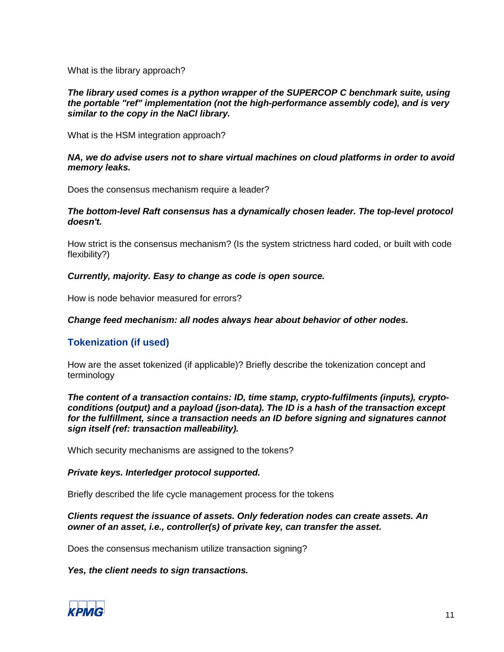What is the library approach?

#### *The library used comes is a python wrapper of the SUPERCOP C benchmark suite, using the portable "ref" implementation (not the high-performance assembly code), and is very similar to the copy in the NaCl library.*

What is the HSM integration approach?

#### *NA, we do advise users not to share virtual machines on cloud platforms in order to avoid memory leaks.*

Does the consensus mechanism require a leader?

#### *The bottom-level Raft consensus has a dynamically chosen leader. The top-level protocol doesn't.*

How strict is the consensus mechanism? (Is the system strictness hard coded, or built with code flexibility?)

#### *Currently, majority. Easy to change as code is open source.*

How is node behavior measured for errors?

#### *Change feed mechanism: all nodes always hear about behavior of other nodes.*

## **Tokenization (if used)**

How are the asset tokenized (if applicable)? Briefly describe the tokenization concept and terminology

*The content of a transaction contains: ID, time stamp, crypto-fulfilments (inputs), cryptoconditions (output) and a payload (json-data). The ID is a hash of the transaction except for the fulfillment, since a transaction needs an ID before signing and signatures cannot sign itself (ref: transaction malleability).*

Which security mechanisms are assigned to the tokens?

#### *Private keys. Interledger protocol supported.*

Briefly described the life cycle management process for the tokens

*Clients request the issuance of assets. Only federation nodes can create assets. An owner of an asset, i.e., controller(s) of private key, can transfer the asset.*

Does the consensus mechanism utilize transaction signing?

#### *Yes, the client needs to sign transactions.*

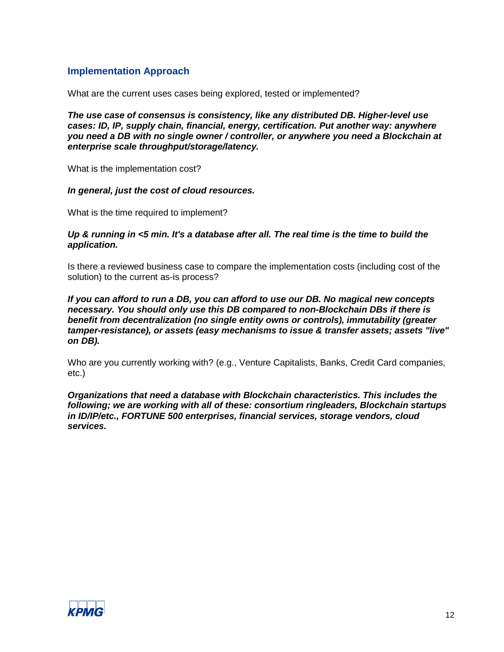## **Implementation Approach**

What are the current uses cases being explored, tested or implemented?

*The use case of consensus is consistency, like any distributed DB. Higher-level use cases: ID, IP, supply chain, financial, energy, certification. Put another way: anywhere you need a DB with no single owner / controller, or anywhere you need a Blockchain at enterprise scale throughput/storage/latency.*

What is the implementation cost?

#### *In general, just the cost of cloud resources.*

What is the time required to implement?

#### *Up & running in <5 min. It's a database after all. The real time is the time to build the application.*

Is there a reviewed business case to compare the implementation costs (including cost of the solution) to the current as-is process?

*If you can afford to run a DB, you can afford to use our DB. No magical new concepts necessary. You should only use this DB compared to non-Blockchain DBs if there is benefit from decentralization (no single entity owns or controls), immutability (greater tamper-resistance), or assets (easy mechanisms to issue & transfer assets; assets "live" on DB).*

Who are you currently working with? (e.g., Venture Capitalists, Banks, Credit Card companies, etc.)

*Organizations that need a database with Blockchain characteristics. This includes the following; we are working with all of these: consortium ringleaders, Blockchain startups in ID/IP/etc., FORTUNE 500 enterprises, financial services, storage vendors, cloud services.*

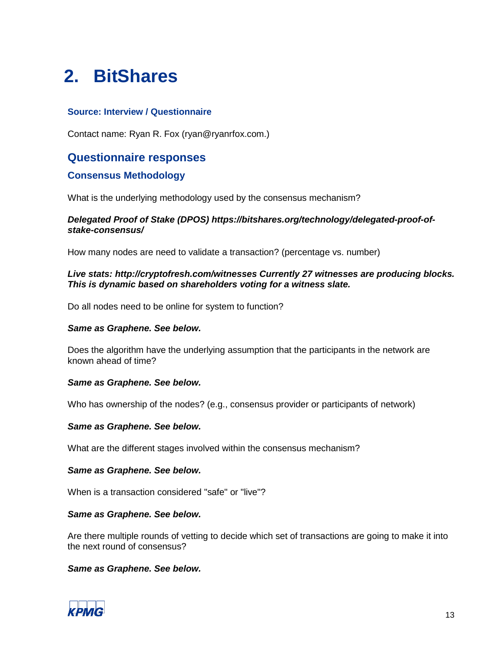## <span id="page-12-0"></span>**2. BitShares**

#### **Source: Interview / Questionnaire**

Contact name: Ryan R. Fox (ryan@ryanrfox.com.)

## **Questionnaire responses**

#### **Consensus Methodology**

What is the underlying methodology used by the consensus mechanism?

#### *Delegated Proof of Stake (DPOS) https://bitshares.org/technology/delegated-proof-ofstake-consensus/*

How many nodes are need to validate a transaction? (percentage vs. number)

#### *Live stats: http://cryptofresh.com/witnesses Currently 27 witnesses are producing blocks. This is dynamic based on shareholders voting for a witness slate.*

Do all nodes need to be online for system to function?

#### *Same as Graphene. See below.*

Does the algorithm have the underlying assumption that the participants in the network are known ahead of time?

#### *Same as Graphene. See below.*

Who has ownership of the nodes? (e.g., consensus provider or participants of network)

#### *Same as Graphene. See below.*

What are the different stages involved within the consensus mechanism?

#### *Same as Graphene. See below.*

When is a transaction considered "safe" or "live"?

#### *Same as Graphene. See below.*

Are there multiple rounds of vetting to decide which set of transactions are going to make it into the next round of consensus?

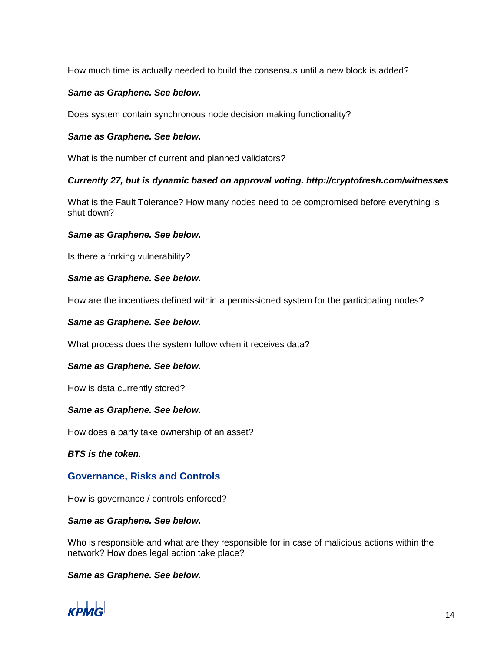How much time is actually needed to build the consensus until a new block is added?

#### *Same as Graphene. See below.*

Does system contain synchronous node decision making functionality?

#### *Same as Graphene. See below.*

What is the number of current and planned validators?

#### *Currently 27, but is dynamic based on approval voting. http://cryptofresh.com/witnesses*

What is the Fault Tolerance? How many nodes need to be compromised before everything is shut down?

#### *Same as Graphene. See below.*

Is there a forking vulnerability?

#### *Same as Graphene. See below.*

How are the incentives defined within a permissioned system for the participating nodes?

#### *Same as Graphene. See below.*

What process does the system follow when it receives data?

#### *Same as Graphene. See below.*

How is data currently stored?

#### *Same as Graphene. See below.*

How does a party take ownership of an asset?

*BTS is the token.*

#### **Governance, Risks and Controls**

How is governance / controls enforced?

#### *Same as Graphene. See below.*

Who is responsible and what are they responsible for in case of malicious actions within the network? How does legal action take place?

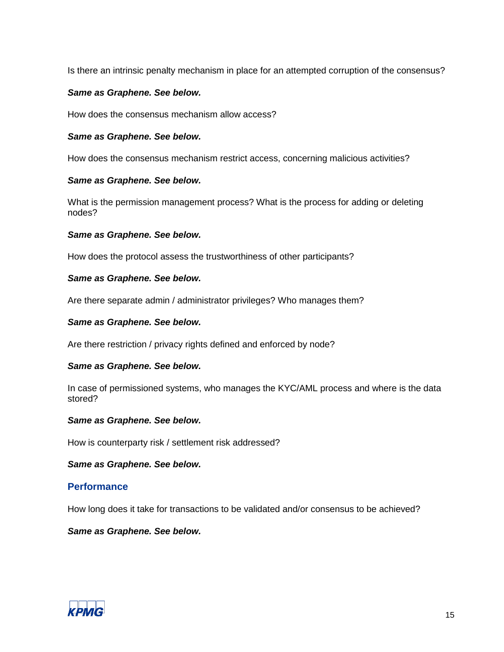Is there an intrinsic penalty mechanism in place for an attempted corruption of the consensus?

#### *Same as Graphene. See below.*

How does the consensus mechanism allow access?

#### *Same as Graphene. See below.*

How does the consensus mechanism restrict access, concerning malicious activities?

#### *Same as Graphene. See below.*

What is the permission management process? What is the process for adding or deleting nodes?

#### *Same as Graphene. See below.*

How does the protocol assess the trustworthiness of other participants?

#### *Same as Graphene. See below.*

Are there separate admin / administrator privileges? Who manages them?

#### *Same as Graphene. See below.*

Are there restriction / privacy rights defined and enforced by node?

#### *Same as Graphene. See below.*

In case of permissioned systems, who manages the KYC/AML process and where is the data stored?

#### *Same as Graphene. See below.*

How is counterparty risk / settlement risk addressed?

*Same as Graphene. See below.*

#### **Performance**

How long does it take for transactions to be validated and/or consensus to be achieved?

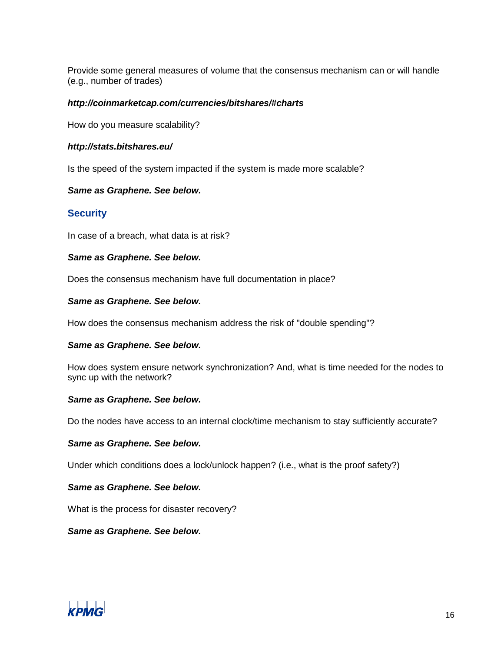Provide some general measures of volume that the consensus mechanism can or will handle (e.g., number of trades)

#### *http://coinmarketcap.com/currencies/bitshares/#charts*

How do you measure scalability?

#### *http://stats.bitshares.eu/*

Is the speed of the system impacted if the system is made more scalable?

#### *Same as Graphene. See below.*

#### **Security**

In case of a breach, what data is at risk?

#### *Same as Graphene. See below.*

Does the consensus mechanism have full documentation in place?

#### *Same as Graphene. See below.*

How does the consensus mechanism address the risk of "double spending"?

#### *Same as Graphene. See below.*

How does system ensure network synchronization? And, what is time needed for the nodes to sync up with the network?

#### *Same as Graphene. See below.*

Do the nodes have access to an internal clock/time mechanism to stay sufficiently accurate?

#### *Same as Graphene. See below.*

Under which conditions does a lock/unlock happen? (i.e., what is the proof safety?)

#### *Same as Graphene. See below.*

What is the process for disaster recovery?

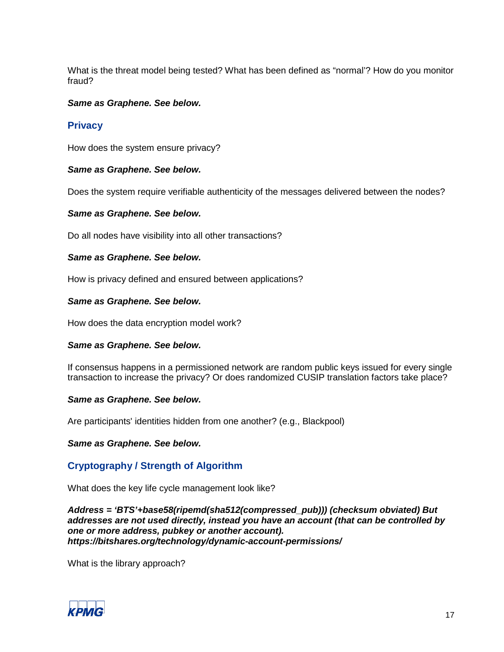What is the threat model being tested? What has been defined as "normal'? How do you monitor fraud?

#### *Same as Graphene. See below.*

#### **Privacy**

How does the system ensure privacy?

#### *Same as Graphene. See below.*

Does the system require verifiable authenticity of the messages delivered between the nodes?

#### *Same as Graphene. See below.*

Do all nodes have visibility into all other transactions?

#### *Same as Graphene. See below.*

How is privacy defined and ensured between applications?

#### *Same as Graphene. See below.*

How does the data encryption model work?

#### *Same as Graphene. See below.*

If consensus happens in a permissioned network are random public keys issued for every single transaction to increase the privacy? Or does randomized CUSIP translation factors take place?

#### *Same as Graphene. See below.*

Are participants' identities hidden from one another? (e.g., Blackpool)

*Same as Graphene. See below.*

## **Cryptography / Strength of Algorithm**

What does the key life cycle management look like?

*Address = 'BTS'+base58(ripemd(sha512(compressed\_pub))) (checksum obviated) But addresses are not used directly, instead you have an account (that can be controlled by one or more address, pubkey or another account). https://bitshares.org/technology/dynamic-account-permissions/*

What is the library approach?

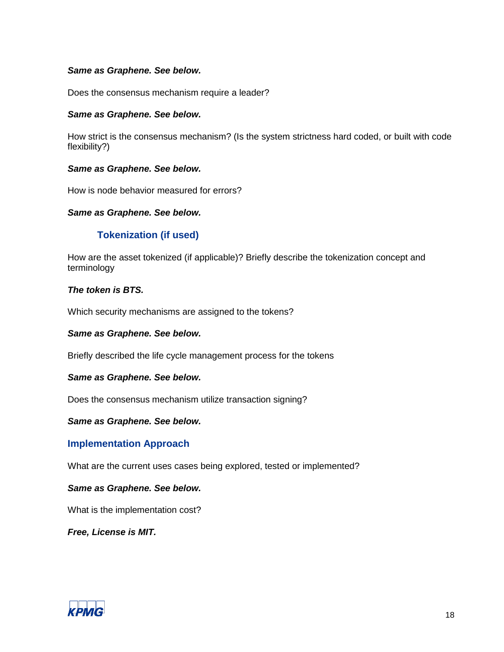#### *Same as Graphene. See below.*

Does the consensus mechanism require a leader?

#### *Same as Graphene. See below.*

How strict is the consensus mechanism? (Is the system strictness hard coded, or built with code flexibility?)

#### *Same as Graphene. See below.*

How is node behavior measured for errors?

#### *Same as Graphene. See below.*

## **Tokenization (if used)**

How are the asset tokenized (if applicable)? Briefly describe the tokenization concept and terminology

#### *The token is BTS.*

Which security mechanisms are assigned to the tokens?

#### *Same as Graphene. See below.*

Briefly described the life cycle management process for the tokens

#### *Same as Graphene. See below.*

Does the consensus mechanism utilize transaction signing?

#### *Same as Graphene. See below.*

#### **Implementation Approach**

What are the current uses cases being explored, tested or implemented?

#### *Same as Graphene. See below.*

What is the implementation cost?

*Free, License is MIT.*

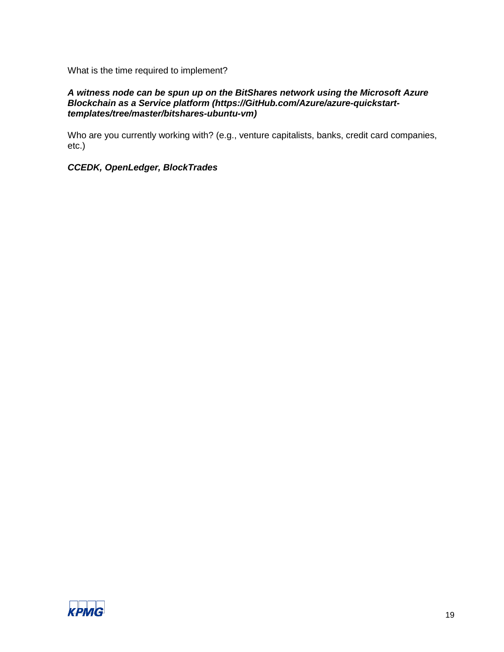What is the time required to implement?

#### *A witness node can be spun up on the BitShares network using the Microsoft Azure Blockchain as a Service platform (https://GitHub.com/Azure/azure-quickstarttemplates/tree/master/bitshares-ubuntu-vm)*

Who are you currently working with? (e.g., venture capitalists, banks, credit card companies, etc.)

## *CCEDK, OpenLedger, BlockTrades*

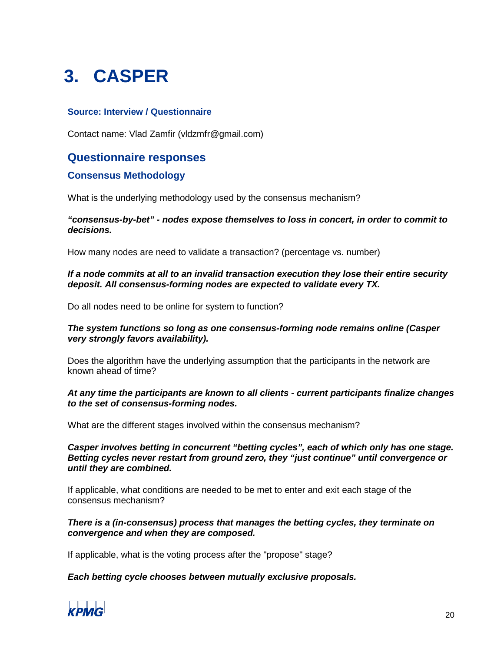# <span id="page-19-0"></span>**3. CASPER**

### **Source: Interview / Questionnaire**

Contact name: Vlad Zamfir (vldzmfr@gmail.com)

## **Questionnaire responses**

## **Consensus Methodology**

What is the underlying methodology used by the consensus mechanism?

#### *"consensus-by-bet" - nodes expose themselves to loss in concert, in order to commit to decisions.*

How many nodes are need to validate a transaction? (percentage vs. number)

#### *If a node commits at all to an invalid transaction execution they lose their entire security deposit. All consensus-forming nodes are expected to validate every TX.*

Do all nodes need to be online for system to function?

#### *The system functions so long as one consensus-forming node remains online (Casper very strongly favors availability).*

Does the algorithm have the underlying assumption that the participants in the network are known ahead of time?

#### *At any time the participants are known to all clients - current participants finalize changes to the set of consensus-forming nodes.*

What are the different stages involved within the consensus mechanism?

*Casper involves betting in concurrent "betting cycles", each of which only has one stage. Betting cycles never restart from ground zero, they "just continue" until convergence or until they are combined.*

If applicable, what conditions are needed to be met to enter and exit each stage of the consensus mechanism?

#### *There is a (in-consensus) process that manages the betting cycles, they terminate on convergence and when they are composed.*

If applicable, what is the voting process after the "propose" stage?

#### *Each betting cycle chooses between mutually exclusive proposals.*

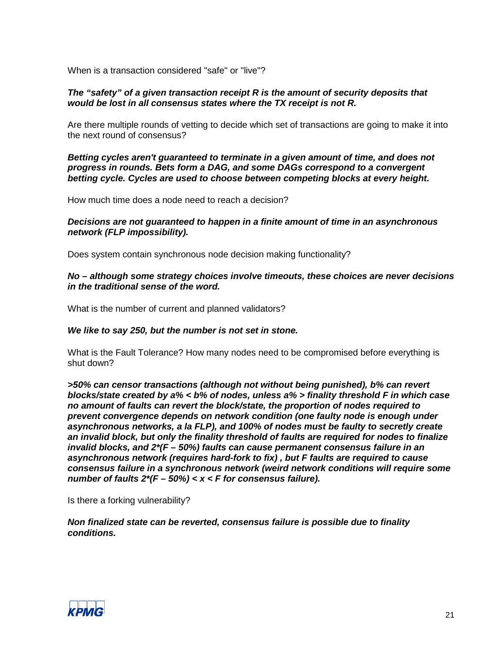When is a transaction considered "safe" or "live"?

#### *The "safety" of a given transaction receipt R is the amount of security deposits that would be lost in all consensus states where the TX receipt is not R.*

Are there multiple rounds of vetting to decide which set of transactions are going to make it into the next round of consensus?

*Betting cycles aren't guaranteed to terminate in a given amount of time, and does not progress in rounds. Bets form a DAG, and some DAGs correspond to a convergent betting cycle. Cycles are used to choose between competing blocks at every height.*

How much time does a node need to reach a decision?

#### *Decisions are not guaranteed to happen in a finite amount of time in an asynchronous network (FLP impossibility).*

Does system contain synchronous node decision making functionality?

#### *No – although some strategy choices involve timeouts, these choices are never decisions in the traditional sense of the word.*

What is the number of current and planned validators?

#### *We like to say 250, but the number is not set in stone.*

What is the Fault Tolerance? How many nodes need to be compromised before everything is shut down?

*>50% can censor transactions (although not without being punished), b% can revert blocks/state created by a% < b% of nodes, unless a% > finality threshold F in which case no amount of faults can revert the block/state, the proportion of nodes required to prevent convergence depends on network condition (one faulty node is enough under asynchronous networks, a la FLP), and 100% of nodes must be faulty to secretly create an invalid block, but only the finality threshold of faults are required for nodes to finalize invalid blocks, and 2\*(F – 50%) faults can cause permanent consensus failure in an asynchronous network (requires hard-fork to fix) , but F faults are required to cause consensus failure in a synchronous network (weird network conditions will require some number of faults 2\*(F – 50%) < x < F for consensus failure).*

Is there a forking vulnerability?

*Non finalized state can be reverted, consensus failure is possible due to finality conditions.*

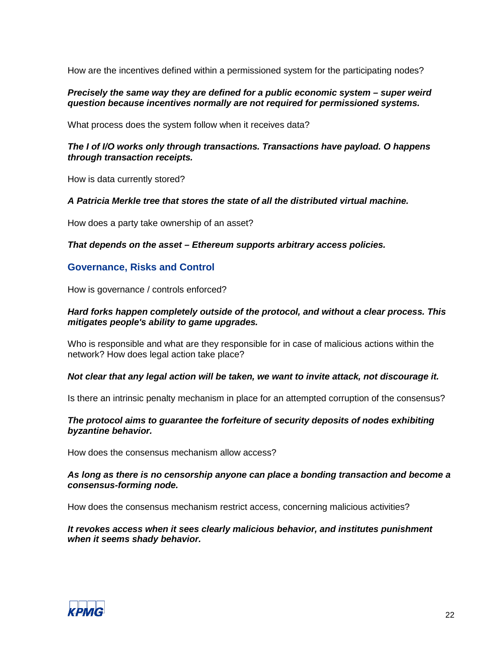How are the incentives defined within a permissioned system for the participating nodes?

#### *Precisely the same way they are defined for a public economic system – super weird question because incentives normally are not required for permissioned systems.*

What process does the system follow when it receives data?

#### *The I of I/O works only through transactions. Transactions have payload. O happens through transaction receipts.*

How is data currently stored?

#### *A Patricia Merkle tree that stores the state of all the distributed virtual machine.*

How does a party take ownership of an asset?

*That depends on the asset – Ethereum supports arbitrary access policies.*

#### **Governance, Risks and Control**

How is governance / controls enforced?

#### *Hard forks happen completely outside of the protocol, and without a clear process. This mitigates people's ability to game upgrades.*

Who is responsible and what are they responsible for in case of malicious actions within the network? How does legal action take place?

#### *Not clear that any legal action will be taken, we want to invite attack, not discourage it.*

Is there an intrinsic penalty mechanism in place for an attempted corruption of the consensus?

#### *The protocol aims to guarantee the forfeiture of security deposits of nodes exhibiting byzantine behavior.*

How does the consensus mechanism allow access?

#### *As long as there is no censorship anyone can place a bonding transaction and become a consensus-forming node.*

How does the consensus mechanism restrict access, concerning malicious activities?

*It revokes access when it sees clearly malicious behavior, and institutes punishment when it seems shady behavior.*

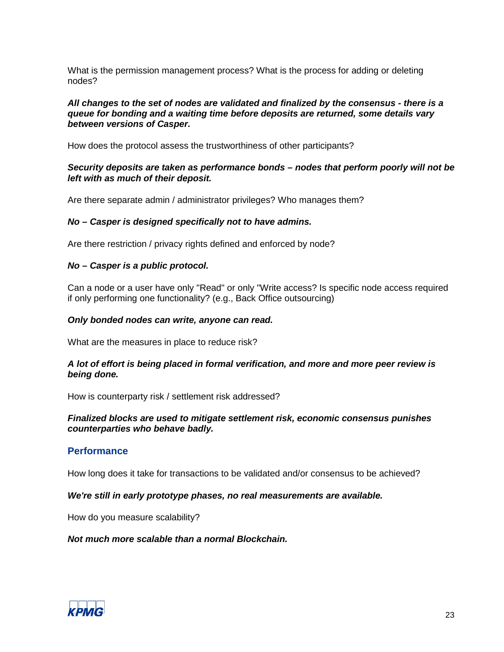What is the permission management process? What is the process for adding or deleting nodes?

#### *All changes to the set of nodes are validated and finalized by the consensus - there is a queue for bonding and a waiting time before deposits are returned, some details vary between versions of Casper.*

How does the protocol assess the trustworthiness of other participants?

#### *Security deposits are taken as performance bonds – nodes that perform poorly will not be left with as much of their deposit.*

Are there separate admin / administrator privileges? Who manages them?

#### *No – Casper is designed specifically not to have admins.*

Are there restriction / privacy rights defined and enforced by node?

#### *No – Casper is a public protocol.*

Can a node or a user have only "Read" or only "Write access? Is specific node access required if only performing one functionality? (e.g., Back Office outsourcing)

#### *Only bonded nodes can write, anyone can read.*

What are the measures in place to reduce risk?

#### *A lot of effort is being placed in formal verification, and more and more peer review is being done.*

How is counterparty risk / settlement risk addressed?

#### *Finalized blocks are used to mitigate settlement risk, economic consensus punishes counterparties who behave badly.*

#### **Performance**

How long does it take for transactions to be validated and/or consensus to be achieved?

#### *We're still in early prototype phases, no real measurements are available.*

How do you measure scalability?

*Not much more scalable than a normal Blockchain.*

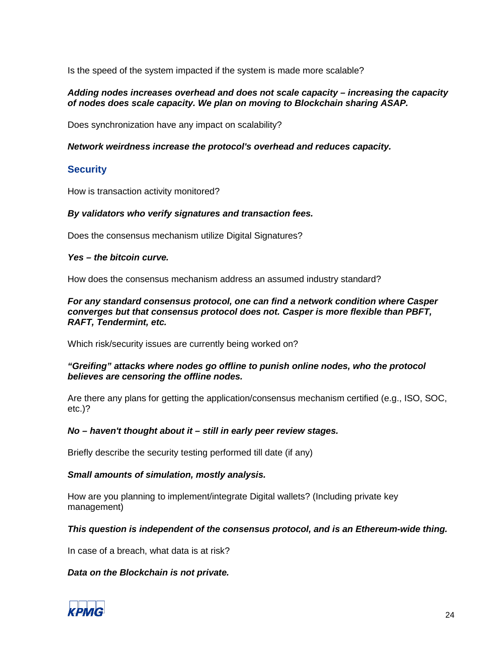Is the speed of the system impacted if the system is made more scalable?

#### *Adding nodes increases overhead and does not scale capacity – increasing the capacity of nodes does scale capacity. We plan on moving to Blockchain sharing ASAP.*

Does synchronization have any impact on scalability?

#### *Network weirdness increase the protocol's overhead and reduces capacity.*

## **Security**

How is transaction activity monitored?

#### *By validators who verify signatures and transaction fees.*

Does the consensus mechanism utilize Digital Signatures?

#### *Yes – the bitcoin curve.*

How does the consensus mechanism address an assumed industry standard?

*For any standard consensus protocol, one can find a network condition where Casper converges but that consensus protocol does not. Casper is more flexible than PBFT, RAFT, Tendermint, etc.*

Which risk/security issues are currently being worked on?

#### *"Greifing" attacks where nodes go offline to punish online nodes, who the protocol believes are censoring the offline nodes.*

Are there any plans for getting the application/consensus mechanism certified (e.g., ISO, SOC, etc.)?

#### *No – haven't thought about it – still in early peer review stages.*

Briefly describe the security testing performed till date (if any)

#### *Small amounts of simulation, mostly analysis.*

How are you planning to implement/integrate Digital wallets? (Including private key management)

#### *This question is independent of the consensus protocol, and is an Ethereum-wide thing.*

In case of a breach, what data is at risk?

#### *Data on the Blockchain is not private.*

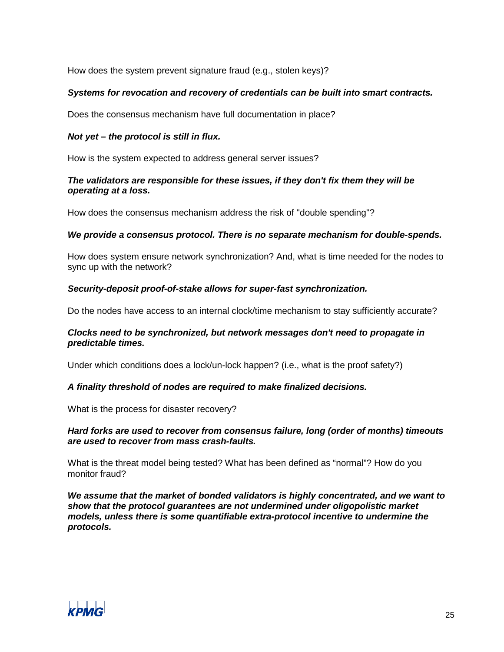How does the system prevent signature fraud (e.g., stolen keys)?

#### *Systems for revocation and recovery of credentials can be built into smart contracts.*

Does the consensus mechanism have full documentation in place?

#### *Not yet – the protocol is still in flux.*

How is the system expected to address general server issues?

#### *The validators are responsible for these issues, if they don't fix them they will be operating at a loss.*

How does the consensus mechanism address the risk of "double spending"?

#### *We provide a consensus protocol. There is no separate mechanism for double-spends.*

How does system ensure network synchronization? And, what is time needed for the nodes to sync up with the network?

#### *Security-deposit proof-of-stake allows for super-fast synchronization.*

Do the nodes have access to an internal clock/time mechanism to stay sufficiently accurate?

#### *Clocks need to be synchronized, but network messages don't need to propagate in predictable times.*

Under which conditions does a lock/un-lock happen? (i.e., what is the proof safety?)

#### *A finality threshold of nodes are required to make finalized decisions.*

What is the process for disaster recovery?

#### *Hard forks are used to recover from consensus failure, long (order of months) timeouts are used to recover from mass crash-faults.*

What is the threat model being tested? What has been defined as "normal"? How do you monitor fraud?

*We assume that the market of bonded validators is highly concentrated, and we want to show that the protocol guarantees are not undermined under oligopolistic market models, unless there is some quantifiable extra-protocol incentive to undermine the protocols.*

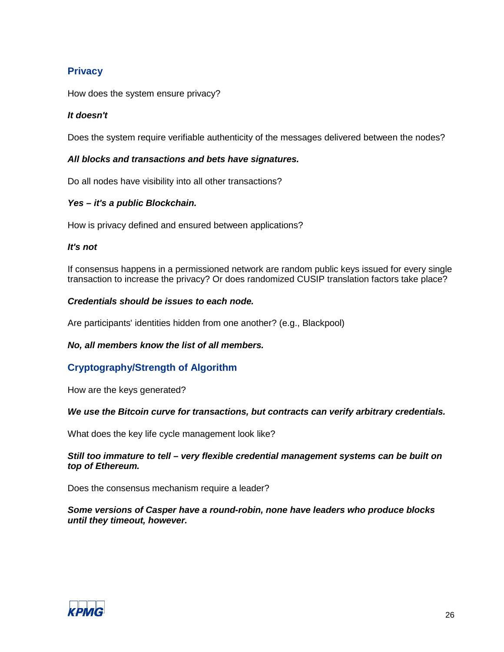## **Privacy**

How does the system ensure privacy?

#### *It doesn't*

Does the system require verifiable authenticity of the messages delivered between the nodes?

#### *All blocks and transactions and bets have signatures.*

Do all nodes have visibility into all other transactions?

#### *Yes – it's a public Blockchain.*

How is privacy defined and ensured between applications?

#### *It's not*

If consensus happens in a permissioned network are random public keys issued for every single transaction to increase the privacy? Or does randomized CUSIP translation factors take place?

#### *Credentials should be issues to each node.*

Are participants' identities hidden from one another? (e.g., Blackpool)

#### *No, all members know the list of all members.*

## **Cryptography/Strength of Algorithm**

How are the keys generated?

#### *We use the Bitcoin curve for transactions, but contracts can verify arbitrary credentials.*

What does the key life cycle management look like?

#### *Still too immature to tell – very flexible credential management systems can be built on top of Ethereum.*

Does the consensus mechanism require a leader?

#### *Some versions of Casper have a round-robin, none have leaders who produce blocks until they timeout, however.*

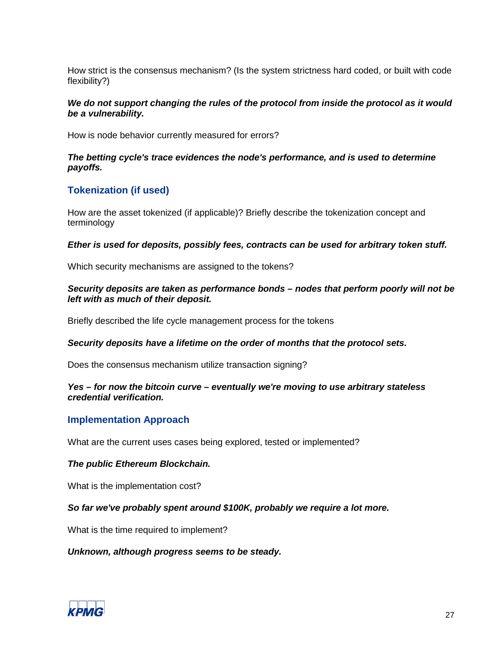How strict is the consensus mechanism? (Is the system strictness hard coded, or built with code flexibility?)

#### *We do not support changing the rules of the protocol from inside the protocol as it would be a vulnerability.*

How is node behavior currently measured for errors?

#### *The betting cycle's trace evidences the node's performance, and is used to determine payoffs.*

## **Tokenization (if used)**

How are the asset tokenized (if applicable)? Briefly describe the tokenization concept and terminology

#### *Ether is used for deposits, possibly fees, contracts can be used for arbitrary token stuff.*

Which security mechanisms are assigned to the tokens?

#### *Security deposits are taken as performance bonds – nodes that perform poorly will not be left with as much of their deposit.*

Briefly described the life cycle management process for the tokens

#### *Security deposits have a lifetime on the order of months that the protocol sets.*

Does the consensus mechanism utilize transaction signing?

#### *Yes – for now the bitcoin curve – eventually we're moving to use arbitrary stateless credential verification.*

## **Implementation Approach**

What are the current uses cases being explored, tested or implemented?

#### *The public Ethereum Blockchain.*

What is the implementation cost?

#### *So far we've probably spent around \$100K, probably we require a lot more.*

What is the time required to implement?

#### *Unknown, although progress seems to be steady.*

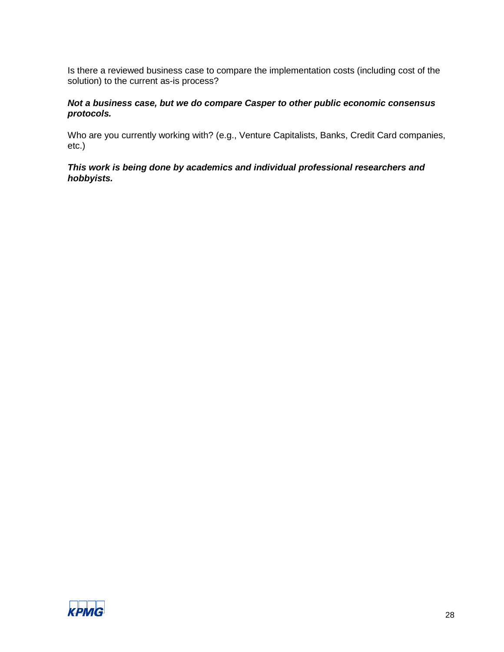Is there a reviewed business case to compare the implementation costs (including cost of the solution) to the current as-is process?

#### *Not a business case, but we do compare Casper to other public economic consensus protocols.*

Who are you currently working with? (e.g., Venture Capitalists, Banks, Credit Card companies, etc.)

*This work is being done by academics and individual professional researchers and hobbyists.*

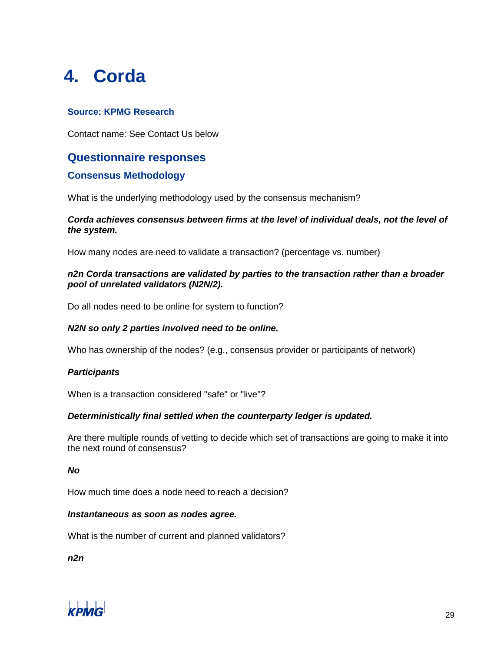## <span id="page-28-0"></span>**4. Corda**

## **Source: KPMG Research**

Contact name: See Contact Us below

## **Questionnaire responses**

## **Consensus Methodology**

What is the underlying methodology used by the consensus mechanism?

#### *Corda achieves consensus between firms at the level of individual deals, not the level of the system.*

How many nodes are need to validate a transaction? (percentage vs. number)

#### *n2n Corda transactions are validated by parties to the transaction rather than a broader pool of unrelated validators (N2N/2).*

Do all nodes need to be online for system to function?

#### *N2N so only 2 parties involved need to be online.*

Who has ownership of the nodes? (e.g., consensus provider or participants of network)

#### *Participants*

When is a transaction considered "safe" or "live"?

#### *Deterministically final settled when the counterparty ledger is updated.*

Are there multiple rounds of vetting to decide which set of transactions are going to make it into the next round of consensus?

#### *No*

How much time does a node need to reach a decision?

#### *Instantaneous as soon as nodes agree.*

What is the number of current and planned validators?

*n2n*

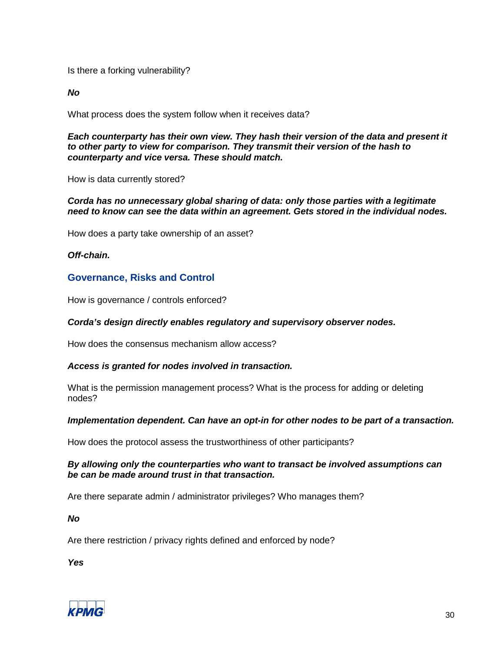Is there a forking vulnerability?

*No*

What process does the system follow when it receives data?

*Each counterparty has their own view. They hash their version of the data and present it to other party to view for comparison. They transmit their version of the hash to counterparty and vice versa. These should match.*

How is data currently stored?

#### *Corda has no unnecessary global sharing of data: only those parties with a legitimate need to know can see the data within an agreement. Gets stored in the individual nodes.*

How does a party take ownership of an asset?

*Off-chain.*

#### **Governance, Risks and Control**

How is governance / controls enforced?

#### *Corda's design directly enables regulatory and supervisory observer nodes.*

How does the consensus mechanism allow access?

#### *Access is granted for nodes involved in transaction.*

What is the permission management process? What is the process for adding or deleting nodes?

#### *Implementation dependent. Can have an opt-in for other nodes to be part of a transaction.*

How does the protocol assess the trustworthiness of other participants?

#### *By allowing only the counterparties who want to transact be involved assumptions can be can be made around trust in that transaction.*

Are there separate admin / administrator privileges? Who manages them?

*No*

Are there restriction / privacy rights defined and enforced by node?

*Yes*

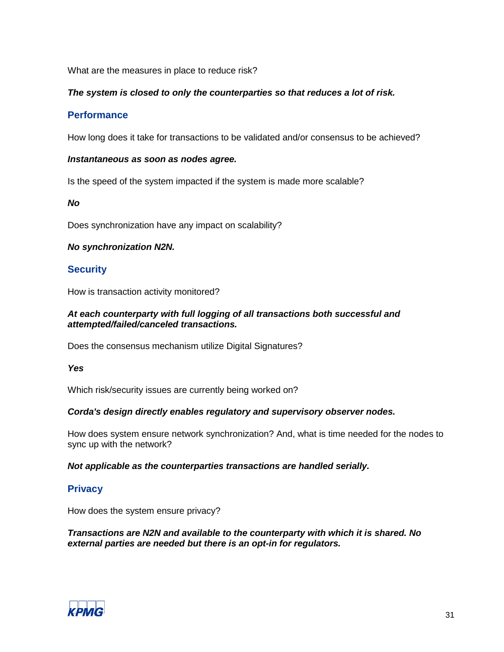What are the measures in place to reduce risk?

#### *The system is closed to only the counterparties so that reduces a lot of risk.*

## **Performance**

How long does it take for transactions to be validated and/or consensus to be achieved?

#### *Instantaneous as soon as nodes agree.*

Is the speed of the system impacted if the system is made more scalable?

#### *No*

Does synchronization have any impact on scalability?

#### *No synchronization N2N.*

#### **Security**

How is transaction activity monitored?

#### *At each counterparty with full logging of all transactions both successful and attempted/failed/canceled transactions.*

Does the consensus mechanism utilize Digital Signatures?

*Yes*

Which risk/security issues are currently being worked on?

#### *Corda's design directly enables regulatory and supervisory observer nodes.*

How does system ensure network synchronization? And, what is time needed for the nodes to sync up with the network?

*Not applicable as the counterparties transactions are handled serially.*

## **Privacy**

How does the system ensure privacy?

*Transactions are N2N and available to the counterparty with which it is shared. No external parties are needed but there is an opt-in for regulators.*

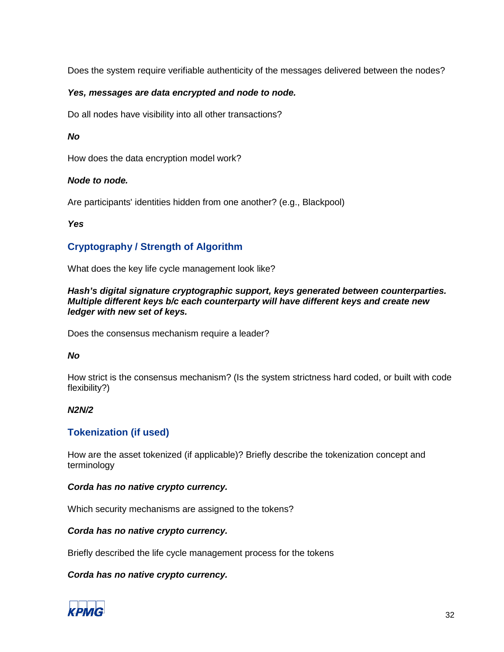Does the system require verifiable authenticity of the messages delivered between the nodes?

#### *Yes, messages are data encrypted and node to node.*

Do all nodes have visibility into all other transactions?

#### *No*

How does the data encryption model work?

#### *Node to node.*

Are participants' identities hidden from one another? (e.g., Blackpool)

#### *Yes*

## **Cryptography / Strength of Algorithm**

What does the key life cycle management look like?

#### *Hash's digital signature cryptographic support, keys generated between counterparties. Multiple different keys b/c each counterparty will have different keys and create new ledger with new set of keys.*

Does the consensus mechanism require a leader?

#### *No*

How strict is the consensus mechanism? (Is the system strictness hard coded, or built with code flexibility?)

#### *N2N/2*

#### **Tokenization (if used)**

How are the asset tokenized (if applicable)? Briefly describe the tokenization concept and terminology

#### *Corda has no native crypto currency.*

Which security mechanisms are assigned to the tokens?

#### *Corda has no native crypto currency.*

Briefly described the life cycle management process for the tokens

#### *Corda has no native crypto currency.*

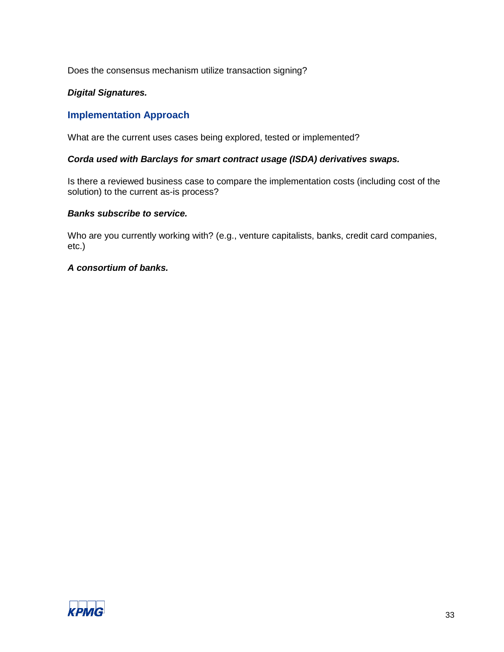Does the consensus mechanism utilize transaction signing?

### *Digital Signatures.*

## **Implementation Approach**

What are the current uses cases being explored, tested or implemented?

#### *Corda used with Barclays for smart contract usage (ISDA) derivatives swaps.*

Is there a reviewed business case to compare the implementation costs (including cost of the solution) to the current as-is process?

#### *Banks subscribe to service.*

Who are you currently working with? (e.g., venture capitalists, banks, credit card companies, etc.)

#### *A consortium of banks.*

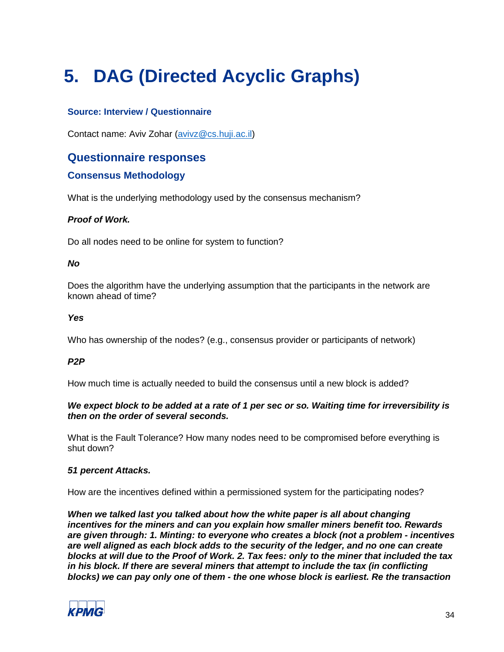# <span id="page-33-0"></span>**5. DAG (Directed Acyclic Graphs)**

## **Source: Interview / Questionnaire**

Contact name: Aviv Zohar [\(avivz@cs.huji.ac.il\)](mailto:avivz@cs.huji.ac.il)

## **Questionnaire responses**

## **Consensus Methodology**

What is the underlying methodology used by the consensus mechanism?

#### *Proof of Work.*

Do all nodes need to be online for system to function?

#### *No*

Does the algorithm have the underlying assumption that the participants in the network are known ahead of time?

#### *Yes*

Who has ownership of the nodes? (e.g., consensus provider or participants of network)

## *P2P*

How much time is actually needed to build the consensus until a new block is added?

#### *We expect block to be added at a rate of 1 per sec or so. Waiting time for irreversibility is then on the order of several seconds.*

What is the Fault Tolerance? How many nodes need to be compromised before everything is shut down?

#### *51 percent Attacks.*

How are the incentives defined within a permissioned system for the participating nodes?

*When we talked last you talked about how the white paper is all about changing incentives for the miners and can you explain how smaller miners benefit too. Rewards are given through: 1. Minting: to everyone who creates a block (not a problem - incentives are well aligned as each block adds to the security of the ledger, and no one can create blocks at will due to the Proof of Work. 2. Tax fees: only to the miner that included the tax in his block. If there are several miners that attempt to include the tax (in conflicting blocks) we can pay only one of them - the one whose block is earliest. Re the transaction* 

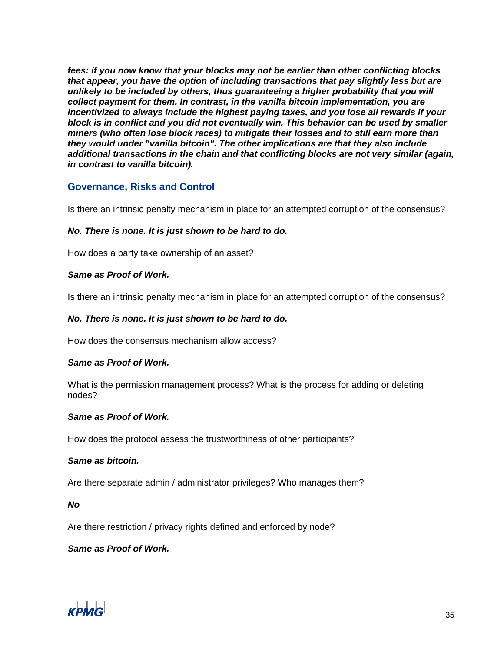*fees: if you now know that your blocks may not be earlier than other conflicting blocks that appear, you have the option of including transactions that pay slightly less but are unlikely to be included by others, thus guaranteeing a higher probability that you will collect payment for them. In contrast, in the vanilla bitcoin implementation, you are incentivized to always include the highest paying taxes, and you lose all rewards if your block is in conflict and you did not eventually win. This behavior can be used by smaller miners (who often lose block races) to mitigate their losses and to still earn more than they would under "vanilla bitcoin". The other implications are that they also include additional transactions in the chain and that conflicting blocks are not very similar (again, in contrast to vanilla bitcoin).*

## **Governance, Risks and Control**

Is there an intrinsic penalty mechanism in place for an attempted corruption of the consensus?

#### *No. There is none. It is just shown to be hard to do.*

How does a party take ownership of an asset?

#### *Same as Proof of Work.*

Is there an intrinsic penalty mechanism in place for an attempted corruption of the consensus?

#### *No. There is none. It is just shown to be hard to do.*

How does the consensus mechanism allow access?

#### *Same as Proof of Work.*

What is the permission management process? What is the process for adding or deleting nodes?

#### *Same as Proof of Work.*

How does the protocol assess the trustworthiness of other participants?

#### *Same as bitcoin.*

Are there separate admin / administrator privileges? Who manages them?

#### *No*

Are there restriction / privacy rights defined and enforced by node?

#### *Same as Proof of Work.*

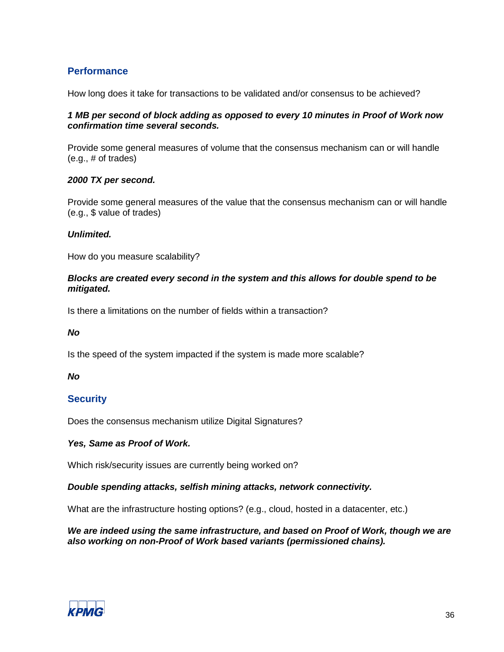## **Performance**

How long does it take for transactions to be validated and/or consensus to be achieved?

#### *1 MB per second of block adding as opposed to every 10 minutes in Proof of Work now confirmation time several seconds.*

Provide some general measures of volume that the consensus mechanism can or will handle (e.g., # of trades)

#### *2000 TX per second.*

Provide some general measures of the value that the consensus mechanism can or will handle (e.g., \$ value of trades)

#### *Unlimited.*

How do you measure scalability?

#### *Blocks are created every second in the system and this allows for double spend to be mitigated.*

Is there a limitations on the number of fields within a transaction?

#### *No*

Is the speed of the system impacted if the system is made more scalable?

#### *No*

## **Security**

Does the consensus mechanism utilize Digital Signatures?

#### *Yes, Same as Proof of Work.*

Which risk/security issues are currently being worked on?

#### *Double spending attacks, selfish mining attacks, network connectivity.*

What are the infrastructure hosting options? (e.g., cloud, hosted in a datacenter, etc.)

*We are indeed using the same infrastructure, and based on Proof of Work, though we are also working on non-Proof of Work based variants (permissioned chains).*

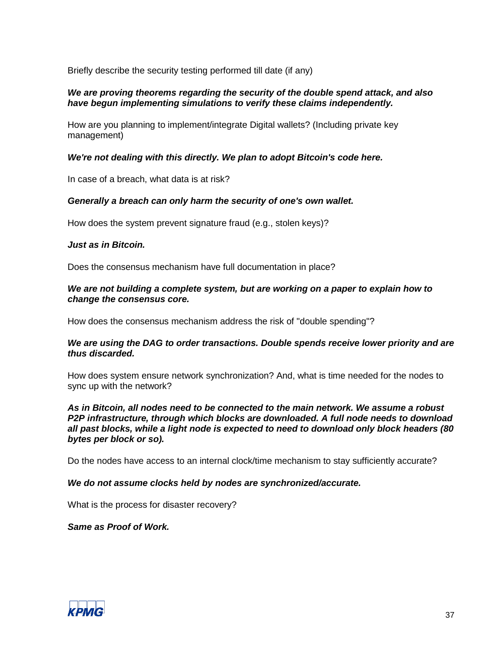Briefly describe the security testing performed till date (if any)

#### *We are proving theorems regarding the security of the double spend attack, and also have begun implementing simulations to verify these claims independently.*

How are you planning to implement/integrate Digital wallets? (Including private key management)

#### *We're not dealing with this directly. We plan to adopt Bitcoin's code here.*

In case of a breach, what data is at risk?

#### *Generally a breach can only harm the security of one's own wallet.*

How does the system prevent signature fraud (e.g., stolen keys)?

#### *Just as in Bitcoin.*

Does the consensus mechanism have full documentation in place?

#### *We are not building a complete system, but are working on a paper to explain how to change the consensus core.*

How does the consensus mechanism address the risk of "double spending"?

#### *We are using the DAG to order transactions. Double spends receive lower priority and are thus discarded.*

How does system ensure network synchronization? And, what is time needed for the nodes to sync up with the network?

#### *As in Bitcoin, all nodes need to be connected to the main network. We assume a robust P2P infrastructure, through which blocks are downloaded. A full node needs to download all past blocks, while a light node is expected to need to download only block headers (80 bytes per block or so).*

Do the nodes have access to an internal clock/time mechanism to stay sufficiently accurate?

#### *We do not assume clocks held by nodes are synchronized/accurate.*

What is the process for disaster recovery?

#### *Same as Proof of Work.*

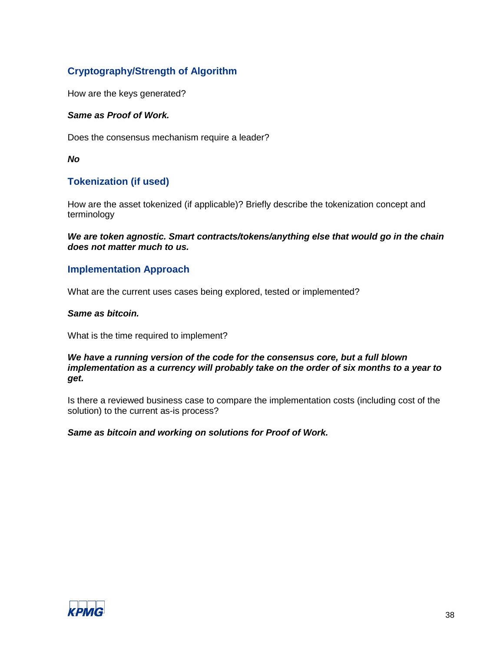# **Cryptography/Strength of Algorithm**

How are the keys generated?

# *Same as Proof of Work.*

Does the consensus mechanism require a leader?

*No*

# **Tokenization (if used)**

How are the asset tokenized (if applicable)? Briefly describe the tokenization concept and terminology

*We are token agnostic. Smart contracts/tokens/anything else that would go in the chain does not matter much to us.*

# **Implementation Approach**

What are the current uses cases being explored, tested or implemented?

#### *Same as bitcoin.*

What is the time required to implement?

#### *We have a running version of the code for the consensus core, but a full blown implementation as a currency will probably take on the order of six months to a year to get.*

Is there a reviewed business case to compare the implementation costs (including cost of the solution) to the current as-is process?

# *Same as bitcoin and working on solutions for Proof of Work.*

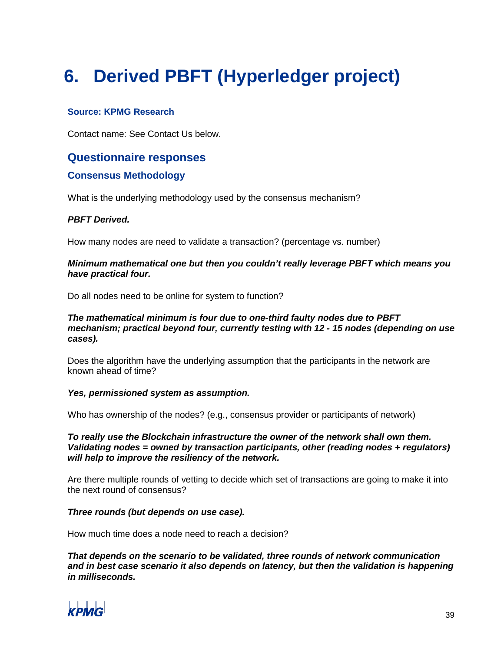# **6. Derived PBFT (Hyperledger project)**

# **Source: KPMG Research**

Contact name: See Contact Us below.

# **Questionnaire responses**

# **Consensus Methodology**

What is the underlying methodology used by the consensus mechanism?

# *PBFT Derived.*

How many nodes are need to validate a transaction? (percentage vs. number)

#### *Minimum mathematical one but then you couldn't really leverage PBFT which means you have practical four.*

Do all nodes need to be online for system to function?

#### *The mathematical minimum is four due to one-third faulty nodes due to PBFT mechanism; practical beyond four, currently testing with 12 - 15 nodes (depending on use cases).*

Does the algorithm have the underlying assumption that the participants in the network are known ahead of time?

#### *Yes, permissioned system as assumption.*

Who has ownership of the nodes? (e.g., consensus provider or participants of network)

*To really use the Blockchain infrastructure the owner of the network shall own them. Validating nodes = owned by transaction participants, other (reading nodes + regulators) will help to improve the resiliency of the network.*

Are there multiple rounds of vetting to decide which set of transactions are going to make it into the next round of consensus?

#### *Three rounds (but depends on use case).*

How much time does a node need to reach a decision?

*That depends on the scenario to be validated, three rounds of network communication and in best case scenario it also depends on latency, but then the validation is happening in milliseconds.*

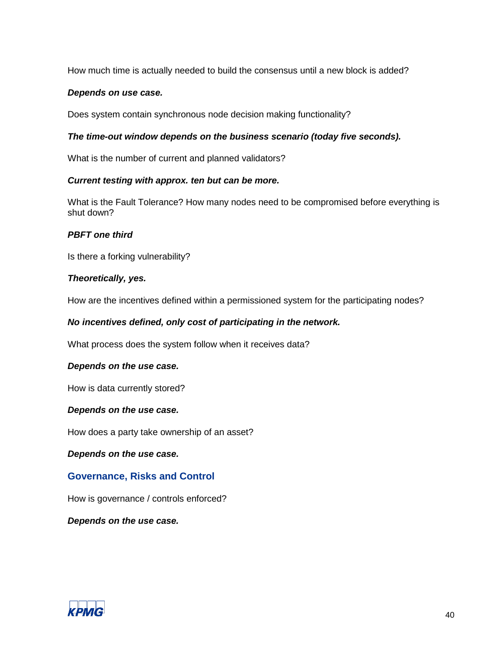How much time is actually needed to build the consensus until a new block is added?

#### *Depends on use case.*

Does system contain synchronous node decision making functionality?

#### *The time-out window depends on the business scenario (today five seconds).*

What is the number of current and planned validators?

#### *Current testing with approx. ten but can be more.*

What is the Fault Tolerance? How many nodes need to be compromised before everything is shut down?

#### *PBFT one third*

Is there a forking vulnerability?

#### *Theoretically, yes.*

How are the incentives defined within a permissioned system for the participating nodes?

#### *No incentives defined, only cost of participating in the network.*

What process does the system follow when it receives data?

#### *Depends on the use case.*

How is data currently stored?

#### *Depends on the use case.*

How does a party take ownership of an asset?

*Depends on the use case.*

# **Governance, Risks and Control**

How is governance / controls enforced?

*Depends on the use case.*

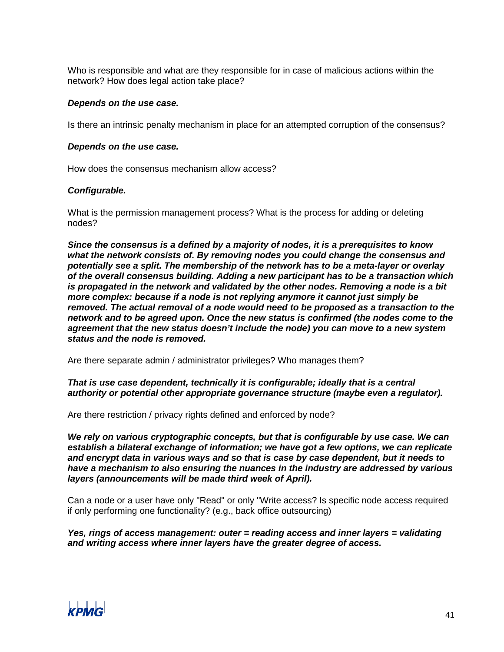Who is responsible and what are they responsible for in case of malicious actions within the network? How does legal action take place?

#### *Depends on the use case.*

Is there an intrinsic penalty mechanism in place for an attempted corruption of the consensus?

#### *Depends on the use case.*

How does the consensus mechanism allow access?

#### *Configurable.*

What is the permission management process? What is the process for adding or deleting nodes?

*Since the consensus is a defined by a majority of nodes, it is a prerequisites to know what the network consists of. By removing nodes you could change the consensus and potentially see a split. The membership of the network has to be a meta-layer or overlay of the overall consensus building. Adding a new participant has to be a transaction which is propagated in the network and validated by the other nodes. Removing a node is a bit more complex: because if a node is not replying anymore it cannot just simply be removed. The actual removal of a node would need to be proposed as a transaction to the network and to be agreed upon. Once the new status is confirmed (the nodes come to the agreement that the new status doesn't include the node) you can move to a new system status and the node is removed.*

Are there separate admin / administrator privileges? Who manages them?

#### *That is use case dependent, technically it is configurable; ideally that is a central authority or potential other appropriate governance structure (maybe even a regulator).*

Are there restriction / privacy rights defined and enforced by node?

*We rely on various cryptographic concepts, but that is configurable by use case. We can establish a bilateral exchange of information; we have got a few options, we can replicate and encrypt data in various ways and so that is case by case dependent, but it needs to have a mechanism to also ensuring the nuances in the industry are addressed by various layers (announcements will be made third week of April).*

Can a node or a user have only "Read" or only "Write access? Is specific node access required if only performing one functionality? (e.g., back office outsourcing)

#### *Yes, rings of access management: outer = reading access and inner layers = validating and writing access where inner layers have the greater degree of access.*

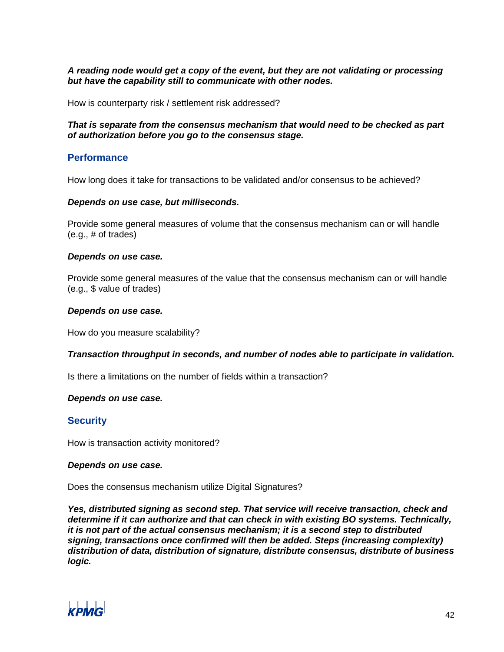#### *A reading node would get a copy of the event, but they are not validating or processing but have the capability still to communicate with other nodes.*

How is counterparty risk / settlement risk addressed?

#### *That is separate from the consensus mechanism that would need to be checked as part of authorization before you go to the consensus stage.*

# **Performance**

How long does it take for transactions to be validated and/or consensus to be achieved?

#### *Depends on use case, but milliseconds.*

Provide some general measures of volume that the consensus mechanism can or will handle (e.g., # of trades)

#### *Depends on use case.*

Provide some general measures of the value that the consensus mechanism can or will handle (e.g., \$ value of trades)

#### *Depends on use case.*

How do you measure scalability?

#### *Transaction throughput in seconds, and number of nodes able to participate in validation.*

Is there a limitations on the number of fields within a transaction?

#### *Depends on use case.*

# **Security**

How is transaction activity monitored?

#### *Depends on use case.*

Does the consensus mechanism utilize Digital Signatures?

*Yes, distributed signing as second step. That service will receive transaction, check and determine if it can authorize and that can check in with existing BO systems. Technically, it is not part of the actual consensus mechanism; it is a second step to distributed signing, transactions once confirmed will then be added. Steps (increasing complexity) distribution of data, distribution of signature, distribute consensus, distribute of business logic.*

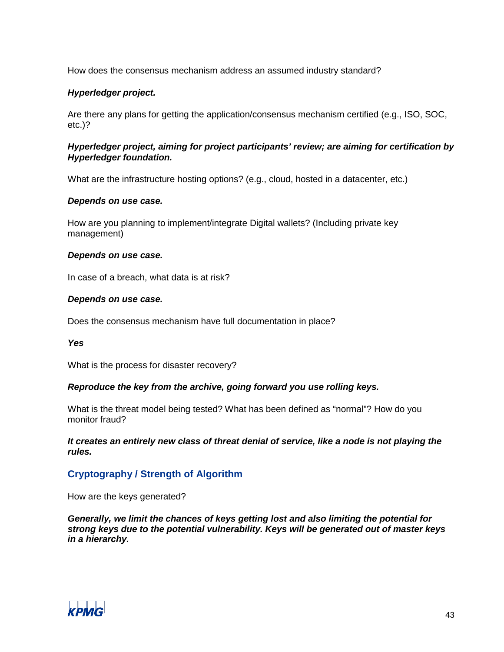How does the consensus mechanism address an assumed industry standard?

#### *Hyperledger project.*

Are there any plans for getting the application/consensus mechanism certified (e.g., ISO, SOC, etc.)?

#### *Hyperledger project, aiming for project participants' review; are aiming for certification by Hyperledger foundation.*

What are the infrastructure hosting options? (e.g., cloud, hosted in a datacenter, etc.)

#### *Depends on use case.*

How are you planning to implement/integrate Digital wallets? (Including private key management)

#### *Depends on use case.*

In case of a breach, what data is at risk?

#### *Depends on use case.*

Does the consensus mechanism have full documentation in place?

#### *Yes*

What is the process for disaster recovery?

#### *Reproduce the key from the archive, going forward you use rolling keys.*

What is the threat model being tested? What has been defined as "normal"? How do you monitor fraud?

*It creates an entirely new class of threat denial of service, like a node is not playing the rules.*

# **Cryptography / Strength of Algorithm**

How are the keys generated?

*Generally, we limit the chances of keys getting lost and also limiting the potential for strong keys due to the potential vulnerability. Keys will be generated out of master keys in a hierarchy.*

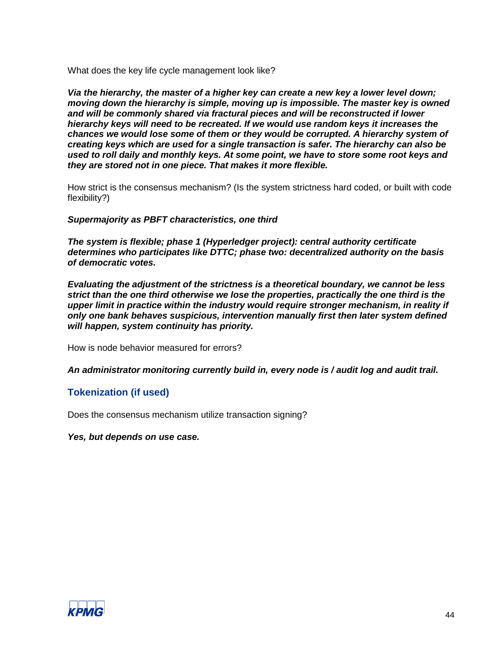What does the key life cycle management look like?

*Via the hierarchy, the master of a higher key can create a new key a lower level down; moving down the hierarchy is simple, moving up is impossible. The master key is owned and will be commonly shared via fractural pieces and will be reconstructed if lower hierarchy keys will need to be recreated. If we would use random keys it increases the chances we would lose some of them or they would be corrupted. A hierarchy system of creating keys which are used for a single transaction is safer. The hierarchy can also be used to roll daily and monthly keys. At some point, we have to store some root keys and they are stored not in one piece. That makes it more flexible.*

How strict is the consensus mechanism? (Is the system strictness hard coded, or built with code flexibility?)

*Supermajority as PBFT characteristics, one third*

*The system is flexible; phase 1 (Hyperledger project): central authority certificate determines who participates like DTTC; phase two: decentralized authority on the basis of democratic votes.*

*Evaluating the adjustment of the strictness is a theoretical boundary, we cannot be less strict than the one third otherwise we lose the properties, practically the one third is the upper limit in practice within the industry would require stronger mechanism, in reality if only one bank behaves suspicious, intervention manually first then later system defined will happen, system continuity has priority.*

How is node behavior measured for errors?

*An administrator monitoring currently build in, every node is / audit log and audit trail.*

# **Tokenization (if used)**

Does the consensus mechanism utilize transaction signing?

*Yes, but depends on use case.*

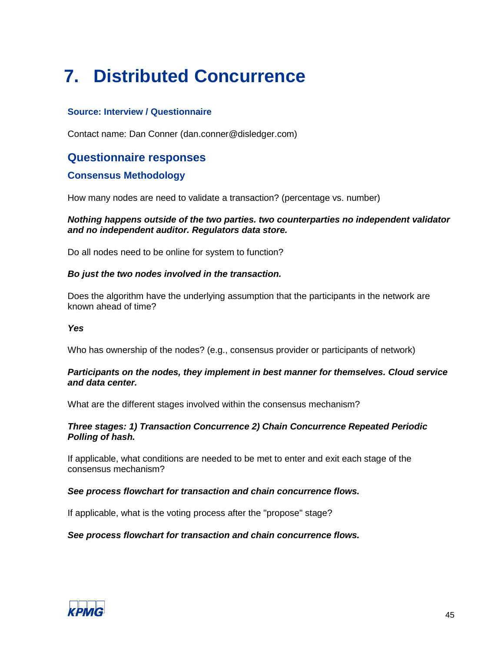# **7. Distributed Concurrence**

# **Source: Interview / Questionnaire**

Contact name: Dan Conner (dan.conner@disledger.com)

# **Questionnaire responses**

# **Consensus Methodology**

How many nodes are need to validate a transaction? (percentage vs. number)

#### *Nothing happens outside of the two parties. two counterparties no independent validator and no independent auditor. Regulators data store.*

Do all nodes need to be online for system to function?

#### *Bo just the two nodes involved in the transaction.*

Does the algorithm have the underlying assumption that the participants in the network are known ahead of time?

#### *Yes*

Who has ownership of the nodes? (e.g., consensus provider or participants of network)

#### *Participants on the nodes, they implement in best manner for themselves. Cloud service and data center.*

What are the different stages involved within the consensus mechanism?

#### *Three stages: 1) Transaction Concurrence 2) Chain Concurrence Repeated Periodic Polling of hash.*

If applicable, what conditions are needed to be met to enter and exit each stage of the consensus mechanism?

# *See process flowchart for transaction and chain concurrence flows.*

If applicable, what is the voting process after the "propose" stage?

# *See process flowchart for transaction and chain concurrence flows.*

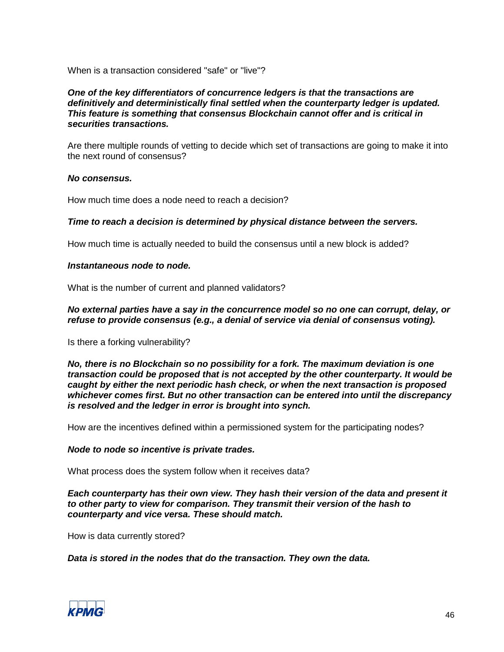When is a transaction considered "safe" or "live"?

#### *One of the key differentiators of concurrence ledgers is that the transactions are definitively and deterministically final settled when the counterparty ledger is updated. This feature is something that consensus Blockchain cannot offer and is critical in securities transactions.*

Are there multiple rounds of vetting to decide which set of transactions are going to make it into the next round of consensus?

#### *No consensus.*

How much time does a node need to reach a decision?

#### *Time to reach a decision is determined by physical distance between the servers.*

How much time is actually needed to build the consensus until a new block is added?

#### *Instantaneous node to node.*

What is the number of current and planned validators?

#### *No external parties have a say in the concurrence model so no one can corrupt, delay, or refuse to provide consensus (e.g., a denial of service via denial of consensus voting).*

Is there a forking vulnerability?

*No, there is no Blockchain so no possibility for a fork. The maximum deviation is one transaction could be proposed that is not accepted by the other counterparty. It would be caught by either the next periodic hash check, or when the next transaction is proposed whichever comes first. But no other transaction can be entered into until the discrepancy is resolved and the ledger in error is brought into synch.* 

How are the incentives defined within a permissioned system for the participating nodes?

#### *Node to node so incentive is private trades.*

What process does the system follow when it receives data?

*Each counterparty has their own view. They hash their version of the data and present it to other party to view for comparison. They transmit their version of the hash to counterparty and vice versa. These should match.*

How is data currently stored?

# *Data is stored in the nodes that do the transaction. They own the data.*

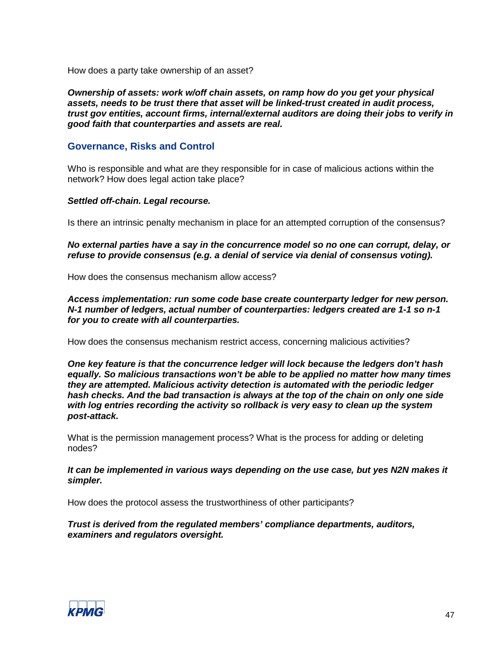How does a party take ownership of an asset?

*Ownership of assets: work w/off chain assets, on ramp how do you get your physical assets, needs to be trust there that asset will be linked-trust created in audit process, trust gov entities, account firms, internal/external auditors are doing their jobs to verify in good faith that counterparties and assets are real.*

# **Governance, Risks and Control**

Who is responsible and what are they responsible for in case of malicious actions within the network? How does legal action take place?

#### *Settled off-chain. Legal recourse.*

Is there an intrinsic penalty mechanism in place for an attempted corruption of the consensus?

*No external parties have a say in the concurrence model so no one can corrupt, delay, or refuse to provide consensus (e.g. a denial of service via denial of consensus voting).*

How does the consensus mechanism allow access?

*Access implementation: run some code base create counterparty ledger for new person. N-1 number of ledgers, actual number of counterparties: ledgers created are 1-1 so n-1 for you to create with all counterparties.*

How does the consensus mechanism restrict access, concerning malicious activities?

*One key feature is that the concurrence ledger will lock because the ledgers don't hash equally. So malicious transactions won't be able to be applied no matter how many times they are attempted. Malicious activity detection is automated with the periodic ledger hash checks. And the bad transaction is always at the top of the chain on only one side with log entries recording the activity so rollback is very easy to clean up the system post-attack.*

What is the permission management process? What is the process for adding or deleting nodes?

*It can be implemented in various ways depending on the use case, but yes N2N makes it simpler.*

How does the protocol assess the trustworthiness of other participants?

*Trust is derived from the regulated members' compliance departments, auditors, examiners and regulators oversight.*

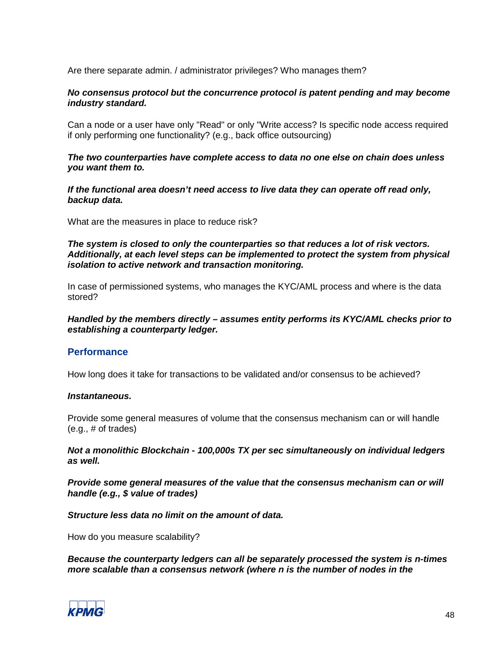Are there separate admin. / administrator privileges? Who manages them?

#### *No consensus protocol but the concurrence protocol is patent pending and may become industry standard.*

Can a node or a user have only "Read" or only "Write access? Is specific node access required if only performing one functionality? (e.g., back office outsourcing)

#### *The two counterparties have complete access to data no one else on chain does unless you want them to.*

*If the functional area doesn't need access to live data they can operate off read only, backup data.*

What are the measures in place to reduce risk?

*The system is closed to only the counterparties so that reduces a lot of risk vectors. Additionally, at each level steps can be implemented to protect the system from physical isolation to active network and transaction monitoring.*

In case of permissioned systems, who manages the KYC/AML process and where is the data stored?

#### *Handled by the members directly – assumes entity performs its KYC/AML checks prior to establishing a counterparty ledger.*

# **Performance**

How long does it take for transactions to be validated and/or consensus to be achieved?

#### *Instantaneous.*

Provide some general measures of volume that the consensus mechanism can or will handle (e.g., # of trades)

*Not a monolithic Blockchain - 100,000s TX per sec simultaneously on individual ledgers as well.*

*Provide some general measures of the value that the consensus mechanism can or will handle (e.g., \$ value of trades)*

*Structure less data no limit on the amount of data.*

How do you measure scalability?

*Because the counterparty ledgers can all be separately processed the system is n-times more scalable than a consensus network (where n is the number of nodes in the* 

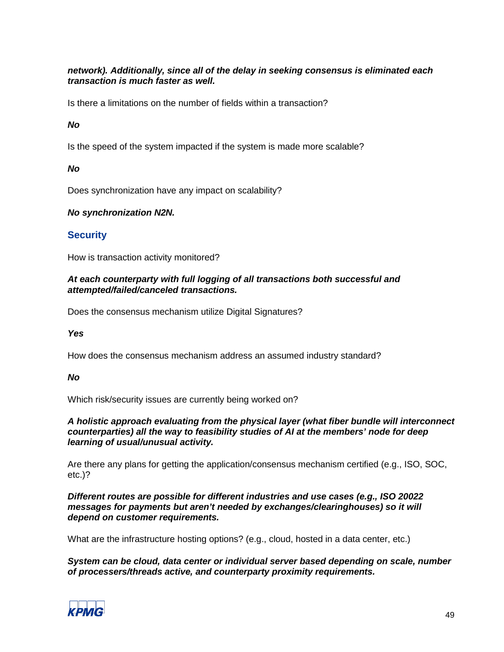# *network). Additionally, since all of the delay in seeking consensus is eliminated each transaction is much faster as well.*

Is there a limitations on the number of fields within a transaction?

*No*

Is the speed of the system impacted if the system is made more scalable?

#### *No*

Does synchronization have any impact on scalability?

# *No synchronization N2N.*

#### **Security**

How is transaction activity monitored?

#### *At each counterparty with full logging of all transactions both successful and attempted/failed/canceled transactions.*

Does the consensus mechanism utilize Digital Signatures?

#### *Yes*

How does the consensus mechanism address an assumed industry standard?

# *No*

Which risk/security issues are currently being worked on?

*A holistic approach evaluating from the physical layer (what fiber bundle will interconnect counterparties) all the way to feasibility studies of AI at the members' node for deep learning of usual/unusual activity.*

Are there any plans for getting the application/consensus mechanism certified (e.g., ISO, SOC, etc.)?

*Different routes are possible for different industries and use cases (e.g., ISO 20022 messages for payments but aren't needed by exchanges/clearinghouses) so it will depend on customer requirements.*

What are the infrastructure hosting options? (e.g., cloud, hosted in a data center, etc.)

*System can be cloud, data center or individual server based depending on scale, number of processers/threads active, and counterparty proximity requirements.*

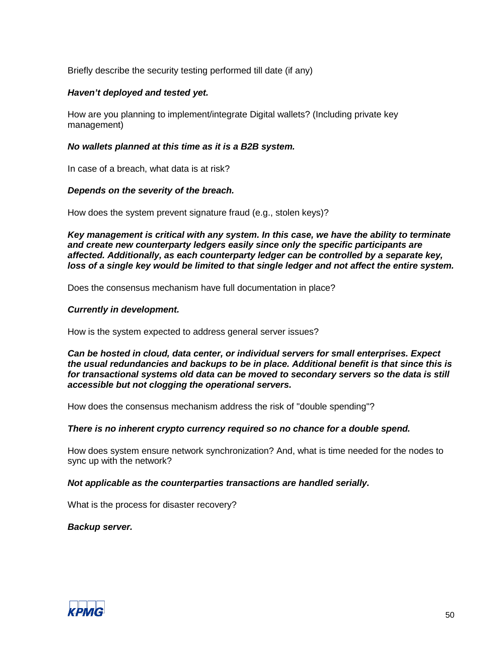Briefly describe the security testing performed till date (if any)

#### *Haven't deployed and tested yet.*

How are you planning to implement/integrate Digital wallets? (Including private key management)

#### *No wallets planned at this time as it is a B2B system.*

In case of a breach, what data is at risk?

#### *Depends on the severity of the breach.*

How does the system prevent signature fraud (e.g., stolen keys)?

*Key management is critical with any system. In this case, we have the ability to terminate and create new counterparty ledgers easily since only the specific participants are affected. Additionally, as each counterparty ledger can be controlled by a separate key, loss of a single key would be limited to that single ledger and not affect the entire system.*

Does the consensus mechanism have full documentation in place?

#### *Currently in development.*

How is the system expected to address general server issues?

*Can be hosted in cloud, data center, or individual servers for small enterprises. Expect the usual redundancies and backups to be in place. Additional benefit is that since this is for transactional systems old data can be moved to secondary servers so the data is still accessible but not clogging the operational servers.*

How does the consensus mechanism address the risk of "double spending"?

#### *There is no inherent crypto currency required so no chance for a double spend.*

How does system ensure network synchronization? And, what is time needed for the nodes to sync up with the network?

#### *Not applicable as the counterparties transactions are handled serially.*

What is the process for disaster recovery?

*Backup server.*

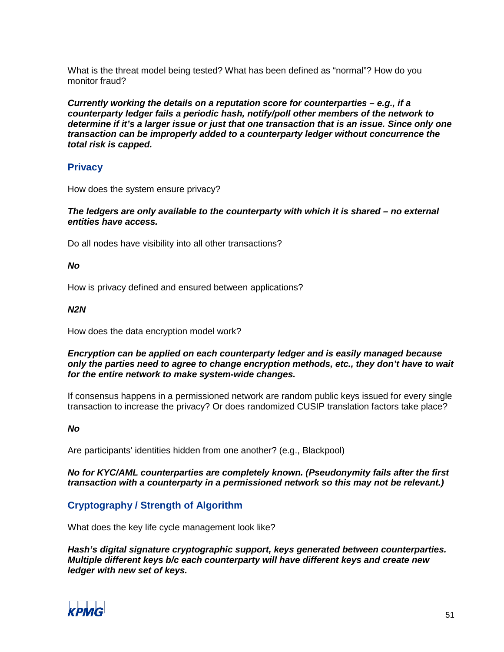What is the threat model being tested? What has been defined as "normal"? How do you monitor fraud?

*Currently working the details on a reputation score for counterparties – e.g., if a counterparty ledger fails a periodic hash, notify/poll other members of the network to determine if it's a larger issue or just that one transaction that is an issue. Since only one transaction can be improperly added to a counterparty ledger without concurrence the total risk is capped.*

# **Privacy**

How does the system ensure privacy?

*The ledgers are only available to the counterparty with which it is shared – no external entities have access.*

Do all nodes have visibility into all other transactions?

# *No*

How is privacy defined and ensured between applications?

#### *N2N*

How does the data encryption model work?

#### *Encryption can be applied on each counterparty ledger and is easily managed because only the parties need to agree to change encryption methods, etc., they don't have to wait for the entire network to make system-wide changes.*

If consensus happens in a permissioned network are random public keys issued for every single transaction to increase the privacy? Or does randomized CUSIP translation factors take place?

# *No*

Are participants' identities hidden from one another? (e.g., Blackpool)

*No for KYC/AML counterparties are completely known. (Pseudonymity fails after the first transaction with a counterparty in a permissioned network so this may not be relevant.)*

# **Cryptography / Strength of Algorithm**

What does the key life cycle management look like?

*Hash's digital signature cryptographic support, keys generated between counterparties. Multiple different keys b/c each counterparty will have different keys and create new ledger with new set of keys.*

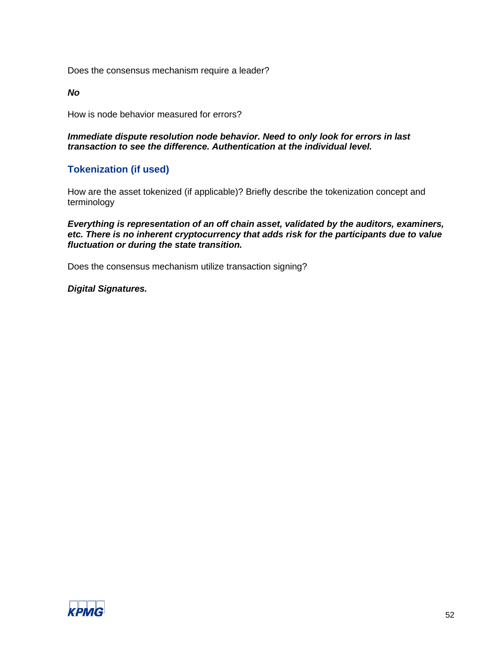Does the consensus mechanism require a leader?

*No*

How is node behavior measured for errors?

*Immediate dispute resolution node behavior. Need to only look for errors in last transaction to see the difference. Authentication at the individual level.*

# **Tokenization (if used)**

How are the asset tokenized (if applicable)? Briefly describe the tokenization concept and terminology

*Everything is representation of an off chain asset, validated by the auditors, examiners, etc. There is no inherent cryptocurrency that adds risk for the participants due to value fluctuation or during the state transition.*

Does the consensus mechanism utilize transaction signing?

*Digital Signatures.*

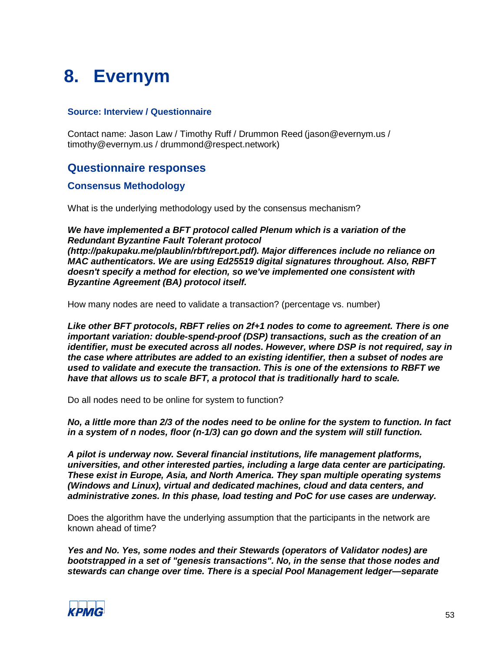# **8. Evernym**

# **Source: Interview / Questionnaire**

Contact name: Jason Law / Timothy Ruff / Drummon Reed (jason@evernym.us / timothy@evernym.us / drummond@respect.network)

# **Questionnaire responses**

# **Consensus Methodology**

What is the underlying methodology used by the consensus mechanism?

*We have implemented a BFT protocol called Plenum which is a variation of the Redundant Byzantine Fault Tolerant protocol (http://pakupaku.me/plaublin/rbft/report.pdf). Major differences include no reliance on MAC authenticators. We are using Ed25519 digital signatures throughout. Also, RBFT doesn't specify a method for election, so we've implemented one consistent with Byzantine Agreement (BA) protocol itself.*

How many nodes are need to validate a transaction? (percentage vs. number)

*Like other BFT protocols, RBFT relies on 2f+1 nodes to come to agreement. There is one important variation: double-spend-proof (DSP) transactions, such as the creation of an identifier, must be executed across all nodes. However, where DSP is not required, say in the case where attributes are added to an existing identifier, then a subset of nodes are used to validate and execute the transaction. This is one of the extensions to RBFT we have that allows us to scale BFT, a protocol that is traditionally hard to scale.*

Do all nodes need to be online for system to function?

*No, a little more than 2/3 of the nodes need to be online for the system to function. In fact in a system of n nodes, floor (n-1/3) can go down and the system will still function.* 

*A pilot is underway now. Several financial institutions, life management platforms, universities, and other interested parties, including a large data center are participating. These exist in Europe, Asia, and North America. They span multiple operating systems (Windows and Linux), virtual and dedicated machines, cloud and data centers, and administrative zones. In this phase, load testing and PoC for use cases are underway.*

Does the algorithm have the underlying assumption that the participants in the network are known ahead of time?

*Yes and No. Yes, some nodes and their Stewards (operators of Validator nodes) are bootstrapped in a set of "genesis transactions". No, in the sense that those nodes and stewards can change over time. There is a special Pool Management ledger—separate* 

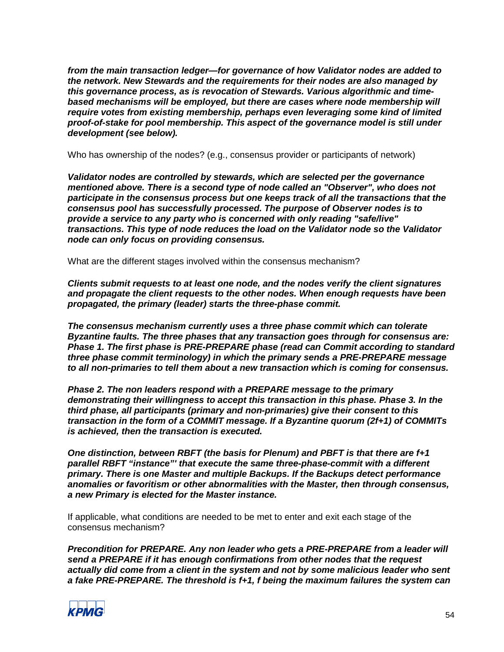*from the main transaction ledger—for governance of how Validator nodes are added to the network. New Stewards and the requirements for their nodes are also managed by this governance process, as is revocation of Stewards. Various algorithmic and timebased mechanisms will be employed, but there are cases where node membership will require votes from existing membership, perhaps even leveraging some kind of limited proof-of-stake for pool membership. This aspect of the governance model is still under development (see below).*

Who has ownership of the nodes? (e.g., consensus provider or participants of network)

*Validator nodes are controlled by stewards, which are selected per the governance mentioned above. There is a second type of node called an "Observer", who does not participate in the consensus process but one keeps track of all the transactions that the consensus pool has successfully processed. The purpose of Observer nodes is to provide a service to any party who is concerned with only reading "safe/live" transactions. This type of node reduces the load on the Validator node so the Validator node can only focus on providing consensus.*

What are the different stages involved within the consensus mechanism?

*Clients submit requests to at least one node, and the nodes verify the client signatures and propagate the client requests to the other nodes. When enough requests have been propagated, the primary (leader) starts the three-phase commit.*

*The consensus mechanism currently uses a three phase commit which can tolerate Byzantine faults. The three phases that any transaction goes through for consensus are: Phase 1. The first phase is PRE-PREPARE phase (read can Commit according to standard three phase commit terminology) in which the primary sends a PRE-PREPARE message to all non-primaries to tell them about a new transaction which is coming for consensus.*

*Phase 2. The non leaders respond with a PREPARE message to the primary demonstrating their willingness to accept this transaction in this phase. Phase 3. In the third phase, all participants (primary and non-primaries) give their consent to this transaction in the form of a COMMIT message. If a Byzantine quorum (2f+1) of COMMITs is achieved, then the transaction is executed.*

*One distinction, between RBFT (the basis for Plenum) and PBFT is that there are f+1 parallel RBFT "instance"' that execute the same three-phase-commit with a different primary. There is one Master and multiple Backups. If the Backups detect performance anomalies or favoritism or other abnormalities with the Master, then through consensus, a new Primary is elected for the Master instance.*

If applicable, what conditions are needed to be met to enter and exit each stage of the consensus mechanism?

*Precondition for PREPARE. Any non leader who gets a PRE-PREPARE from a leader will send a PREPARE if it has enough confirmations from other nodes that the request actually did come from a client in the system and not by some malicious leader who sent a fake PRE-PREPARE. The threshold is f+1, f being the maximum failures the system can* 

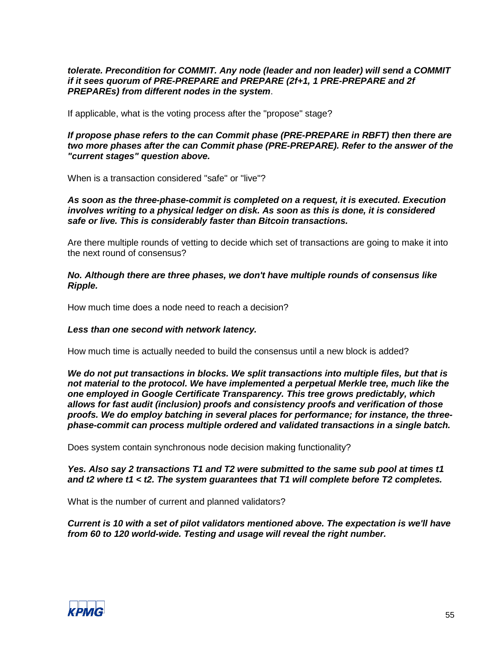*tolerate. Precondition for COMMIT. Any node (leader and non leader) will send a COMMIT if it sees quorum of PRE-PREPARE and PREPARE (2f+1, 1 PRE-PREPARE and 2f PREPAREs) from different nodes in the system*.

If applicable, what is the voting process after the "propose" stage?

*If propose phase refers to the can Commit phase (PRE-PREPARE in RBFT) then there are two more phases after the can Commit phase (PRE-PREPARE). Refer to the answer of the "current stages" question above.*

When is a transaction considered "safe" or "live"?

*As soon as the three-phase-commit is completed on a request, it is executed. Execution involves writing to a physical ledger on disk. As soon as this is done, it is considered safe or live. This is considerably faster than Bitcoin transactions.*

Are there multiple rounds of vetting to decide which set of transactions are going to make it into the next round of consensus?

*No. Although there are three phases, we don't have multiple rounds of consensus like Ripple.*

How much time does a node need to reach a decision?

#### *Less than one second with network latency.*

How much time is actually needed to build the consensus until a new block is added?

*We do not put transactions in blocks. We split transactions into multiple files, but that is not material to the protocol. We have implemented a perpetual Merkle tree, much like the one employed in Google Certificate Transparency. This tree grows predictably, which allows for fast audit (inclusion) proofs and consistency proofs and verification of those proofs. We do employ batching in several places for performance; for instance, the threephase-commit can process multiple ordered and validated transactions in a single batch.*

Does system contain synchronous node decision making functionality?

*Yes. Also say 2 transactions T1 and T2 were submitted to the same sub pool at times t1 and t2 where t1 < t2. The system guarantees that T1 will complete before T2 completes.*

What is the number of current and planned validators?

*Current is 10 with a set of pilot validators mentioned above. The expectation is we'll have from 60 to 120 world-wide. Testing and usage will reveal the right number.*

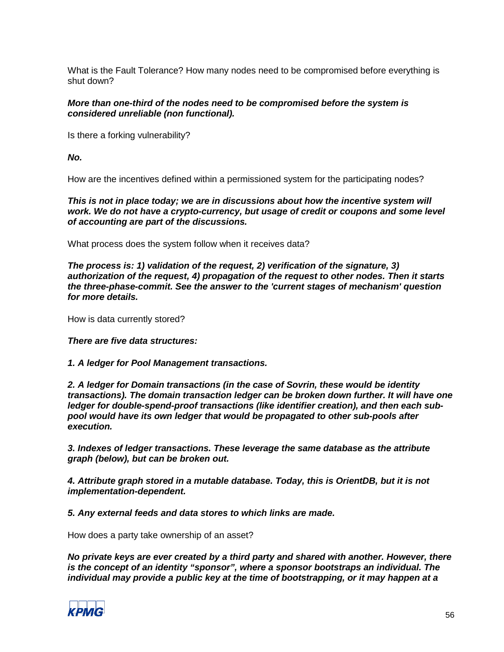What is the Fault Tolerance? How many nodes need to be compromised before everything is shut down?

#### *More than one-third of the nodes need to be compromised before the system is considered unreliable (non functional).*

Is there a forking vulnerability?

*No.*

How are the incentives defined within a permissioned system for the participating nodes?

*This is not in place today; we are in discussions about how the incentive system will work. We do not have a crypto-currency, but usage of credit or coupons and some level of accounting are part of the discussions.*

What process does the system follow when it receives data?

*The process is: 1) validation of the request, 2) verification of the signature, 3) authorization of the request, 4) propagation of the request to other nodes. Then it starts the three-phase-commit. See the answer to the 'current stages of mechanism' question for more details.*

How is data currently stored?

#### *There are five data structures:*

#### *1. A ledger for Pool Management transactions.*

*2. A ledger for Domain transactions (in the case of Sovrin, these would be identity transactions). The domain transaction ledger can be broken down further. It will have one ledger for double-spend-proof transactions (like identifier creation), and then each subpool would have its own ledger that would be propagated to other sub-pools after execution.*

*3. Indexes of ledger transactions. These leverage the same database as the attribute graph (below), but can be broken out.*

*4. Attribute graph stored in a mutable database. Today, this is OrientDB, but it is not implementation-dependent.*

*5. Any external feeds and data stores to which links are made.*

How does a party take ownership of an asset?

*No private keys are ever created by a third party and shared with another. However, there is the concept of an identity "sponsor", where a sponsor bootstraps an individual. The individual may provide a public key at the time of bootstrapping, or it may happen at a* 

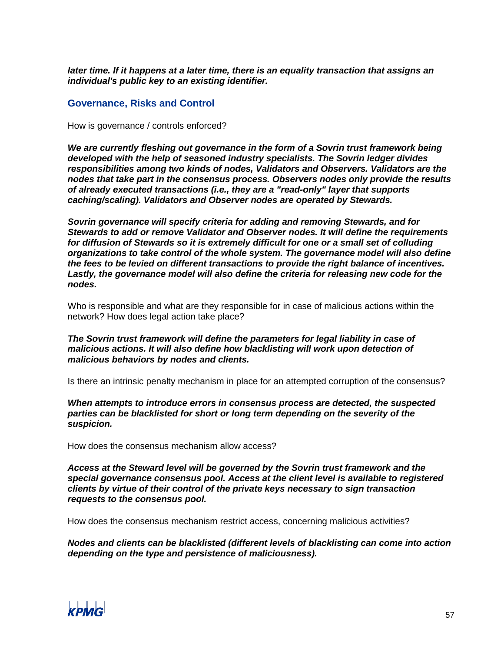*later time. If it happens at a later time, there is an equality transaction that assigns an individual's public key to an existing identifier.*

# **Governance, Risks and Control**

How is governance / controls enforced?

*We are currently fleshing out governance in the form of a Sovrin trust framework being developed with the help of seasoned industry specialists. The Sovrin ledger divides responsibilities among two kinds of nodes, Validators and Observers. Validators are the nodes that take part in the consensus process. Observers nodes only provide the results of already executed transactions (i.e., they are a "read-only" layer that supports caching/scaling). Validators and Observer nodes are operated by Stewards.*

*Sovrin governance will specify criteria for adding and removing Stewards, and for Stewards to add or remove Validator and Observer nodes. It will define the requirements for diffusion of Stewards so it is extremely difficult for one or a small set of colluding organizations to take control of the whole system. The governance model will also define the fees to be levied on different transactions to provide the right balance of incentives. Lastly, the governance model will also define the criteria for releasing new code for the nodes.*

Who is responsible and what are they responsible for in case of malicious actions within the network? How does legal action take place?

*The Sovrin trust framework will define the parameters for legal liability in case of malicious actions. It will also define how blacklisting will work upon detection of malicious behaviors by nodes and clients.*

Is there an intrinsic penalty mechanism in place for an attempted corruption of the consensus?

*When attempts to introduce errors in consensus process are detected, the suspected parties can be blacklisted for short or long term depending on the severity of the suspicion.*

How does the consensus mechanism allow access?

*Access at the Steward level will be governed by the Sovrin trust framework and the special governance consensus pool. Access at the client level is available to registered clients by virtue of their control of the private keys necessary to sign transaction requests to the consensus pool.*

How does the consensus mechanism restrict access, concerning malicious activities?

*Nodes and clients can be blacklisted (different levels of blacklisting can come into action depending on the type and persistence of maliciousness).*

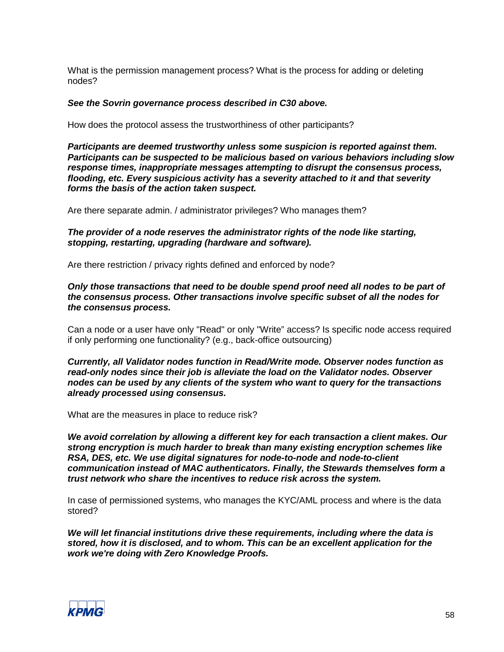What is the permission management process? What is the process for adding or deleting nodes?

#### *See the Sovrin governance process described in C30 above.*

How does the protocol assess the trustworthiness of other participants?

*Participants are deemed trustworthy unless some suspicion is reported against them. Participants can be suspected to be malicious based on various behaviors including slow response times, inappropriate messages attempting to disrupt the consensus process, flooding, etc. Every suspicious activity has a severity attached to it and that severity forms the basis of the action taken suspect.*

Are there separate admin. / administrator privileges? Who manages them?

*The provider of a node reserves the administrator rights of the node like starting, stopping, restarting, upgrading (hardware and software).*

Are there restriction / privacy rights defined and enforced by node?

*Only those transactions that need to be double spend proof need all nodes to be part of the consensus process. Other transactions involve specific subset of all the nodes for the consensus process.*

Can a node or a user have only "Read" or only "Write" access? Is specific node access required if only performing one functionality? (e.g., back-office outsourcing)

*Currently, all Validator nodes function in Read/Write mode. Observer nodes function as read-only nodes since their job is alleviate the load on the Validator nodes. Observer nodes can be used by any clients of the system who want to query for the transactions already processed using consensus.*

What are the measures in place to reduce risk?

*We avoid correlation by allowing a different key for each transaction a client makes. Our strong encryption is much harder to break than many existing encryption schemes like RSA, DES, etc. We use digital signatures for node-to-node and node-to-client communication instead of MAC authenticators. Finally, the Stewards themselves form a trust network who share the incentives to reduce risk across the system.*

In case of permissioned systems, who manages the KYC/AML process and where is the data stored?

*We will let financial institutions drive these requirements, including where the data is stored, how it is disclosed, and to whom. This can be an excellent application for the work we're doing with Zero Knowledge Proofs.*

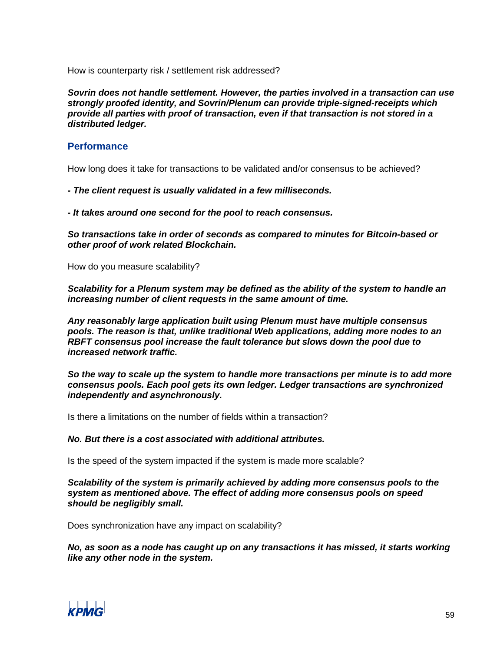How is counterparty risk / settlement risk addressed?

*Sovrin does not handle settlement. However, the parties involved in a transaction can use strongly proofed identity, and Sovrin/Plenum can provide triple-signed-receipts which provide all parties with proof of transaction, even if that transaction is not stored in a distributed ledger.*

# **Performance**

How long does it take for transactions to be validated and/or consensus to be achieved?

*- The client request is usually validated in a few milliseconds.*

*- It takes around one second for the pool to reach consensus.* 

*So transactions take in order of seconds as compared to minutes for Bitcoin-based or other proof of work related Blockchain.*

How do you measure scalability?

*Scalability for a Plenum system may be defined as the ability of the system to handle an increasing number of client requests in the same amount of time.* 

*Any reasonably large application built using Plenum must have multiple consensus pools. The reason is that, unlike traditional Web applications, adding more nodes to an RBFT consensus pool increase the fault tolerance but slows down the pool due to increased network traffic.* 

*So the way to scale up the system to handle more transactions per minute is to add more consensus pools. Each pool gets its own ledger. Ledger transactions are synchronized independently and asynchronously.* 

Is there a limitations on the number of fields within a transaction?

#### *No. But there is a cost associated with additional attributes.*

Is the speed of the system impacted if the system is made more scalable?

*Scalability of the system is primarily achieved by adding more consensus pools to the system as mentioned above. The effect of adding more consensus pools on speed should be negligibly small.* 

Does synchronization have any impact on scalability?

*No, as soon as a node has caught up on any transactions it has missed, it starts working like any other node in the system.*

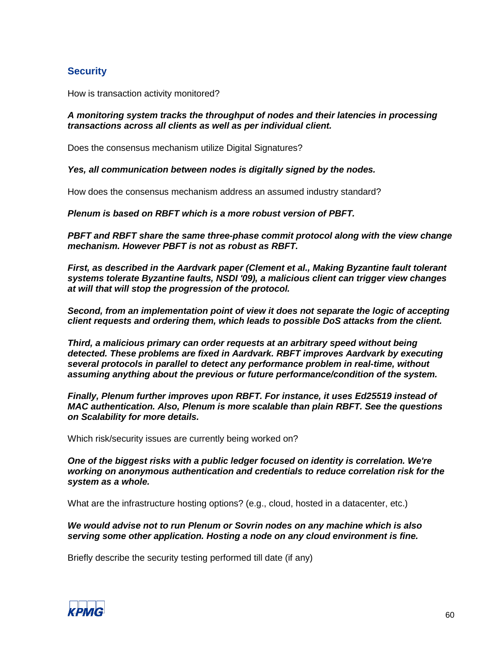# **Security**

How is transaction activity monitored?

#### *A monitoring system tracks the throughput of nodes and their latencies in processing transactions across all clients as well as per individual client.*

Does the consensus mechanism utilize Digital Signatures?

*Yes, all communication between nodes is digitally signed by the nodes.*

How does the consensus mechanism address an assumed industry standard?

*Plenum is based on RBFT which is a more robust version of PBFT.*

*PBFT and RBFT share the same three-phase commit protocol along with the view change mechanism. However PBFT is not as robust as RBFT.* 

*First, as described in the Aardvark paper (Clement et al., Making Byzantine fault tolerant systems tolerate Byzantine faults, NSDI '09), a malicious client can trigger view changes at will that will stop the progression of the protocol.* 

*Second, from an implementation point of view it does not separate the logic of accepting client requests and ordering them, which leads to possible DoS attacks from the client.* 

*Third, a malicious primary can order requests at an arbitrary speed without being detected. These problems are fixed in Aardvark. RBFT improves Aardvark by executing several protocols in parallel to detect any performance problem in real-time, without assuming anything about the previous or future performance/condition of the system.*

*Finally, Plenum further improves upon RBFT. For instance, it uses Ed25519 instead of MAC authentication. Also, Plenum is more scalable than plain RBFT. See the questions on Scalability for more details.*

Which risk/security issues are currently being worked on?

*One of the biggest risks with a public ledger focused on identity is correlation. We're working on anonymous authentication and credentials to reduce correlation risk for the system as a whole.*

What are the infrastructure hosting options? (e.g., cloud, hosted in a datacenter, etc.)

*We would advise not to run Plenum or Sovrin nodes on any machine which is also serving some other application. Hosting a node on any cloud environment is fine.* 

Briefly describe the security testing performed till date (if any)

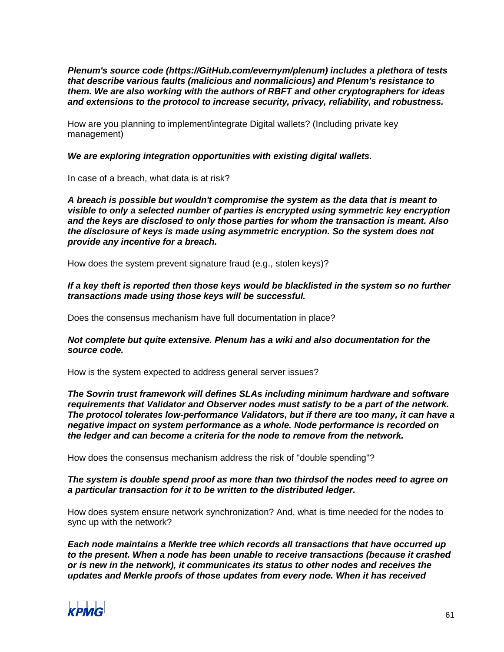*Plenum's source code (https://GitHub.com/evernym/plenum) includes a plethora of tests that describe various faults (malicious and nonmalicious) and Plenum's resistance to them. We are also working with the authors of RBFT and other cryptographers for ideas and extensions to the protocol to increase security, privacy, reliability, and robustness.*

How are you planning to implement/integrate Digital wallets? (Including private key management)

*We are exploring integration opportunities with existing digital wallets.* 

In case of a breach, what data is at risk?

*A breach is possible but wouldn't compromise the system as the data that is meant to visible to only a selected number of parties is encrypted using symmetric key encryption and the keys are disclosed to only those parties for whom the transaction is meant. Also the disclosure of keys is made using asymmetric encryption. So the system does not provide any incentive for a breach.*

How does the system prevent signature fraud (e.g., stolen keys)?

*If a key theft is reported then those keys would be blacklisted in the system so no further transactions made using those keys will be successful.*

Does the consensus mechanism have full documentation in place?

*Not complete but quite extensive. Plenum has a wiki and also documentation for the source code.*

How is the system expected to address general server issues?

*The Sovrin trust framework will defines SLAs including minimum hardware and software requirements that Validator and Observer nodes must satisfy to be a part of the network. The protocol tolerates low-performance Validators, but if there are too many, it can have a negative impact on system performance as a whole. Node performance is recorded on the ledger and can become a criteria for the node to remove from the network.*

How does the consensus mechanism address the risk of "double spending"?

*The system is double spend proof as more than two thirdsof the nodes need to agree on a particular transaction for it to be written to the distributed ledger.*

How does system ensure network synchronization? And, what is time needed for the nodes to sync up with the network?

*Each node maintains a Merkle tree which records all transactions that have occurred up to the present. When a node has been unable to receive transactions (because it crashed or is new in the network), it communicates its status to other nodes and receives the updates and Merkle proofs of those updates from every node. When it has received* 

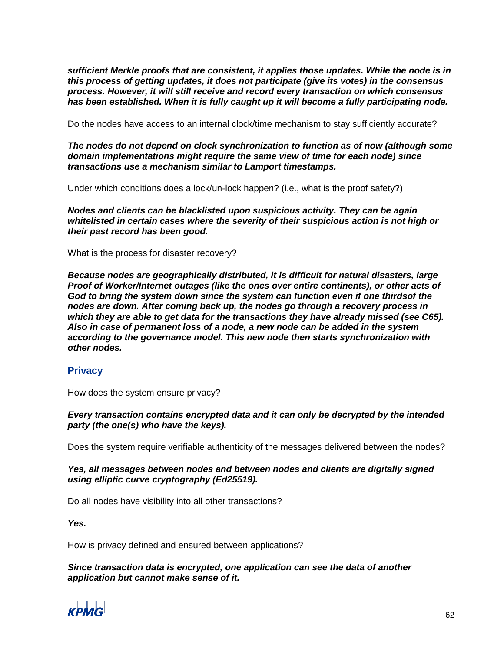*sufficient Merkle proofs that are consistent, it applies those updates. While the node is in this process of getting updates, it does not participate (give its votes) in the consensus process. However, it will still receive and record every transaction on which consensus has been established. When it is fully caught up it will become a fully participating node.*

Do the nodes have access to an internal clock/time mechanism to stay sufficiently accurate?

*The nodes do not depend on clock synchronization to function as of now (although some domain implementations might require the same view of time for each node) since transactions use a mechanism similar to Lamport timestamps.*

Under which conditions does a lock/un-lock happen? (i.e., what is the proof safety?)

*Nodes and clients can be blacklisted upon suspicious activity. They can be again whitelisted in certain cases where the severity of their suspicious action is not high or their past record has been good.*

What is the process for disaster recovery?

*Because nodes are geographically distributed, it is difficult for natural disasters, large Proof of Worker/Internet outages (like the ones over entire continents), or other acts of God to bring the system down since the system can function even if one thirdsof the nodes are down. After coming back up, the nodes go through a recovery process in which they are able to get data for the transactions they have already missed (see C65). Also in case of permanent loss of a node, a new node can be added in the system according to the governance model. This new node then starts synchronization with other nodes.*

# **Privacy**

How does the system ensure privacy?

*Every transaction contains encrypted data and it can only be decrypted by the intended party (the one(s) who have the keys).*

Does the system require verifiable authenticity of the messages delivered between the nodes?

*Yes, all messages between nodes and between nodes and clients are digitally signed using elliptic curve cryptography (Ed25519).*

Do all nodes have visibility into all other transactions?

*Yes.*

How is privacy defined and ensured between applications?

*Since transaction data is encrypted, one application can see the data of another application but cannot make sense of it.*

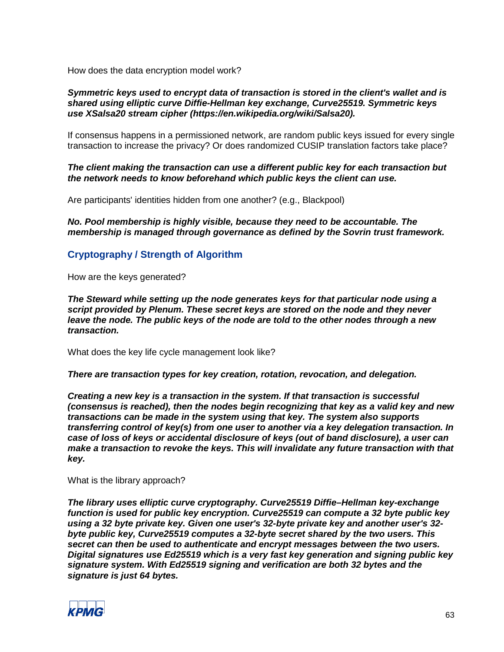How does the data encryption model work?

#### *Symmetric keys used to encrypt data of transaction is stored in the client's wallet and is shared using elliptic curve Diffie-Hellman key exchange, Curve25519. Symmetric keys use XSalsa20 stream cipher (https://en.wikipedia.org/wiki/Salsa20).*

If consensus happens in a permissioned network, are random public keys issued for every single transaction to increase the privacy? Or does randomized CUSIP translation factors take place?

*The client making the transaction can use a different public key for each transaction but the network needs to know beforehand which public keys the client can use.* 

Are participants' identities hidden from one another? (e.g., Blackpool)

*No. Pool membership is highly visible, because they need to be accountable. The membership is managed through governance as defined by the Sovrin trust framework.*

# **Cryptography / Strength of Algorithm**

How are the keys generated?

*The Steward while setting up the node generates keys for that particular node using a script provided by Plenum. These secret keys are stored on the node and they never leave the node. The public keys of the node are told to the other nodes through a new transaction.*

What does the key life cycle management look like?

*There are transaction types for key creation, rotation, revocation, and delegation.*

*Creating a new key is a transaction in the system. If that transaction is successful (consensus is reached), then the nodes begin recognizing that key as a valid key and new transactions can be made in the system using that key. The system also supports transferring control of key(s) from one user to another via a key delegation transaction. In case of loss of keys or accidental disclosure of keys (out of band disclosure), a user can make a transaction to revoke the keys. This will invalidate any future transaction with that key.*

What is the library approach?

*The library uses elliptic curve cryptography. Curve25519 Diffie–Hellman key-exchange function is used for public key encryption. Curve25519 can compute a 32 byte public key using a 32 byte private key. Given one user's 32-byte private key and another user's 32 byte public key, Curve25519 computes a 32-byte secret shared by the two users. This secret can then be used to authenticate and encrypt messages between the two users. Digital signatures use Ed25519 which is a very fast key generation and signing public key signature system. With Ed25519 signing and verification are both 32 bytes and the signature is just 64 bytes.*

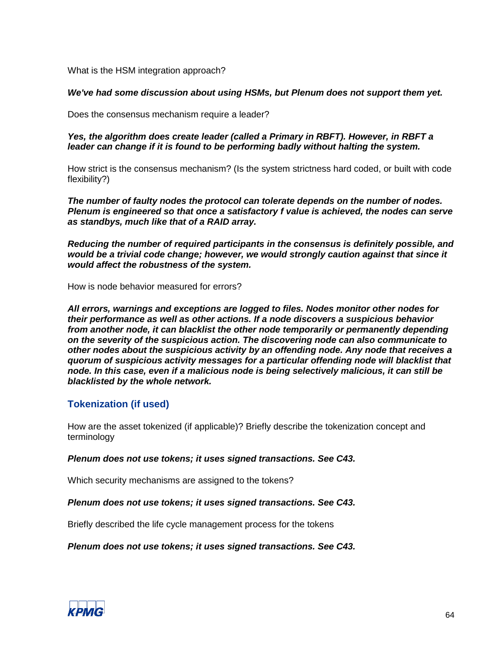What is the HSM integration approach?

#### *We've had some discussion about using HSMs, but Plenum does not support them yet.*

Does the consensus mechanism require a leader?

*Yes, the algorithm does create leader (called a Primary in RBFT). However, in RBFT a leader can change if it is found to be performing badly without halting the system.*

How strict is the consensus mechanism? (Is the system strictness hard coded, or built with code flexibility?)

*The number of faulty nodes the protocol can tolerate depends on the number of nodes. Plenum is engineered so that once a satisfactory f value is achieved, the nodes can serve as standbys, much like that of a RAID array.* 

*Reducing the number of required participants in the consensus is definitely possible, and would be a trivial code change; however, we would strongly caution against that since it would affect the robustness of the system.*

How is node behavior measured for errors?

*All errors, warnings and exceptions are logged to files. Nodes monitor other nodes for their performance as well as other actions. If a node discovers a suspicious behavior from another node, it can blacklist the other node temporarily or permanently depending on the severity of the suspicious action. The discovering node can also communicate to other nodes about the suspicious activity by an offending node. Any node that receives a quorum of suspicious activity messages for a particular offending node will blacklist that node. In this case, even if a malicious node is being selectively malicious, it can still be blacklisted by the whole network.*

# **Tokenization (if used)**

How are the asset tokenized (if applicable)? Briefly describe the tokenization concept and terminology

#### *Plenum does not use tokens; it uses signed transactions. See C43.*

Which security mechanisms are assigned to the tokens?

#### *Plenum does not use tokens; it uses signed transactions. See C43.*

Briefly described the life cycle management process for the tokens

*Plenum does not use tokens; it uses signed transactions. See C43.*

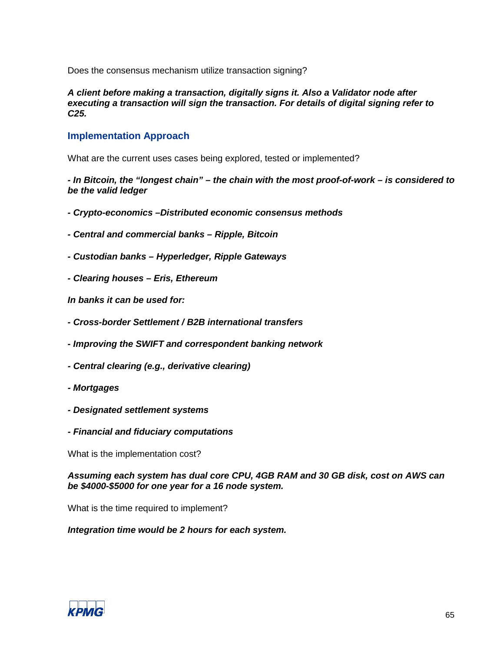Does the consensus mechanism utilize transaction signing?

*A client before making a transaction, digitally signs it. Also a Validator node after executing a transaction will sign the transaction. For details of digital signing refer to C25.*

# **Implementation Approach**

What are the current uses cases being explored, tested or implemented?

*- In Bitcoin, the "longest chain" – the chain with the most proof-of-work – is considered to be the valid ledger*

- *- Crypto-economics –Distributed economic consensus methods*
- *- Central and commercial banks – Ripple, Bitcoin*
- *- Custodian banks – Hyperledger, Ripple Gateways*
- *- Clearing houses – Eris, Ethereum*

*In banks it can be used for:*

- *- Cross-border Settlement / B2B international transfers*
- *- Improving the SWIFT and correspondent banking network*
- *- Central clearing (e.g., derivative clearing)*
- *- Mortgages*
- *- Designated settlement systems*
- *- Financial and fiduciary computations*

What is the implementation cost?

*Assuming each system has dual core CPU, 4GB RAM and 30 GB disk, cost on AWS can be \$4000-\$5000 for one year for a 16 node system.*

What is the time required to implement?

*Integration time would be 2 hours for each system.*

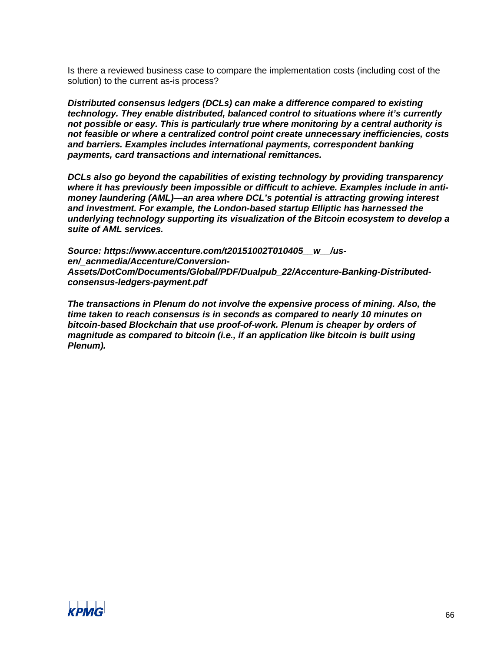Is there a reviewed business case to compare the implementation costs (including cost of the solution) to the current as-is process?

*Distributed consensus ledgers (DCLs) can make a difference compared to existing technology. They enable distributed, balanced control to situations where it's currently not possible or easy. This is particularly true where monitoring by a central authority is not feasible or where a centralized control point create unnecessary inefficiencies, costs and barriers. Examples includes international payments, correspondent banking payments, card transactions and international remittances.* 

*DCLs also go beyond the capabilities of existing technology by providing transparency where it has previously been impossible or difficult to achieve. Examples include in antimoney laundering (AML)—an area where DCL's potential is attracting growing interest and investment. For example, the London-based startup Elliptic has harnessed the underlying technology supporting its visualization of the Bitcoin ecosystem to develop a suite of AML services.*

*Source: https://www.accenture.com/t20151002T010405\_\_w\_\_/usen/\_acnmedia/Accenture/Conversion-Assets/DotCom/Documents/Global/PDF/Dualpub\_22/Accenture-Banking-Distributedconsensus-ledgers-payment.pdf*

*The transactions in Plenum do not involve the expensive process of mining. Also, the time taken to reach consensus is in seconds as compared to nearly 10 minutes on bitcoin-based Blockchain that use proof-of-work. Plenum is cheaper by orders of magnitude as compared to bitcoin (i.e., if an application like bitcoin is built using Plenum).*

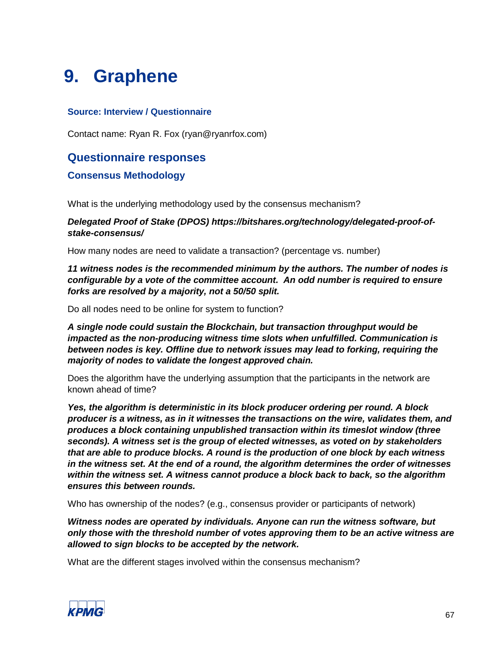# **9. Graphene**

# **Source: Interview / Questionnaire**

Contact name: Ryan R. Fox (ryan@ryanrfox.com)

# **Questionnaire responses**

# **Consensus Methodology**

What is the underlying methodology used by the consensus mechanism?

# *Delegated Proof of Stake (DPOS) https://bitshares.org/technology/delegated-proof-ofstake-consensus/*

How many nodes are need to validate a transaction? (percentage vs. number)

*11 witness nodes is the recommended minimum by the authors. The number of nodes is configurable by a vote of the committee account. An odd number is required to ensure forks are resolved by a majority, not a 50/50 split.*

Do all nodes need to be online for system to function?

*A single node could sustain the Blockchain, but transaction throughput would be impacted as the non-producing witness time slots when unfulfilled. Communication is between nodes is key. Offline due to network issues may lead to forking, requiring the majority of nodes to validate the longest approved chain.*

Does the algorithm have the underlying assumption that the participants in the network are known ahead of time?

*Yes, the algorithm is deterministic in its block producer ordering per round. A block producer is a witness, as in it witnesses the transactions on the wire, validates them, and produces a block containing unpublished transaction within its timeslot window (three seconds). A witness set is the group of elected witnesses, as voted on by stakeholders that are able to produce blocks. A round is the production of one block by each witness in the witness set. At the end of a round, the algorithm determines the order of witnesses within the witness set. A witness cannot produce a block back to back, so the algorithm ensures this between rounds.*

Who has ownership of the nodes? (e.g., consensus provider or participants of network)

*Witness nodes are operated by individuals. Anyone can run the witness software, but only those with the threshold number of votes approving them to be an active witness are allowed to sign blocks to be accepted by the network.*

What are the different stages involved within the consensus mechanism?

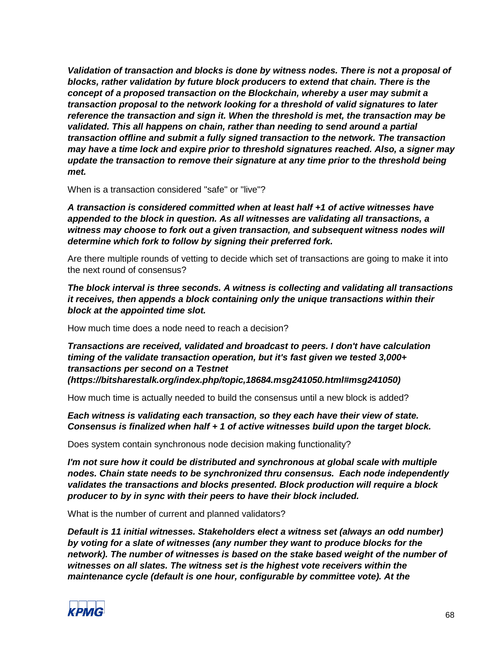*Validation of transaction and blocks is done by witness nodes. There is not a proposal of blocks, rather validation by future block producers to extend that chain. There is the concept of a proposed transaction on the Blockchain, whereby a user may submit a transaction proposal to the network looking for a threshold of valid signatures to later reference the transaction and sign it. When the threshold is met, the transaction may be validated. This all happens on chain, rather than needing to send around a partial transaction offline and submit a fully signed transaction to the network. The transaction may have a time lock and expire prior to threshold signatures reached. Also, a signer may update the transaction to remove their signature at any time prior to the threshold being met.*

When is a transaction considered "safe" or "live"?

*A transaction is considered committed when at least half +1 of active witnesses have appended to the block in question. As all witnesses are validating all transactions, a witness may choose to fork out a given transaction, and subsequent witness nodes will determine which fork to follow by signing their preferred fork.*

Are there multiple rounds of vetting to decide which set of transactions are going to make it into the next round of consensus?

*The block interval is three seconds. A witness is collecting and validating all transactions it receives, then appends a block containing only the unique transactions within their block at the appointed time slot.*

How much time does a node need to reach a decision?

*Transactions are received, validated and broadcast to peers. I don't have calculation timing of the validate transaction operation, but it's fast given we tested 3,000+ transactions per second on a Testnet (https://bitsharestalk.org/index.php/topic,18684.msg241050.html#msg241050)*

How much time is actually needed to build the consensus until a new block is added?

*Each witness is validating each transaction, so they each have their view of state. Consensus is finalized when half + 1 of active witnesses build upon the target block.*

Does system contain synchronous node decision making functionality?

*I'm not sure how it could be distributed and synchronous at global scale with multiple nodes. Chain state needs to be synchronized thru consensus. Each node independently validates the transactions and blocks presented. Block production will require a block producer to by in sync with their peers to have their block included.*

What is the number of current and planned validators?

*Default is 11 initial witnesses. Stakeholders elect a witness set (always an odd number) by voting for a slate of witnesses (any number they want to produce blocks for the network). The number of witnesses is based on the stake based weight of the number of witnesses on all slates. The witness set is the highest vote receivers within the maintenance cycle (default is one hour, configurable by committee vote). At the* 

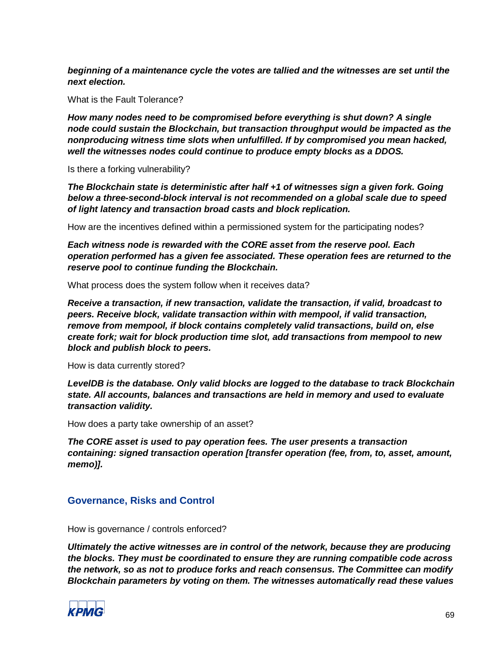*beginning of a maintenance cycle the votes are tallied and the witnesses are set until the next election.*

What is the Fault Tolerance?

*How many nodes need to be compromised before everything is shut down? A single node could sustain the Blockchain, but transaction throughput would be impacted as the nonproducing witness time slots when unfulfilled. If by compromised you mean hacked, well the witnesses nodes could continue to produce empty blocks as a DDOS.*

Is there a forking vulnerability?

*The Blockchain state is deterministic after half +1 of witnesses sign a given fork. Going below a three-second-block interval is not recommended on a global scale due to speed of light latency and transaction broad casts and block replication.*

How are the incentives defined within a permissioned system for the participating nodes?

*Each witness node is rewarded with the CORE asset from the reserve pool. Each operation performed has a given fee associated. These operation fees are returned to the reserve pool to continue funding the Blockchain.*

What process does the system follow when it receives data?

*Receive a transaction, if new transaction, validate the transaction, if valid, broadcast to peers. Receive block, validate transaction within with mempool, if valid transaction, remove from mempool, if block contains completely valid transactions, build on, else create fork; wait for block production time slot, add transactions from mempool to new block and publish block to peers.*

How is data currently stored?

*LevelDB is the database. Only valid blocks are logged to the database to track Blockchain state. All accounts, balances and transactions are held in memory and used to evaluate transaction validity.*

How does a party take ownership of an asset?

*The CORE asset is used to pay operation fees. The user presents a transaction containing: signed transaction operation [transfer operation (fee, from, to, asset, amount, memo)].*

# **Governance, Risks and Control**

How is governance / controls enforced?

*Ultimately the active witnesses are in control of the network, because they are producing the blocks. They must be coordinated to ensure they are running compatible code across the network, so as not to produce forks and reach consensus. The Committee can modify Blockchain parameters by voting on them. The witnesses automatically read these values* 

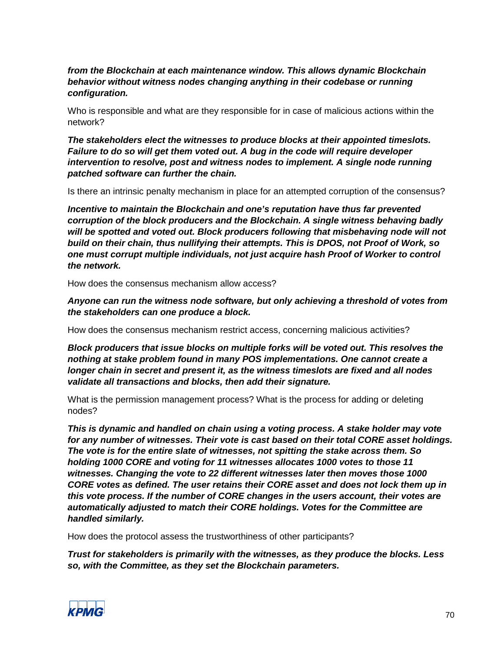# *from the Blockchain at each maintenance window. This allows dynamic Blockchain behavior without witness nodes changing anything in their codebase or running configuration.*

Who is responsible and what are they responsible for in case of malicious actions within the network?

*The stakeholders elect the witnesses to produce blocks at their appointed timeslots. Failure to do so will get them voted out. A bug in the code will require developer intervention to resolve, post and witness nodes to implement. A single node running patched software can further the chain.* 

Is there an intrinsic penalty mechanism in place for an attempted corruption of the consensus?

*Incentive to maintain the Blockchain and one's reputation have thus far prevented corruption of the block producers and the Blockchain. A single witness behaving badly will be spotted and voted out. Block producers following that misbehaving node will not build on their chain, thus nullifying their attempts. This is DPOS, not Proof of Work, so one must corrupt multiple individuals, not just acquire hash Proof of Worker to control the network.*

How does the consensus mechanism allow access?

*Anyone can run the witness node software, but only achieving a threshold of votes from the stakeholders can one produce a block.* 

How does the consensus mechanism restrict access, concerning malicious activities?

*Block producers that issue blocks on multiple forks will be voted out. This resolves the nothing at stake problem found in many POS implementations. One cannot create a longer chain in secret and present it, as the witness timeslots are fixed and all nodes validate all transactions and blocks, then add their signature.*

What is the permission management process? What is the process for adding or deleting nodes?

*This is dynamic and handled on chain using a voting process. A stake holder may vote for any number of witnesses. Their vote is cast based on their total CORE asset holdings. The vote is for the entire slate of witnesses, not spitting the stake across them. So holding 1000 CORE and voting for 11 witnesses allocates 1000 votes to those 11 witnesses. Changing the vote to 22 different witnesses later then moves those 1000 CORE votes as defined. The user retains their CORE asset and does not lock them up in this vote process. If the number of CORE changes in the users account, their votes are automatically adjusted to match their CORE holdings. Votes for the Committee are handled similarly.*

How does the protocol assess the trustworthiness of other participants?

*Trust for stakeholders is primarily with the witnesses, as they produce the blocks. Less so, with the Committee, as they set the Blockchain parameters.*

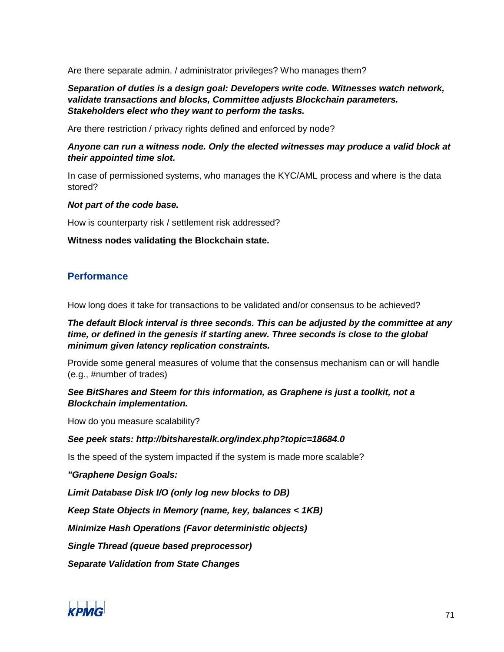Are there separate admin. / administrator privileges? Who manages them?

*Separation of duties is a design goal: Developers write code. Witnesses watch network, validate transactions and blocks, Committee adjusts Blockchain parameters. Stakeholders elect who they want to perform the tasks.*

Are there restriction / privacy rights defined and enforced by node?

# *Anyone can run a witness node. Only the elected witnesses may produce a valid block at their appointed time slot.*

In case of permissioned systems, who manages the KYC/AML process and where is the data stored?

#### *Not part of the code base.*

How is counterparty risk / settlement risk addressed?

**Witness nodes validating the Blockchain state.**

# **Performance**

How long does it take for transactions to be validated and/or consensus to be achieved?

# *The default Block interval is three seconds. This can be adjusted by the committee at any time, or defined in the genesis if starting anew. Three seconds is close to the global minimum given latency replication constraints.*

Provide some general measures of volume that the consensus mechanism can or will handle (e.g., #number of trades)

# *See BitShares and Steem for this information, as Graphene is just a toolkit, not a Blockchain implementation.*

How do you measure scalability?

# *See peek stats: http://bitsharestalk.org/index.php?topic=18684.0*

Is the speed of the system impacted if the system is made more scalable?

*"Graphene Design Goals:*

*Limit Database Disk I/O (only log new blocks to DB)*

*Keep State Objects in Memory (name, key, balances < 1KB)*

*Minimize Hash Operations (Favor deterministic objects)*

*Single Thread (queue based preprocessor)*

*Separate Validation from State Changes*

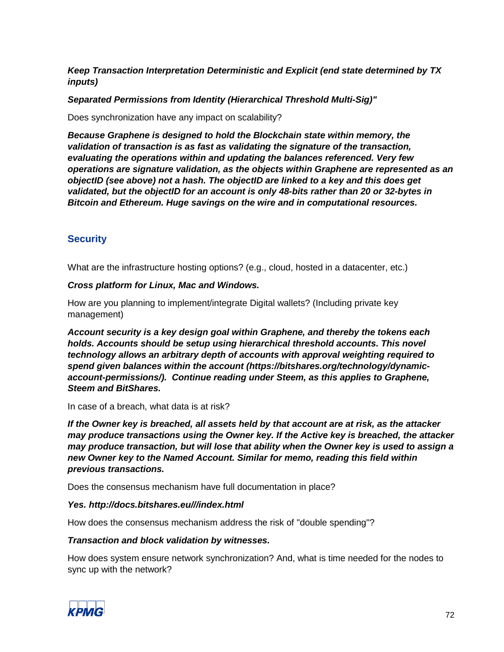*Keep Transaction Interpretation Deterministic and Explicit (end state determined by TX inputs)*

*Separated Permissions from Identity (Hierarchical Threshold Multi-Sig)"*

Does synchronization have any impact on scalability?

*Because Graphene is designed to hold the Blockchain state within memory, the validation of transaction is as fast as validating the signature of the transaction, evaluating the operations within and updating the balances referenced. Very few operations are signature validation, as the objects within Graphene are represented as an objectID (see above) not a hash. The objectID are linked to a key and this does get validated, but the objectID for an account is only 48-bits rather than 20 or 32-bytes in Bitcoin and Ethereum. Huge savings on the wire and in computational resources.*

# **Security**

What are the infrastructure hosting options? (e.g., cloud, hosted in a datacenter, etc.)

# *Cross platform for Linux, Mac and Windows.*

How are you planning to implement/integrate Digital wallets? (Including private key management)

*Account security is a key design goal within Graphene, and thereby the tokens each holds. Accounts should be setup using hierarchical threshold accounts. This novel technology allows an arbitrary depth of accounts with approval weighting required to spend given balances within the account (https://bitshares.org/technology/dynamicaccount-permissions/). Continue reading under Steem, as this applies to Graphene, Steem and BitShares.*

In case of a breach, what data is at risk?

*If the Owner key is breached, all assets held by that account are at risk, as the attacker may produce transactions using the Owner key. If the Active key is breached, the attacker may produce transaction, but will lose that ability when the Owner key is used to assign a new Owner key to the Named Account. Similar for memo, reading this field within previous transactions.*

Does the consensus mechanism have full documentation in place?

# *Yes. http://docs.bitshares.eu///index.html*

How does the consensus mechanism address the risk of "double spending"?

# *Transaction and block validation by witnesses.*

How does system ensure network synchronization? And, what is time needed for the nodes to sync up with the network?

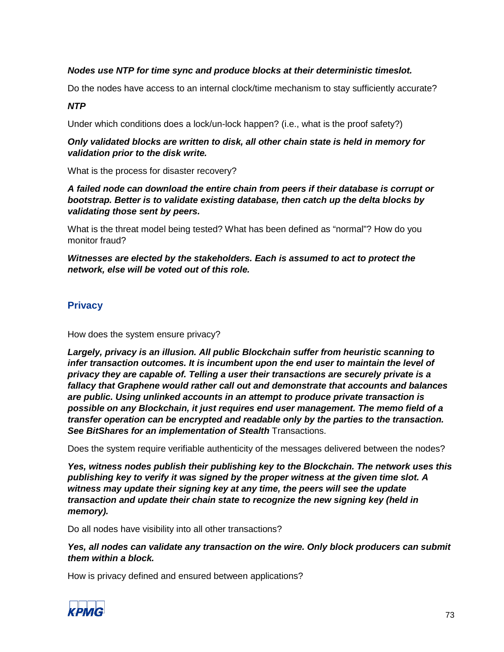# *Nodes use NTP for time sync and produce blocks at their deterministic timeslot.*

Do the nodes have access to an internal clock/time mechanism to stay sufficiently accurate?

#### *NTP*

Under which conditions does a lock/un-lock happen? (i.e., what is the proof safety?)

#### *Only validated blocks are written to disk, all other chain state is held in memory for validation prior to the disk write.*

What is the process for disaster recovery?

*A failed node can download the entire chain from peers if their database is corrupt or bootstrap. Better is to validate existing database, then catch up the delta blocks by validating those sent by peers.*

What is the threat model being tested? What has been defined as "normal"? How do you monitor fraud?

*Witnesses are elected by the stakeholders. Each is assumed to act to protect the network, else will be voted out of this role.*

# **Privacy**

How does the system ensure privacy?

*Largely, privacy is an illusion. All public Blockchain suffer from heuristic scanning to infer transaction outcomes. It is incumbent upon the end user to maintain the level of privacy they are capable of. Telling a user their transactions are securely private is a fallacy that Graphene would rather call out and demonstrate that accounts and balances are public. Using unlinked accounts in an attempt to produce private transaction is possible on any Blockchain, it just requires end user management. The memo field of a transfer operation can be encrypted and readable only by the parties to the transaction.*  **See BitShares for an implementation of Stealth Transactions.** 

Does the system require verifiable authenticity of the messages delivered between the nodes?

*Yes, witness nodes publish their publishing key to the Blockchain. The network uses this publishing key to verify it was signed by the proper witness at the given time slot. A witness may update their signing key at any time, the peers will see the update transaction and update their chain state to recognize the new signing key (held in memory).*

Do all nodes have visibility into all other transactions?

*Yes, all nodes can validate any transaction on the wire. Only block producers can submit them within a block.*

How is privacy defined and ensured between applications?

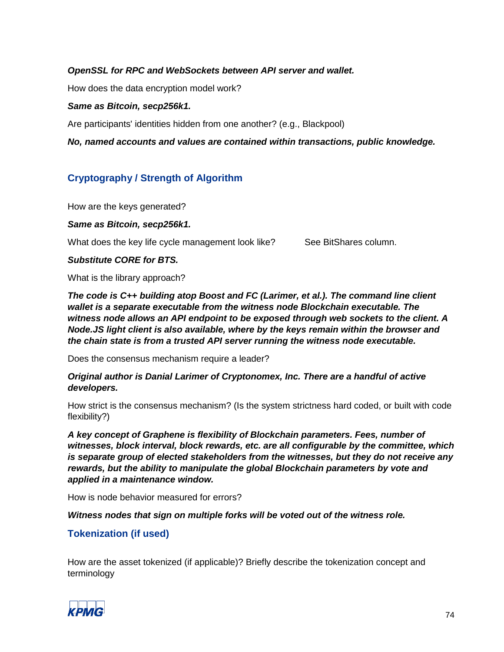## *OpenSSL for RPC and WebSockets between API server and wallet.*

How does the data encryption model work?

#### *Same as Bitcoin, secp256k1.*

Are participants' identities hidden from one another? (e.g., Blackpool)

*No, named accounts and values are contained within transactions, public knowledge.*

# **Cryptography / Strength of Algorithm**

How are the keys generated?

#### *Same as Bitcoin, secp256k1.*

What does the key life cycle management look like? See BitShares column.

### *Substitute CORE for BTS.*

What is the library approach?

*The code is C++ building atop Boost and FC (Larimer, et al.). The command line client wallet is a separate executable from the witness node Blockchain executable. The witness node allows an API endpoint to be exposed through web sockets to the client. A Node.JS light client is also available, where by the keys remain within the browser and the chain state is from a trusted API server running the witness node executable.*

Does the consensus mechanism require a leader?

*Original author is Danial Larimer of Cryptonomex, Inc. There are a handful of active developers.* 

How strict is the consensus mechanism? (Is the system strictness hard coded, or built with code flexibility?)

*A key concept of Graphene is flexibility of Blockchain parameters. Fees, number of witnesses, block interval, block rewards, etc. are all configurable by the committee, which is separate group of elected stakeholders from the witnesses, but they do not receive any rewards, but the ability to manipulate the global Blockchain parameters by vote and applied in a maintenance window.*

How is node behavior measured for errors?

*Witness nodes that sign on multiple forks will be voted out of the witness role.*

# **Tokenization (if used)**

How are the asset tokenized (if applicable)? Briefly describe the tokenization concept and terminology

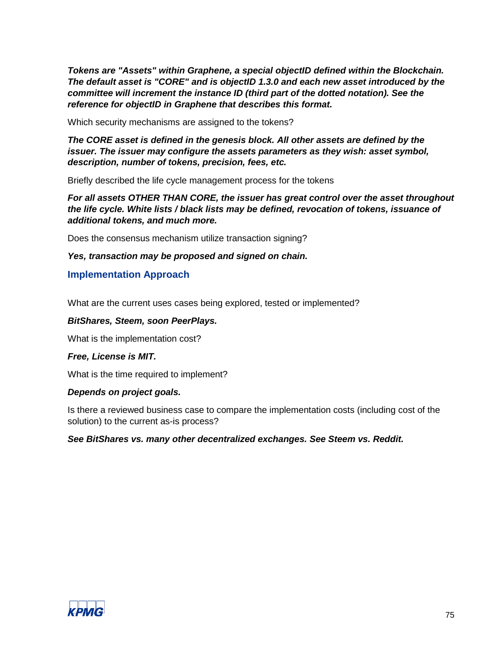*Tokens are "Assets" within Graphene, a special objectID defined within the Blockchain. The default asset is "CORE" and is objectID 1.3.0 and each new asset introduced by the committee will increment the instance ID (third part of the dotted notation). See the reference for objectID in Graphene that describes this format.*

Which security mechanisms are assigned to the tokens?

*The CORE asset is defined in the genesis block. All other assets are defined by the issuer. The issuer may configure the assets parameters as they wish: asset symbol, description, number of tokens, precision, fees, etc.*

Briefly described the life cycle management process for the tokens

*For all assets OTHER THAN CORE, the issuer has great control over the asset throughout the life cycle. White lists / black lists may be defined, revocation of tokens, issuance of additional tokens, and much more.*

Does the consensus mechanism utilize transaction signing?

*Yes, transaction may be proposed and signed on chain.*

#### **Implementation Approach**

What are the current uses cases being explored, tested or implemented?

#### *BitShares, Steem, soon PeerPlays.*

What is the implementation cost?

#### *Free, License is MIT.*

What is the time required to implement?

#### *Depends on project goals.*

Is there a reviewed business case to compare the implementation costs (including cost of the solution) to the current as-is process?

*See BitShares vs. many other decentralized exchanges. See Steem vs. Reddit.*

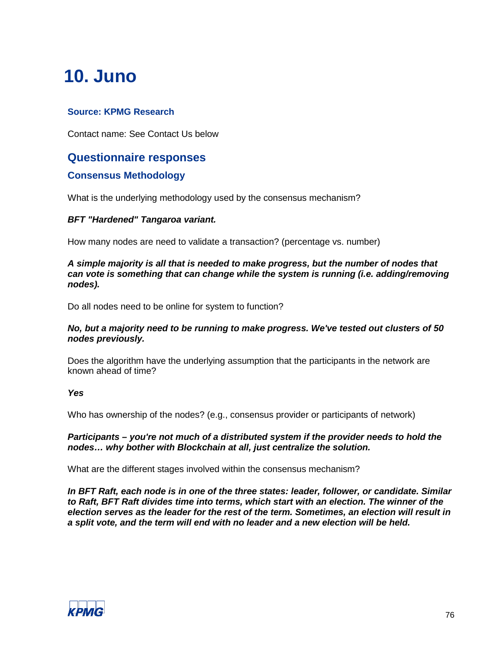# **10. Juno**

# **Source: KPMG Research**

Contact name: See Contact Us below

# **Questionnaire responses**

## **Consensus Methodology**

What is the underlying methodology used by the consensus mechanism?

### *BFT "Hardened" Tangaroa variant.*

How many nodes are need to validate a transaction? (percentage vs. number)

#### *A simple majority is all that is needed to make progress, but the number of nodes that can vote is something that can change while the system is running (i.e. adding/removing nodes).*

Do all nodes need to be online for system to function?

#### *No, but a majority need to be running to make progress. We've tested out clusters of 50 nodes previously.*

Does the algorithm have the underlying assumption that the participants in the network are known ahead of time?

#### *Yes*

Who has ownership of the nodes? (e.g., consensus provider or participants of network)

#### *Participants – you're not much of a distributed system if the provider needs to hold the nodes… why bother with Blockchain at all, just centralize the solution.*

What are the different stages involved within the consensus mechanism?

*In BFT Raft, each node is in one of the three states: leader, follower, or candidate. Similar to Raft, BFT Raft divides time into terms, which start with an election. The winner of the election serves as the leader for the rest of the term. Sometimes, an election will result in a split vote, and the term will end with no leader and a new election will be held.*

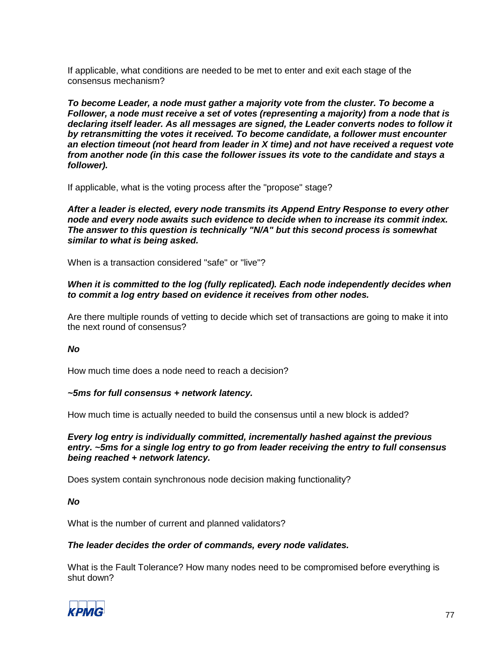If applicable, what conditions are needed to be met to enter and exit each stage of the consensus mechanism?

*To become Leader, a node must gather a majority vote from the cluster. To become a Follower, a node must receive a set of votes (representing a majority) from a node that is declaring itself leader. As all messages are signed, the Leader converts nodes to follow it by retransmitting the votes it received. To become candidate, a follower must encounter an election timeout (not heard from leader in X time) and not have received a request vote from another node (in this case the follower issues its vote to the candidate and stays a follower).*

If applicable, what is the voting process after the "propose" stage?

*After a leader is elected, every node transmits its Append Entry Response to every other node and every node awaits such evidence to decide when to increase its commit index. The answer to this question is technically "N/A" but this second process is somewhat similar to what is being asked.*

When is a transaction considered "safe" or "live"?

#### *When it is committed to the log (fully replicated). Each node independently decides when to commit a log entry based on evidence it receives from other nodes.*

Are there multiple rounds of vetting to decide which set of transactions are going to make it into the next round of consensus?

#### *No*

How much time does a node need to reach a decision?

#### *~5ms for full consensus + network latency.*

How much time is actually needed to build the consensus until a new block is added?

*Every log entry is individually committed, incrementally hashed against the previous entry. ~5ms for a single log entry to go from leader receiving the entry to full consensus being reached + network latency.*

Does system contain synchronous node decision making functionality?

#### *No*

What is the number of current and planned validators?

#### *The leader decides the order of commands, every node validates.*

What is the Fault Tolerance? How many nodes need to be compromised before everything is shut down?

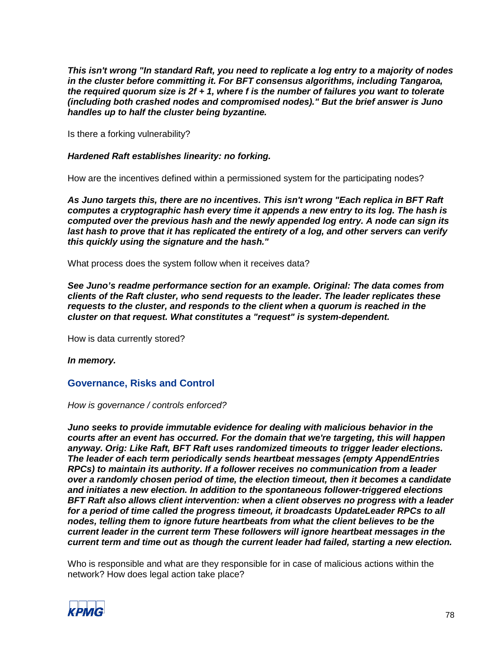*This isn't wrong "In standard Raft, you need to replicate a log entry to a majority of nodes in the cluster before committing it. For BFT consensus algorithms, including Tangaroa, the required quorum size is 2f + 1, where f is the number of failures you want to tolerate (including both crashed nodes and compromised nodes)." But the brief answer is Juno handles up to half the cluster being byzantine.*

Is there a forking vulnerability?

#### *Hardened Raft establishes linearity: no forking.*

How are the incentives defined within a permissioned system for the participating nodes?

*As Juno targets this, there are no incentives. This isn't wrong "Each replica in BFT Raft computes a cryptographic hash every time it appends a new entry to its log. The hash is computed over the previous hash and the newly appended log entry. A node can sign its*  last hash to prove that it has replicated the entirety of a log, and other servers can verify *this quickly using the signature and the hash."*

What process does the system follow when it receives data?

*See Juno's readme performance section for an example. Original: The data comes from clients of the Raft cluster, who send requests to the leader. The leader replicates these requests to the cluster, and responds to the client when a quorum is reached in the cluster on that request. What constitutes a "request" is system-dependent.*

How is data currently stored?

*In memory.*

### **Governance, Risks and Control**

*How is governance / controls enforced?*

*Juno seeks to provide immutable evidence for dealing with malicious behavior in the courts after an event has occurred. For the domain that we're targeting, this will happen anyway. Orig: Like Raft, BFT Raft uses randomized timeouts to trigger leader elections. The leader of each term periodically sends heartbeat messages (empty AppendEntries RPCs) to maintain its authority. If a follower receives no communication from a leader over a randomly chosen period of time, the election timeout, then it becomes a candidate and initiates a new election. In addition to the spontaneous follower-triggered elections BFT Raft also allows client intervention: when a client observes no progress with a leader for a period of time called the progress timeout, it broadcasts UpdateLeader RPCs to all nodes, telling them to ignore future heartbeats from what the client believes to be the current leader in the current term These followers will ignore heartbeat messages in the current term and time out as though the current leader had failed, starting a new election.*

Who is responsible and what are they responsible for in case of malicious actions within the network? How does legal action take place?

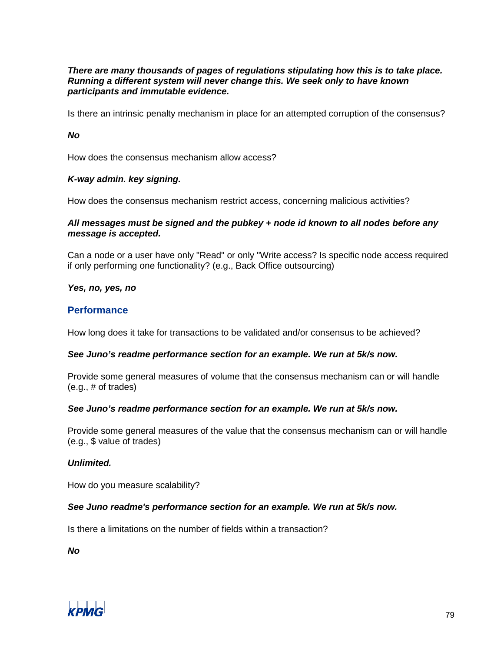#### *There are many thousands of pages of regulations stipulating how this is to take place. Running a different system will never change this. We seek only to have known participants and immutable evidence.*

Is there an intrinsic penalty mechanism in place for an attempted corruption of the consensus?

*No*

How does the consensus mechanism allow access?

#### *K-way admin. key signing.*

How does the consensus mechanism restrict access, concerning malicious activities?

#### *All messages must be signed and the pubkey + node id known to all nodes before any message is accepted.*

Can a node or a user have only "Read" or only "Write access? Is specific node access required if only performing one functionality? (e.g., Back Office outsourcing)

*Yes, no, yes, no*

### **Performance**

How long does it take for transactions to be validated and/or consensus to be achieved?

#### *See Juno's readme performance section for an example. We run at 5k/s now.*

Provide some general measures of volume that the consensus mechanism can or will handle (e.g., # of trades)

#### *See Juno's readme performance section for an example. We run at 5k/s now.*

Provide some general measures of the value that the consensus mechanism can or will handle (e.g., \$ value of trades)

#### *Unlimited.*

How do you measure scalability?

#### *See Juno readme's performance section for an example. We run at 5k/s now.*

Is there a limitations on the number of fields within a transaction?

*No*

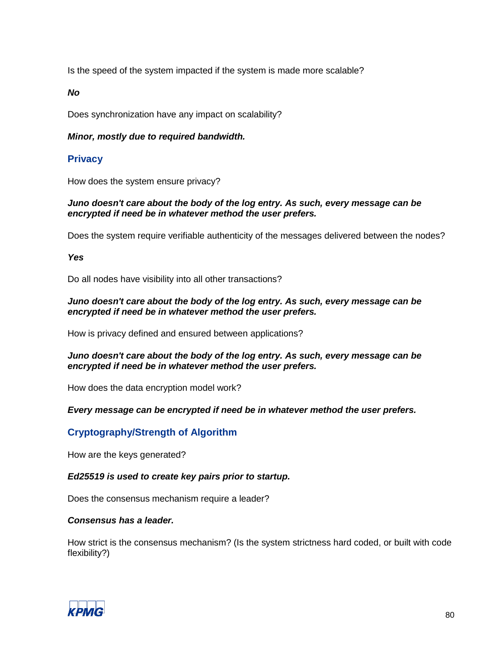Is the speed of the system impacted if the system is made more scalable?

*No*

Does synchronization have any impact on scalability?

### *Minor, mostly due to required bandwidth.*

# **Privacy**

How does the system ensure privacy?

### *Juno doesn't care about the body of the log entry. As such, every message can be encrypted if need be in whatever method the user prefers.*

Does the system require verifiable authenticity of the messages delivered between the nodes?

*Yes*

Do all nodes have visibility into all other transactions?

### *Juno doesn't care about the body of the log entry. As such, every message can be encrypted if need be in whatever method the user prefers.*

How is privacy defined and ensured between applications?

### *Juno doesn't care about the body of the log entry. As such, every message can be encrypted if need be in whatever method the user prefers.*

How does the data encryption model work?

### *Every message can be encrypted if need be in whatever method the user prefers.*

# **Cryptography/Strength of Algorithm**

How are the keys generated?

*Ed25519 is used to create key pairs prior to startup.*

Does the consensus mechanism require a leader?

### *Consensus has a leader.*

How strict is the consensus mechanism? (Is the system strictness hard coded, or built with code flexibility?)

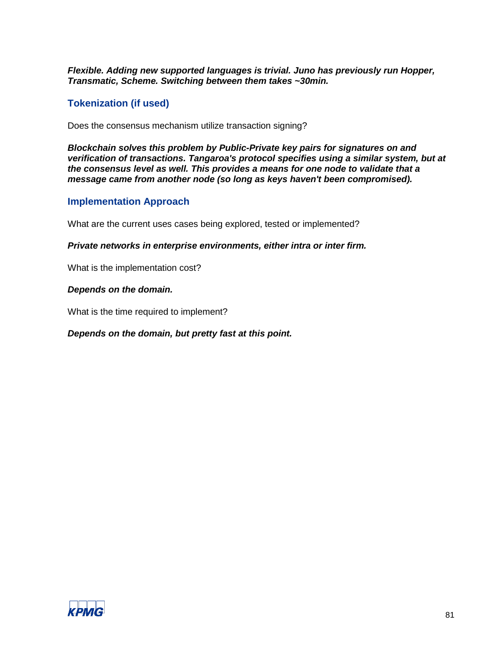*Flexible. Adding new supported languages is trivial. Juno has previously run Hopper, Transmatic, Scheme. Switching between them takes ~30min.*

# **Tokenization (if used)**

Does the consensus mechanism utilize transaction signing?

*Blockchain solves this problem by Public-Private key pairs for signatures on and verification of transactions. Tangaroa's protocol specifies using a similar system, but at the consensus level as well. This provides a means for one node to validate that a message came from another node (so long as keys haven't been compromised).*

## **Implementation Approach**

What are the current uses cases being explored, tested or implemented?

*Private networks in enterprise environments, either intra or inter firm.*

What is the implementation cost?

#### *Depends on the domain.*

What is the time required to implement?

### *Depends on the domain, but pretty fast at this point.*

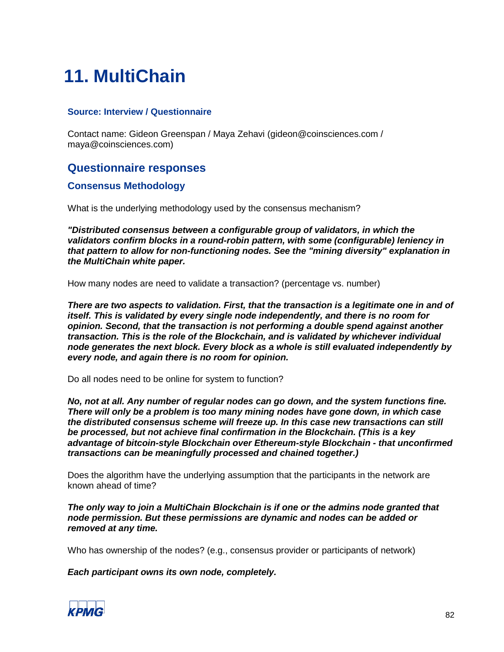# **11. MultiChain**

### **Source: Interview / Questionnaire**

Contact name: Gideon Greenspan / Maya Zehavi (gideon@coinsciences.com / maya@coinsciences.com)

# **Questionnaire responses**

# **Consensus Methodology**

What is the underlying methodology used by the consensus mechanism?

*"Distributed consensus between a configurable group of validators, in which the validators confirm blocks in a round-robin pattern, with some (configurable) leniency in that pattern to allow for non-functioning nodes. See the "mining diversity" explanation in the MultiChain white paper.*

How many nodes are need to validate a transaction? (percentage vs. number)

*There are two aspects to validation. First, that the transaction is a legitimate one in and of itself. This is validated by every single node independently, and there is no room for opinion. Second, that the transaction is not performing a double spend against another transaction. This is the role of the Blockchain, and is validated by whichever individual node generates the next block. Every block as a whole is still evaluated independently by every node, and again there is no room for opinion.*

Do all nodes need to be online for system to function?

*No, not at all. Any number of regular nodes can go down, and the system functions fine. There will only be a problem is too many mining nodes have gone down, in which case the distributed consensus scheme will freeze up. In this case new transactions can still be processed, but not achieve final confirmation in the Blockchain. (This is a key advantage of bitcoin-style Blockchain over Ethereum-style Blockchain - that unconfirmed transactions can be meaningfully processed and chained together.)*

Does the algorithm have the underlying assumption that the participants in the network are known ahead of time?

*The only way to join a MultiChain Blockchain is if one or the admins node granted that node permission. But these permissions are dynamic and nodes can be added or removed at any time.*

Who has ownership of the nodes? (e.g., consensus provider or participants of network)

*Each participant owns its own node, completely.*

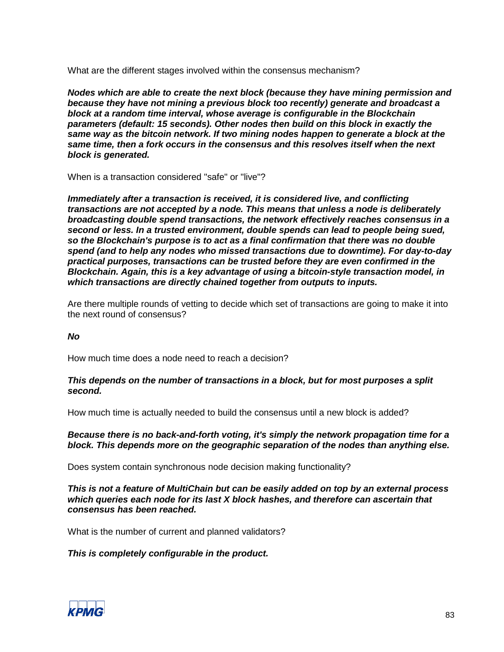What are the different stages involved within the consensus mechanism?

*Nodes which are able to create the next block (because they have mining permission and because they have not mining a previous block too recently) generate and broadcast a block at a random time interval, whose average is configurable in the Blockchain parameters (default: 15 seconds). Other nodes then build on this block in exactly the same way as the bitcoin network. If two mining nodes happen to generate a block at the same time, then a fork occurs in the consensus and this resolves itself when the next block is generated.*

When is a transaction considered "safe" or "live"?

*Immediately after a transaction is received, it is considered live, and conflicting transactions are not accepted by a node. This means that unless a node is deliberately broadcasting double spend transactions, the network effectively reaches consensus in a second or less. In a trusted environment, double spends can lead to people being sued, so the Blockchain's purpose is to act as a final confirmation that there was no double spend (and to help any nodes who missed transactions due to downtime). For day-to-day practical purposes, transactions can be trusted before they are even confirmed in the Blockchain. Again, this is a key advantage of using a bitcoin-style transaction model, in which transactions are directly chained together from outputs to inputs.*

Are there multiple rounds of vetting to decide which set of transactions are going to make it into the next round of consensus?

#### *No*

How much time does a node need to reach a decision?

#### *This depends on the number of transactions in a block, but for most purposes a split second.*

How much time is actually needed to build the consensus until a new block is added?

#### *Because there is no back-and-forth voting, it's simply the network propagation time for a block. This depends more on the geographic separation of the nodes than anything else.*

Does system contain synchronous node decision making functionality?

*This is not a feature of MultiChain but can be easily added on top by an external process which queries each node for its last X block hashes, and therefore can ascertain that consensus has been reached.*

What is the number of current and planned validators?

#### *This is completely configurable in the product.*

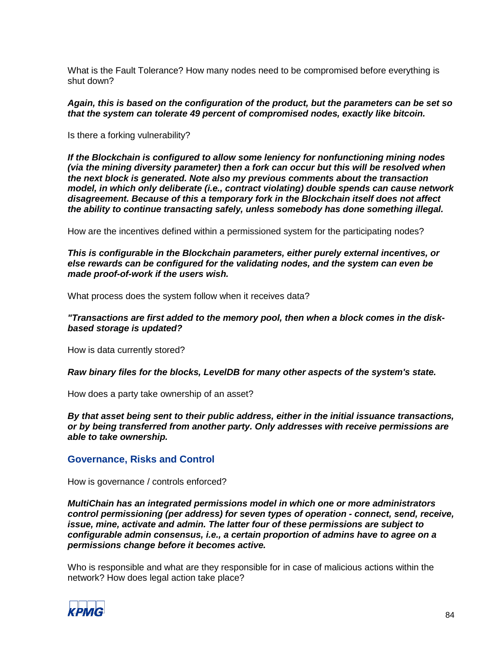What is the Fault Tolerance? How many nodes need to be compromised before everything is shut down?

*Again, this is based on the configuration of the product, but the parameters can be set so that the system can tolerate 49 percent of compromised nodes, exactly like bitcoin.*

Is there a forking vulnerability?

*If the Blockchain is configured to allow some leniency for nonfunctioning mining nodes (via the mining diversity parameter) then a fork can occur but this will be resolved when the next block is generated. Note also my previous comments about the transaction model, in which only deliberate (i.e., contract violating) double spends can cause network disagreement. Because of this a temporary fork in the Blockchain itself does not affect the ability to continue transacting safely, unless somebody has done something illegal.*

How are the incentives defined within a permissioned system for the participating nodes?

*This is configurable in the Blockchain parameters, either purely external incentives, or else rewards can be configured for the validating nodes, and the system can even be made proof-of-work if the users wish.*

What process does the system follow when it receives data?

*"Transactions are first added to the memory pool, then when a block comes in the diskbased storage is updated?*

How is data currently stored?

*Raw binary files for the blocks, LevelDB for many other aspects of the system's state.*

How does a party take ownership of an asset?

*By that asset being sent to their public address, either in the initial issuance transactions, or by being transferred from another party. Only addresses with receive permissions are able to take ownership.*

### **Governance, Risks and Control**

How is governance / controls enforced?

*MultiChain has an integrated permissions model in which one or more administrators control permissioning (per address) for seven types of operation - connect, send, receive, issue, mine, activate and admin. The latter four of these permissions are subject to configurable admin consensus, i.e., a certain proportion of admins have to agree on a permissions change before it becomes active.*

Who is responsible and what are they responsible for in case of malicious actions within the network? How does legal action take place?

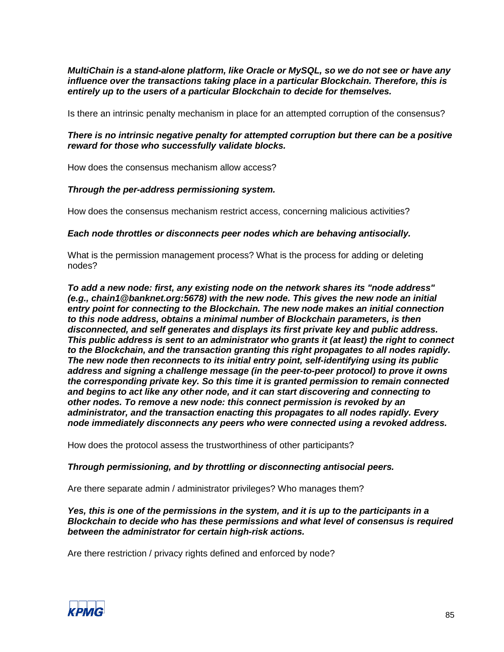*MultiChain is a stand-alone platform, like Oracle or MySQL, so we do not see or have any influence over the transactions taking place in a particular Blockchain. Therefore, this is entirely up to the users of a particular Blockchain to decide for themselves.*

Is there an intrinsic penalty mechanism in place for an attempted corruption of the consensus?

### *There is no intrinsic negative penalty for attempted corruption but there can be a positive reward for those who successfully validate blocks.*

How does the consensus mechanism allow access?

### *Through the per-address permissioning system.*

How does the consensus mechanism restrict access, concerning malicious activities?

#### *Each node throttles or disconnects peer nodes which are behaving antisocially.*

What is the permission management process? What is the process for adding or deleting nodes?

*To add a new node: first, any existing node on the network shares its "node address" (e.g., chain1@banknet.org:5678) with the new node. This gives the new node an initial entry point for connecting to the Blockchain. The new node makes an initial connection to this node address, obtains a minimal number of Blockchain parameters, is then disconnected, and self generates and displays its first private key and public address. This public address is sent to an administrator who grants it (at least) the right to connect to the Blockchain, and the transaction granting this right propagates to all nodes rapidly. The new node then reconnects to its initial entry point, self-identifying using its public address and signing a challenge message (in the peer-to-peer protocol) to prove it owns the corresponding private key. So this time it is granted permission to remain connected and begins to act like any other node, and it can start discovering and connecting to other nodes. To remove a new node: this connect permission is revoked by an administrator, and the transaction enacting this propagates to all nodes rapidly. Every node immediately disconnects any peers who were connected using a revoked address.*

How does the protocol assess the trustworthiness of other participants?

#### *Through permissioning, and by throttling or disconnecting antisocial peers.*

Are there separate admin / administrator privileges? Who manages them?

*Yes, this is one of the permissions in the system, and it is up to the participants in a Blockchain to decide who has these permissions and what level of consensus is required between the administrator for certain high-risk actions.*

Are there restriction / privacy rights defined and enforced by node?

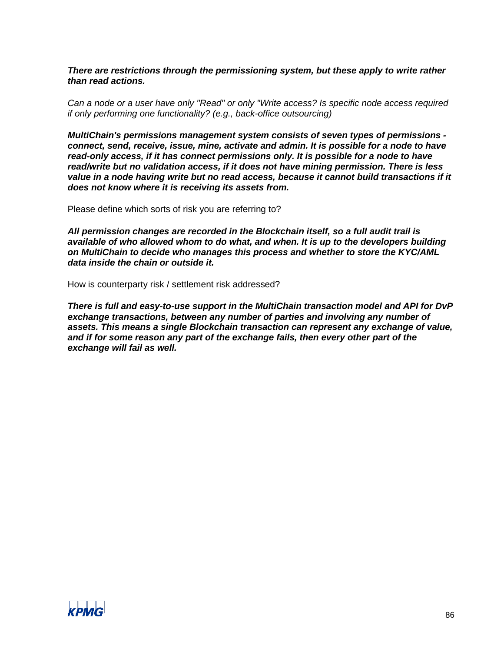*There are restrictions through the permissioning system, but these apply to write rather than read actions.*

*Can a node or a user have only "Read" or only "Write access? Is specific node access required if only performing one functionality? (e.g., back-office outsourcing)*

*MultiChain's permissions management system consists of seven types of permissions connect, send, receive, issue, mine, activate and admin. It is possible for a node to have read-only access, if it has connect permissions only. It is possible for a node to have read/write but no validation access, if it does not have mining permission. There is less value in a node having write but no read access, because it cannot build transactions if it does not know where it is receiving its assets from.*

Please define which sorts of risk you are referring to?

*All permission changes are recorded in the Blockchain itself, so a full audit trail is available of who allowed whom to do what, and when. It is up to the developers building on MultiChain to decide who manages this process and whether to store the KYC/AML data inside the chain or outside it.*

How is counterparty risk / settlement risk addressed?

*There is full and easy-to-use support in the MultiChain transaction model and API for DvP exchange transactions, between any number of parties and involving any number of assets. This means a single Blockchain transaction can represent any exchange of value, and if for some reason any part of the exchange fails, then every other part of the exchange will fail as well.*

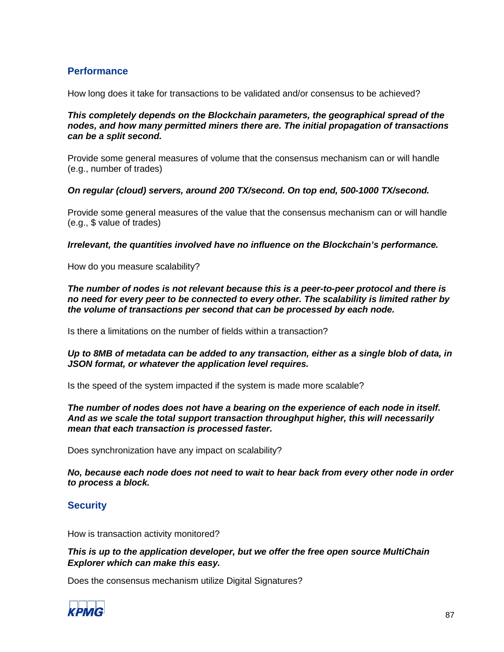# **Performance**

How long does it take for transactions to be validated and/or consensus to be achieved?

*This completely depends on the Blockchain parameters, the geographical spread of the nodes, and how many permitted miners there are. The initial propagation of transactions can be a split second.*

Provide some general measures of volume that the consensus mechanism can or will handle (e.g., number of trades)

#### *On regular (cloud) servers, around 200 TX/second. On top end, 500-1000 TX/second.*

Provide some general measures of the value that the consensus mechanism can or will handle (e.g., \$ value of trades)

*Irrelevant, the quantities involved have no influence on the Blockchain's performance.*

How do you measure scalability?

*The number of nodes is not relevant because this is a peer-to-peer protocol and there is no need for every peer to be connected to every other. The scalability is limited rather by the volume of transactions per second that can be processed by each node.*

Is there a limitations on the number of fields within a transaction?

### *Up to 8MB of metadata can be added to any transaction, either as a single blob of data, in JSON format, or whatever the application level requires.*

Is the speed of the system impacted if the system is made more scalable?

*The number of nodes does not have a bearing on the experience of each node in itself. And as we scale the total support transaction throughput higher, this will necessarily mean that each transaction is processed faster.*

Does synchronization have any impact on scalability?

*No, because each node does not need to wait to hear back from every other node in order to process a block.*

# **Security**

How is transaction activity monitored?

### *This is up to the application developer, but we offer the free open source MultiChain Explorer which can make this easy.*

Does the consensus mechanism utilize Digital Signatures?

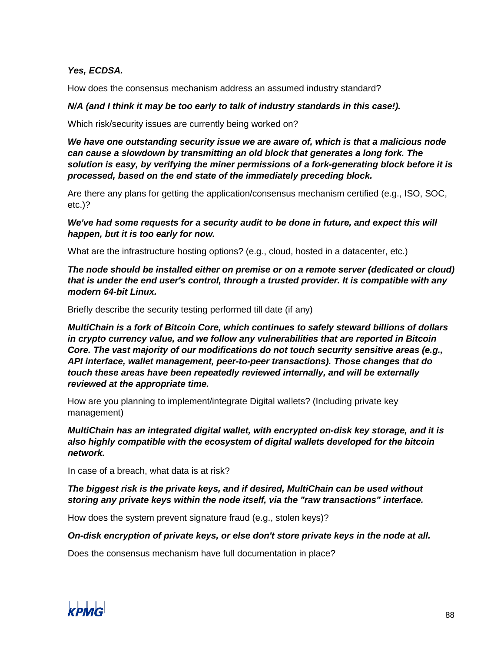## *Yes, ECDSA.*

How does the consensus mechanism address an assumed industry standard?

#### *N/A (and I think it may be too early to talk of industry standards in this case!).*

Which risk/security issues are currently being worked on?

*We have one outstanding security issue we are aware of, which is that a malicious node can cause a slowdown by transmitting an old block that generates a long fork. The solution is easy, by verifying the miner permissions of a fork-generating block before it is processed, based on the end state of the immediately preceding block.*

Are there any plans for getting the application/consensus mechanism certified (e.g., ISO, SOC, etc.)?

We've had some requests for a security audit to be done in future, and expect this will *happen, but it is too early for now.*

What are the infrastructure hosting options? (e.g., cloud, hosted in a datacenter, etc.)

*The node should be installed either on premise or on a remote server (dedicated or cloud) that is under the end user's control, through a trusted provider. It is compatible with any modern 64-bit Linux.*

Briefly describe the security testing performed till date (if any)

*MultiChain is a fork of Bitcoin Core, which continues to safely steward billions of dollars in crypto currency value, and we follow any vulnerabilities that are reported in Bitcoin Core. The vast majority of our modifications do not touch security sensitive areas (e.g., API interface, wallet management, peer-to-peer transactions). Those changes that do touch these areas have been repeatedly reviewed internally, and will be externally reviewed at the appropriate time.*

How are you planning to implement/integrate Digital wallets? (Including private key management)

*MultiChain has an integrated digital wallet, with encrypted on-disk key storage, and it is also highly compatible with the ecosystem of digital wallets developed for the bitcoin network.*

In case of a breach, what data is at risk?

*The biggest risk is the private keys, and if desired, MultiChain can be used without storing any private keys within the node itself, via the "raw transactions" interface.*

How does the system prevent signature fraud (e.g., stolen keys)?

*On-disk encryption of private keys, or else don't store private keys in the node at all.*

Does the consensus mechanism have full documentation in place?

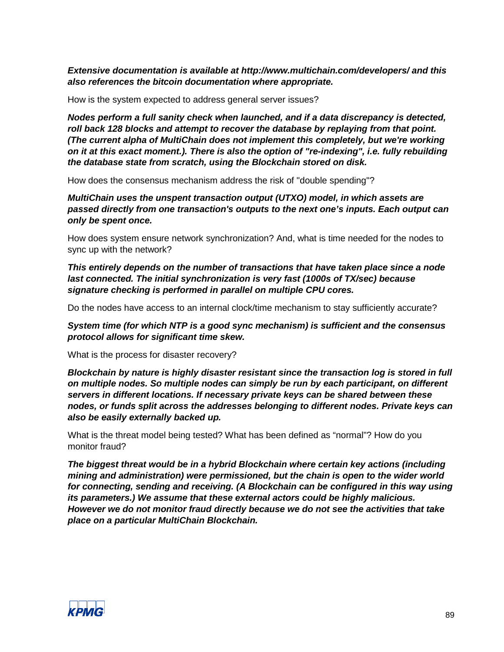*Extensive documentation is available at http://www.multichain.com/developers/ and this also references the bitcoin documentation where appropriate.*

How is the system expected to address general server issues?

*Nodes perform a full sanity check when launched, and if a data discrepancy is detected, roll back 128 blocks and attempt to recover the database by replaying from that point. (The current alpha of MultiChain does not implement this completely, but we're working on it at this exact moment.). There is also the option of "re-indexing", i.e. fully rebuilding the database state from scratch, using the Blockchain stored on disk.*

How does the consensus mechanism address the risk of "double spending"?

*MultiChain uses the unspent transaction output (UTXO) model, in which assets are passed directly from one transaction's outputs to the next one's inputs. Each output can only be spent once.*

How does system ensure network synchronization? And, what is time needed for the nodes to sync up with the network?

*This entirely depends on the number of transactions that have taken place since a node last connected. The initial synchronization is very fast (1000s of TX/sec) because signature checking is performed in parallel on multiple CPU cores.*

Do the nodes have access to an internal clock/time mechanism to stay sufficiently accurate?

*System time (for which NTP is a good sync mechanism) is sufficient and the consensus protocol allows for significant time skew.* 

What is the process for disaster recovery?

*Blockchain by nature is highly disaster resistant since the transaction log is stored in full on multiple nodes. So multiple nodes can simply be run by each participant, on different servers in different locations. If necessary private keys can be shared between these nodes, or funds split across the addresses belonging to different nodes. Private keys can also be easily externally backed up.*

What is the threat model being tested? What has been defined as "normal"? How do you monitor fraud?

*The biggest threat would be in a hybrid Blockchain where certain key actions (including mining and administration) were permissioned, but the chain is open to the wider world for connecting, sending and receiving. (A Blockchain can be configured in this way using its parameters.) We assume that these external actors could be highly malicious. However we do not monitor fraud directly because we do not see the activities that take place on a particular MultiChain Blockchain.*

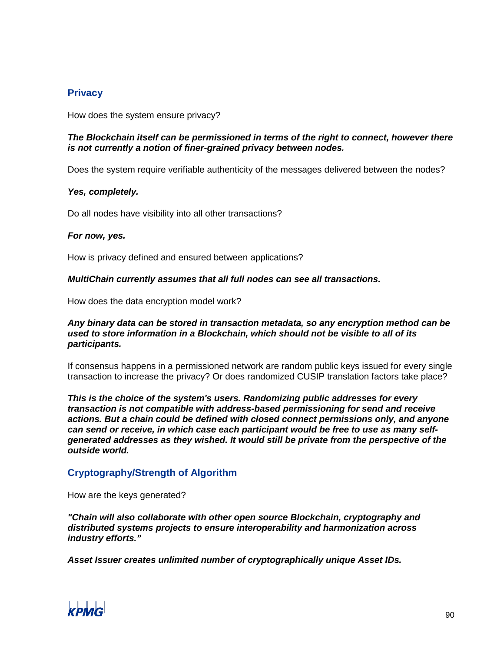# **Privacy**

How does the system ensure privacy?

#### *The Blockchain itself can be permissioned in terms of the right to connect, however there is not currently a notion of finer-grained privacy between nodes.*

Does the system require verifiable authenticity of the messages delivered between the nodes?

#### *Yes, completely.*

Do all nodes have visibility into all other transactions?

#### *For now, yes.*

How is privacy defined and ensured between applications?

#### *MultiChain currently assumes that all full nodes can see all transactions.*

How does the data encryption model work?

#### *Any binary data can be stored in transaction metadata, so any encryption method can be used to store information in a Blockchain, which should not be visible to all of its participants.*

If consensus happens in a permissioned network are random public keys issued for every single transaction to increase the privacy? Or does randomized CUSIP translation factors take place?

*This is the choice of the system's users. Randomizing public addresses for every transaction is not compatible with address-based permissioning for send and receive actions. But a chain could be defined with closed connect permissions only, and anyone can send or receive, in which case each participant would be free to use as many selfgenerated addresses as they wished. It would still be private from the perspective of the outside world.*

# **Cryptography/Strength of Algorithm**

How are the keys generated?

*"Chain will also collaborate with other open source Blockchain, cryptography and distributed systems projects to ensure interoperability and harmonization across industry efforts."*

*Asset Issuer creates unlimited number of cryptographically unique Asset IDs.* 

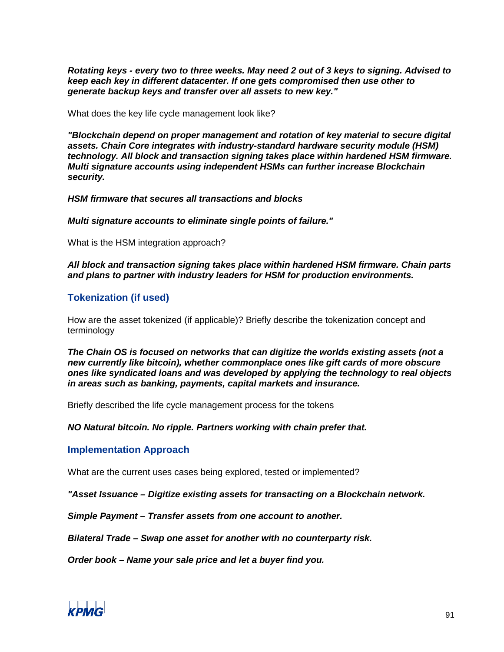*Rotating keys - every two to three weeks. May need 2 out of 3 keys to signing. Advised to keep each key in different datacenter. If one gets compromised then use other to generate backup keys and transfer over all assets to new key."*

What does the key life cycle management look like?

*"Blockchain depend on proper management and rotation of key material to secure digital assets. Chain Core integrates with industry-standard hardware security module (HSM) technology. All block and transaction signing takes place within hardened HSM firmware. Multi signature accounts using independent HSMs can further increase Blockchain security.*

*HSM firmware that secures all transactions and blocks*

*Multi signature accounts to eliminate single points of failure."*

What is the HSM integration approach?

*All block and transaction signing takes place within hardened HSM firmware. Chain parts and plans to partner with industry leaders for HSM for production environments.*

## **Tokenization (if used)**

How are the asset tokenized (if applicable)? Briefly describe the tokenization concept and terminology

*The Chain OS is focused on networks that can digitize the worlds existing assets (not a new currently like bitcoin), whether commonplace ones like gift cards of more obscure ones like syndicated loans and was developed by applying the technology to real objects in areas such as banking, payments, capital markets and insurance.*

Briefly described the life cycle management process for the tokens

*NO Natural bitcoin. No ripple. Partners working with chain prefer that.*

**Implementation Approach**

What are the current uses cases being explored, tested or implemented?

*"Asset Issuance – Digitize existing assets for transacting on a Blockchain network.*

*Simple Payment – Transfer assets from one account to another.*

*Bilateral Trade – Swap one asset for another with no counterparty risk.*

*Order book – Name your sale price and let a buyer find you.*

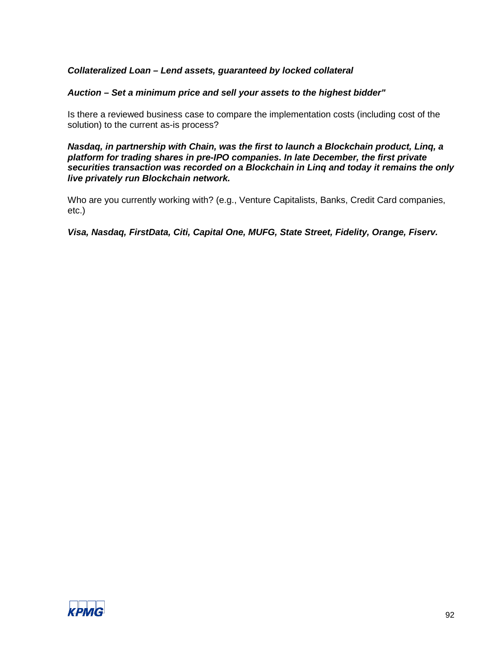# *Collateralized Loan – Lend assets, guaranteed by locked collateral*

#### *Auction – Set a minimum price and sell your assets to the highest bidder"*

Is there a reviewed business case to compare the implementation costs (including cost of the solution) to the current as-is process?

*Nasdaq, in partnership with Chain, was the first to launch a Blockchain product, Linq, a platform for trading shares in pre-IPO companies. In late December, the first private securities transaction was recorded on a Blockchain in Linq and today it remains the only live privately run Blockchain network.*

Who are you currently working with? (e.g., Venture Capitalists, Banks, Credit Card companies, etc.)

*Visa, Nasdaq, FirstData, Citi, Capital One, MUFG, State Street, Fidelity, Orange, Fiserv.*

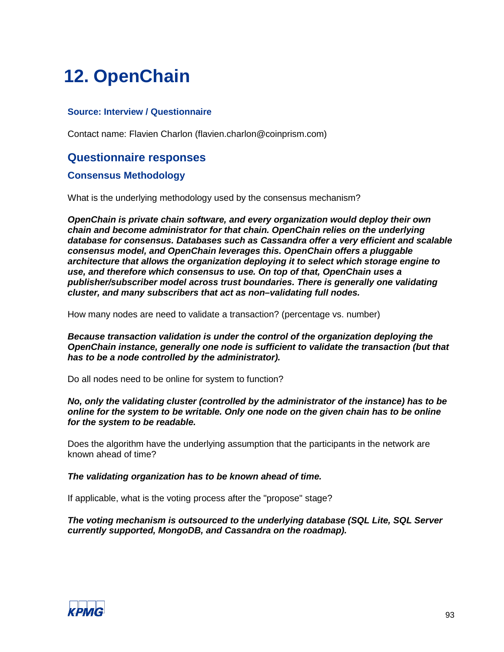# **12. OpenChain**

## **Source: Interview / Questionnaire**

Contact name: Flavien Charlon (flavien.charlon@coinprism.com)

# **Questionnaire responses**

## **Consensus Methodology**

What is the underlying methodology used by the consensus mechanism?

*OpenChain is private chain software, and every organization would deploy their own chain and become administrator for that chain. OpenChain relies on the underlying database for consensus. Databases such as Cassandra offer a very efficient and scalable consensus model, and OpenChain leverages this. OpenChain offers a pluggable architecture that allows the organization deploying it to select which storage engine to use, and therefore which consensus to use. On top of that, OpenChain uses a publisher/subscriber model across trust boundaries. There is generally one validating cluster, and many subscribers that act as non–validating full nodes.*

How many nodes are need to validate a transaction? (percentage vs. number)

*Because transaction validation is under the control of the organization deploying the OpenChain instance, generally one node is sufficient to validate the transaction (but that has to be a node controlled by the administrator).*

Do all nodes need to be online for system to function?

*No, only the validating cluster (controlled by the administrator of the instance) has to be online for the system to be writable. Only one node on the given chain has to be online for the system to be readable.*

Does the algorithm have the underlying assumption that the participants in the network are known ahead of time?

#### *The validating organization has to be known ahead of time.*

If applicable, what is the voting process after the "propose" stage?

*The voting mechanism is outsourced to the underlying database (SQL Lite, SQL Server currently supported, MongoDB, and Cassandra on the roadmap).*

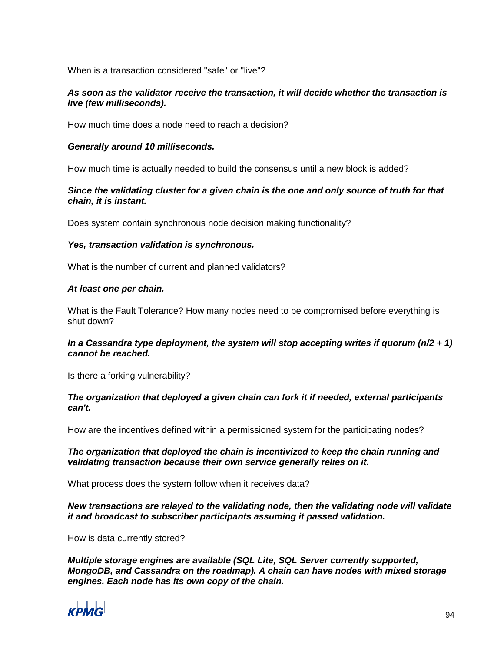When is a transaction considered "safe" or "live"?

#### *As soon as the validator receive the transaction, it will decide whether the transaction is live (few milliseconds).*

How much time does a node need to reach a decision?

#### *Generally around 10 milliseconds.*

How much time is actually needed to build the consensus until a new block is added?

### *Since the validating cluster for a given chain is the one and only source of truth for that chain, it is instant.*

Does system contain synchronous node decision making functionality?

#### *Yes, transaction validation is synchronous.*

What is the number of current and planned validators?

#### *At least one per chain.*

What is the Fault Tolerance? How many nodes need to be compromised before everything is shut down?

#### *In a Cassandra type deployment, the system will stop accepting writes if quorum (n/2 + 1) cannot be reached.*

Is there a forking vulnerability?

#### *The organization that deployed a given chain can fork it if needed, external participants can't.*

How are the incentives defined within a permissioned system for the participating nodes?

#### *The organization that deployed the chain is incentivized to keep the chain running and validating transaction because their own service generally relies on it.*

What process does the system follow when it receives data?

### *New transactions are relayed to the validating node, then the validating node will validate it and broadcast to subscriber participants assuming it passed validation.*

How is data currently stored?

*Multiple storage engines are available (SQL Lite, SQL Server currently supported, MongoDB, and Cassandra on the roadmap). A chain can have nodes with mixed storage engines. Each node has its own copy of the chain.*

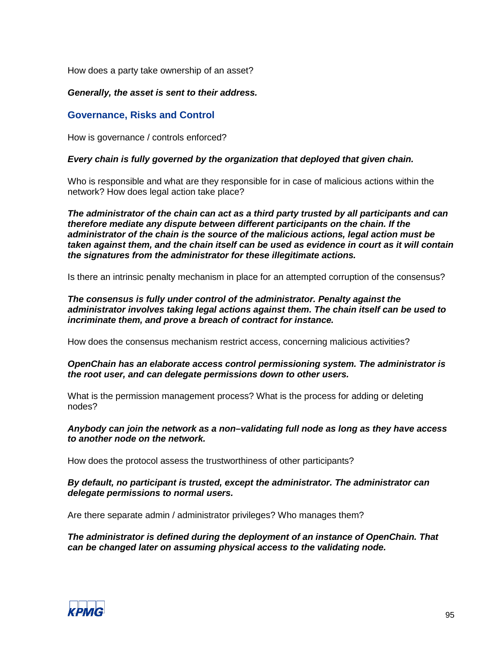How does a party take ownership of an asset?

### *Generally, the asset is sent to their address.*

# **Governance, Risks and Control**

How is governance / controls enforced?

#### *Every chain is fully governed by the organization that deployed that given chain.*

Who is responsible and what are they responsible for in case of malicious actions within the network? How does legal action take place?

*The administrator of the chain can act as a third party trusted by all participants and can therefore mediate any dispute between different participants on the chain. If the administrator of the chain is the source of the malicious actions, legal action must be taken against them, and the chain itself can be used as evidence in court as it will contain the signatures from the administrator for these illegitimate actions.*

Is there an intrinsic penalty mechanism in place for an attempted corruption of the consensus?

*The consensus is fully under control of the administrator. Penalty against the administrator involves taking legal actions against them. The chain itself can be used to incriminate them, and prove a breach of contract for instance.*

How does the consensus mechanism restrict access, concerning malicious activities?

### *OpenChain has an elaborate access control permissioning system. The administrator is the root user, and can delegate permissions down to other users.*

What is the permission management process? What is the process for adding or deleting nodes?

#### *Anybody can join the network as a non–validating full node as long as they have access to another node on the network.*

How does the protocol assess the trustworthiness of other participants?

#### *By default, no participant is trusted, except the administrator. The administrator can delegate permissions to normal users.*

Are there separate admin / administrator privileges? Who manages them?

*The administrator is defined during the deployment of an instance of OpenChain. That can be changed later on assuming physical access to the validating node.*

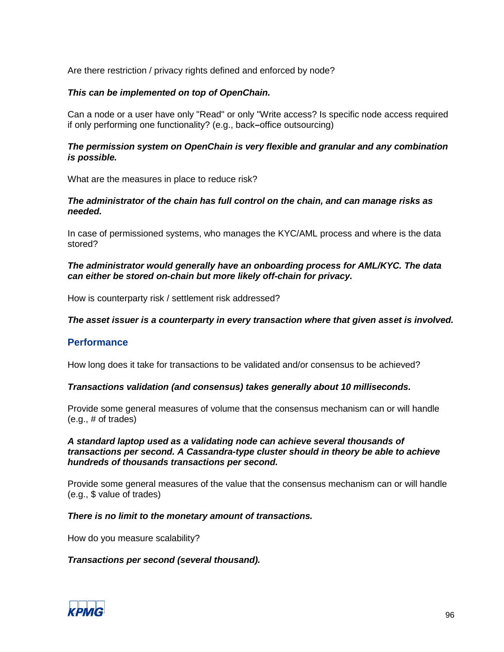Are there restriction / privacy rights defined and enforced by node?

#### *This can be implemented on top of OpenChain.*

Can a node or a user have only "Read" or only "Write access? Is specific node access required if only performing one functionality? (e.g., back*–*office outsourcing)

#### *The permission system on OpenChain is very flexible and granular and any combination is possible.*

What are the measures in place to reduce risk?

#### *The administrator of the chain has full control on the chain, and can manage risks as needed.*

In case of permissioned systems, who manages the KYC/AML process and where is the data stored?

#### *The administrator would generally have an onboarding process for AML/KYC. The data can either be stored on-chain but more likely off-chain for privacy.*

How is counterparty risk / settlement risk addressed?

#### *The asset issuer is a counterparty in every transaction where that given asset is involved.*

#### **Performance**

How long does it take for transactions to be validated and/or consensus to be achieved?

#### *Transactions validation (and consensus) takes generally about 10 milliseconds.*

Provide some general measures of volume that the consensus mechanism can or will handle  $(e.q., \# of trades)$ 

#### *A standard laptop used as a validating node can achieve several thousands of transactions per second. A Cassandra-type cluster should in theory be able to achieve hundreds of thousands transactions per second.*

Provide some general measures of the value that the consensus mechanism can or will handle (e.g., \$ value of trades)

#### *There is no limit to the monetary amount of transactions.*

How do you measure scalability?

#### *Transactions per second (several thousand).*

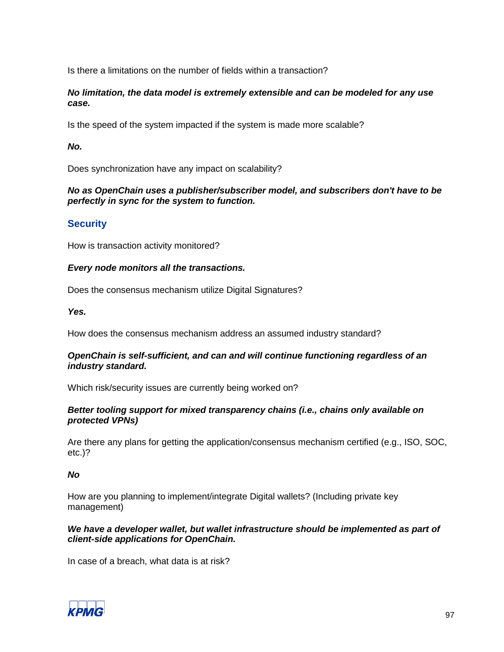Is there a limitations on the number of fields within a transaction?

### *No limitation, the data model is extremely extensible and can be modeled for any use case.*

Is the speed of the system impacted if the system is made more scalable?

## *No.*

Does synchronization have any impact on scalability?

## *No as OpenChain uses a publisher/subscriber model, and subscribers don't have to be perfectly in sync for the system to function.*

# **Security**

How is transaction activity monitored?

### *Every node monitors all the transactions.*

Does the consensus mechanism utilize Digital Signatures?

*Yes.*

How does the consensus mechanism address an assumed industry standard?

### *OpenChain is self-sufficient, and can and will continue functioning regardless of an industry standard.*

Which risk/security issues are currently being worked on?

### *Better tooling support for mixed transparency chains (i.e., chains only available on protected VPNs)*

Are there any plans for getting the application/consensus mechanism certified (e.g., ISO, SOC, etc.)?

*No*

How are you planning to implement/integrate Digital wallets? (Including private key management)

### *We have a developer wallet, but wallet infrastructure should be implemented as part of client-side applications for OpenChain.*

In case of a breach, what data is at risk?

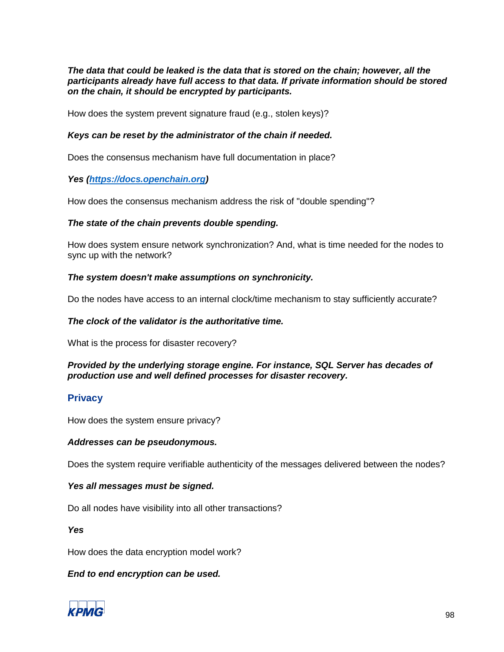*The data that could be leaked is the data that is stored on the chain; however, all the participants already have full access to that data. If private information should be stored on the chain, it should be encrypted by participants.*

How does the system prevent signature fraud (e.g., stolen keys)?

#### *Keys can be reset by the administrator of the chain if needed.*

Does the consensus mechanism have full documentation in place?

### *Yes [\(https://docs.openchain.org\)](https://docs.openchain.org/)*

How does the consensus mechanism address the risk of "double spending"?

#### *The state of the chain prevents double spending.*

How does system ensure network synchronization? And, what is time needed for the nodes to sync up with the network?

#### *The system doesn't make assumptions on synchronicity.*

Do the nodes have access to an internal clock/time mechanism to stay sufficiently accurate?

#### *The clock of the validator is the authoritative time.*

What is the process for disaster recovery?

### *Provided by the underlying storage engine. For instance, SQL Server has decades of production use and well defined processes for disaster recovery.*

### **Privacy**

How does the system ensure privacy?

#### *Addresses can be pseudonymous.*

Does the system require verifiable authenticity of the messages delivered between the nodes?

### *Yes all messages must be signed.*

Do all nodes have visibility into all other transactions?

*Yes*

How does the data encryption model work?

### *End to end encryption can be used.*

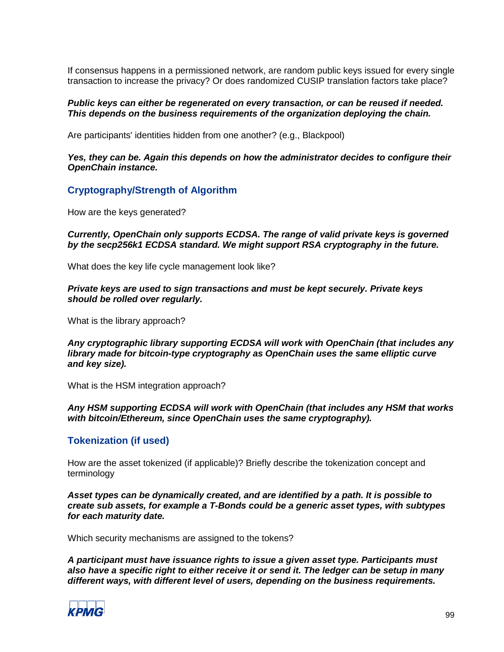If consensus happens in a permissioned network, are random public keys issued for every single transaction to increase the privacy? Or does randomized CUSIP translation factors take place?

#### *Public keys can either be regenerated on every transaction, or can be reused if needed. This depends on the business requirements of the organization deploying the chain.*

Are participants' identities hidden from one another? (e.g., Blackpool)

#### *Yes, they can be. Again this depends on how the administrator decides to configure their OpenChain instance.*

### **Cryptography/Strength of Algorithm**

How are the keys generated?

#### *Currently, OpenChain only supports ECDSA. The range of valid private keys is governed by the secp256k1 ECDSA standard. We might support RSA cryptography in the future.*

What does the key life cycle management look like?

*Private keys are used to sign transactions and must be kept securely. Private keys should be rolled over regularly.*

What is the library approach?

*Any cryptographic library supporting ECDSA will work with OpenChain (that includes any library made for bitcoin-type cryptography as OpenChain uses the same elliptic curve and key size).*

What is the HSM integration approach?

#### *Any HSM supporting ECDSA will work with OpenChain (that includes any HSM that works with bitcoin/Ethereum, since OpenChain uses the same cryptography).*

### **Tokenization (if used)**

How are the asset tokenized (if applicable)? Briefly describe the tokenization concept and terminology

*Asset types can be dynamically created, and are identified by a path. It is possible to create sub assets, for example a T-Bonds could be a generic asset types, with subtypes for each maturity date.*

Which security mechanisms are assigned to the tokens?

*A participant must have issuance rights to issue a given asset type. Participants must also have a specific right to either receive it or send it. The ledger can be setup in many different ways, with different level of users, depending on the business requirements.*

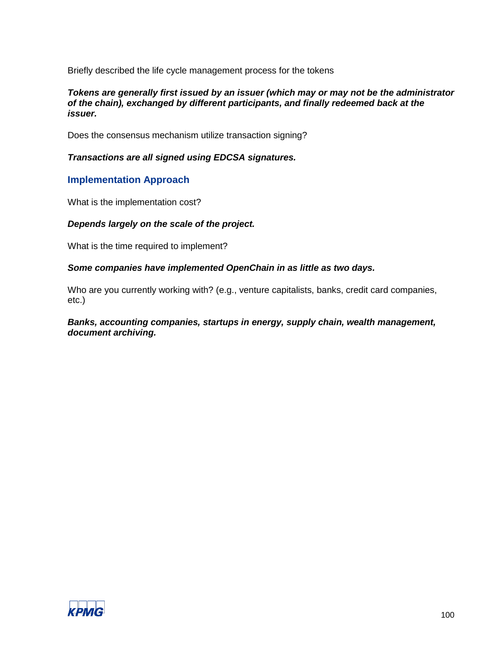Briefly described the life cycle management process for the tokens

#### *Tokens are generally first issued by an issuer (which may or may not be the administrator of the chain), exchanged by different participants, and finally redeemed back at the issuer.*

Does the consensus mechanism utilize transaction signing?

#### *Transactions are all signed using EDCSA signatures.*

### **Implementation Approach**

What is the implementation cost?

#### *Depends largely on the scale of the project.*

What is the time required to implement?

# *Some companies have implemented OpenChain in as little as two days.*

Who are you currently working with? (e.g., venture capitalists, banks, credit card companies, etc.)

#### *Banks, accounting companies, startups in energy, supply chain, wealth management, document archiving.*

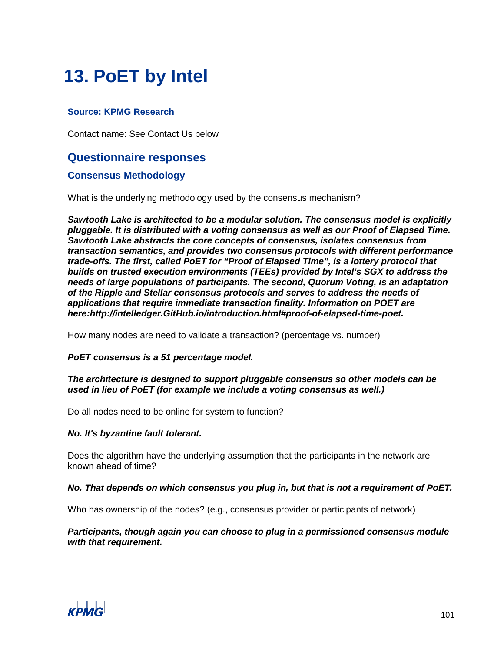# **13. PoET by Intel**

# **Source: KPMG Research**

Contact name: See Contact Us below

# **Questionnaire responses**

## **Consensus Methodology**

What is the underlying methodology used by the consensus mechanism?

*Sawtooth Lake is architected to be a modular solution. The consensus model is explicitly pluggable. It is distributed with a voting consensus as well as our Proof of Elapsed Time. Sawtooth Lake abstracts the core concepts of consensus, isolates consensus from transaction semantics, and provides two consensus protocols with different performance trade-offs. The first, called PoET for "Proof of Elapsed Time", is a lottery protocol that builds on trusted execution environments (TEEs) provided by Intel's SGX to address the needs of large populations of participants. The second, Quorum Voting, is an adaptation of the Ripple and Stellar consensus protocols and serves to address the needs of applications that require immediate transaction finality. Information on POET are here:http://intelledger.GitHub.io/introduction.html#proof-of-elapsed-time-poet.*

How many nodes are need to validate a transaction? (percentage vs. number)

#### *PoET consensus is a 51 percentage model.*

#### *The architecture is designed to support pluggable consensus so other models can be used in lieu of PoET (for example we include a voting consensus as well.)*

Do all nodes need to be online for system to function?

#### *No. It's byzantine fault tolerant.*

Does the algorithm have the underlying assumption that the participants in the network are known ahead of time?

#### *No. That depends on which consensus you plug in, but that is not a requirement of PoET.*

Who has ownership of the nodes? (e.g., consensus provider or participants of network)

#### *Participants, though again you can choose to plug in a permissioned consensus module with that requirement.*

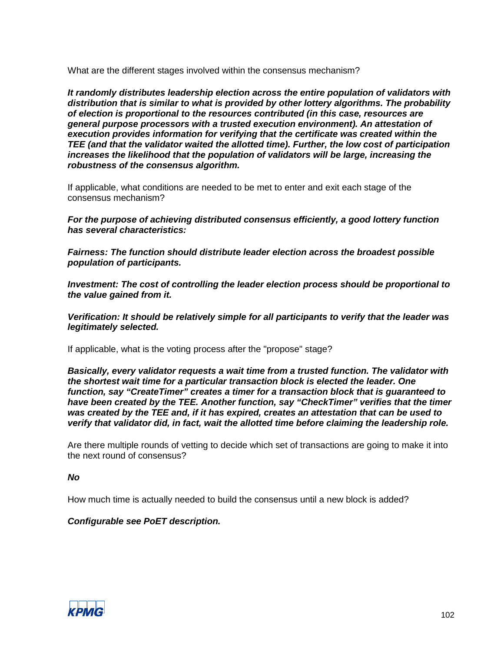What are the different stages involved within the consensus mechanism?

*It randomly distributes leadership election across the entire population of validators with distribution that is similar to what is provided by other lottery algorithms. The probability of election is proportional to the resources contributed (in this case, resources are general purpose processors with a trusted execution environment). An attestation of execution provides information for verifying that the certificate was created within the TEE (and that the validator waited the allotted time). Further, the low cost of participation increases the likelihood that the population of validators will be large, increasing the robustness of the consensus algorithm.*

If applicable, what conditions are needed to be met to enter and exit each stage of the consensus mechanism?

*For the purpose of achieving distributed consensus efficiently, a good lottery function has several characteristics:*

*Fairness: The function should distribute leader election across the broadest possible population of participants.*

*Investment: The cost of controlling the leader election process should be proportional to the value gained from it.*

*Verification: It should be relatively simple for all participants to verify that the leader was legitimately selected.*

If applicable, what is the voting process after the "propose" stage?

*Basically, every validator requests a wait time from a trusted function. The validator with the shortest wait time for a particular transaction block is elected the leader. One function, say "CreateTimer" creates a timer for a transaction block that is guaranteed to have been created by the TEE. Another function, say "CheckTimer" verifies that the timer was created by the TEE and, if it has expired, creates an attestation that can be used to verify that validator did, in fact, wait the allotted time before claiming the leadership role.*

Are there multiple rounds of vetting to decide which set of transactions are going to make it into the next round of consensus?

#### *No*

How much time is actually needed to build the consensus until a new block is added?

#### *Configurable see PoET description.*

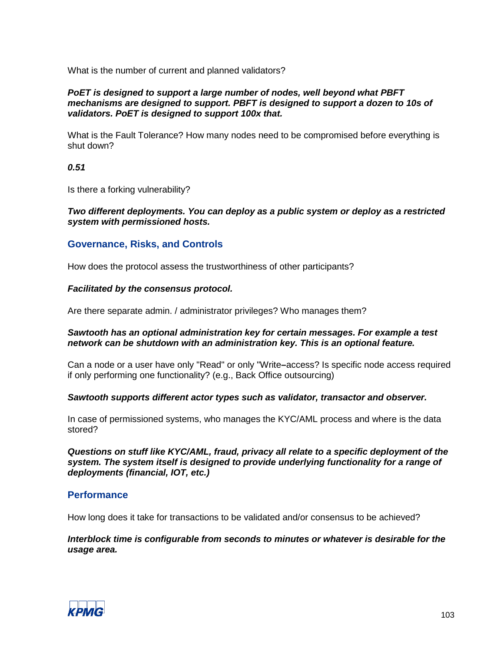What is the number of current and planned validators?

#### *PoET is designed to support a large number of nodes, well beyond what PBFT mechanisms are designed to support. PBFT is designed to support a dozen to 10s of validators. PoET is designed to support 100x that.*

What is the Fault Tolerance? How many nodes need to be compromised before everything is shut down?

*0.51*

Is there a forking vulnerability?

*Two different deployments. You can deploy as a public system or deploy as a restricted system with permissioned hosts.*

## **Governance, Risks, and Controls**

How does the protocol assess the trustworthiness of other participants?

#### *Facilitated by the consensus protocol.*

Are there separate admin. / administrator privileges? Who manages them?

#### *Sawtooth has an optional administration key for certain messages. For example a test network can be shutdown with an administration key. This is an optional feature.*

Can a node or a user have only "Read" or only "Write**–**access? Is specific node access required if only performing one functionality? (e.g., Back Office outsourcing)

#### *Sawtooth supports different actor types such as validator, transactor and observer.*

In case of permissioned systems, who manages the KYC/AML process and where is the data stored?

*Questions on stuff like KYC/AML, fraud, privacy all relate to a specific deployment of the system. The system itself is designed to provide underlying functionality for a range of deployments (financial, IOT, etc.)*

# **Performance**

How long does it take for transactions to be validated and/or consensus to be achieved?

*Interblock time is configurable from seconds to minutes or whatever is desirable for the usage area.*

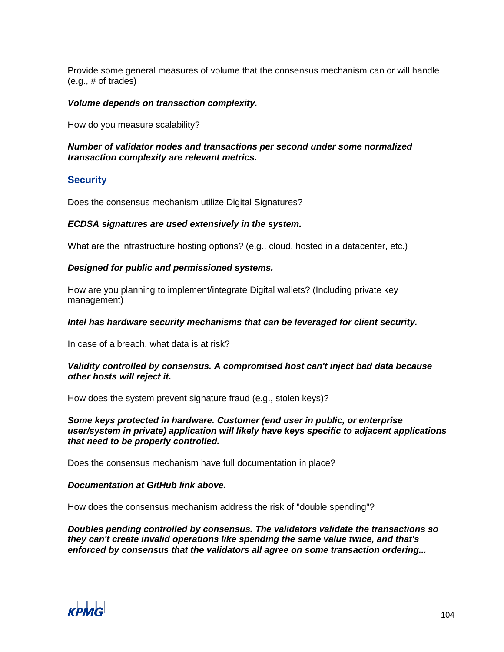Provide some general measures of volume that the consensus mechanism can or will handle (e.g., # of trades)

#### *Volume depends on transaction complexity.*

How do you measure scalability?

#### *Number of validator nodes and transactions per second under some normalized transaction complexity are relevant metrics.*

## **Security**

Does the consensus mechanism utilize Digital Signatures?

### *ECDSA signatures are used extensively in the system.*

What are the infrastructure hosting options? (e.g., cloud, hosted in a datacenter, etc.)

#### *Designed for public and permissioned systems.*

How are you planning to implement/integrate Digital wallets? (Including private key management)

#### *Intel has hardware security mechanisms that can be leveraged for client security.*

In case of a breach, what data is at risk?

#### *Validity controlled by consensus. A compromised host can't inject bad data because other hosts will reject it.*

How does the system prevent signature fraud (e.g., stolen keys)?

*Some keys protected in hardware. Customer (end user in public, or enterprise user/system in private) application will likely have keys specific to adjacent applications that need to be properly controlled.*

Does the consensus mechanism have full documentation in place?

#### *Documentation at GitHub link above.*

How does the consensus mechanism address the risk of "double spending"?

*Doubles pending controlled by consensus. The validators validate the transactions so they can't create invalid operations like spending the same value twice, and that's enforced by consensus that the validators all agree on some transaction ordering...*

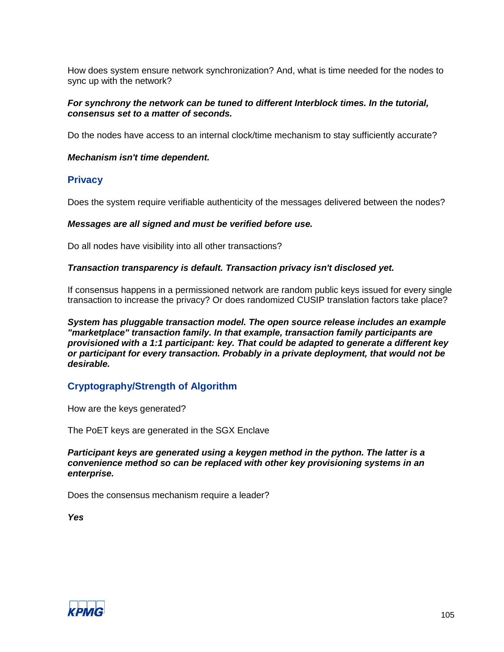How does system ensure network synchronization? And, what is time needed for the nodes to sync up with the network?

#### *For synchrony the network can be tuned to different Interblock times. In the tutorial, consensus set to a matter of seconds.*

Do the nodes have access to an internal clock/time mechanism to stay sufficiently accurate?

#### *Mechanism isn't time dependent.*

### **Privacy**

Does the system require verifiable authenticity of the messages delivered between the nodes?

#### *Messages are all signed and must be verified before use.*

Do all nodes have visibility into all other transactions?

#### *Transaction transparency is default. Transaction privacy isn't disclosed yet.*

If consensus happens in a permissioned network are random public keys issued for every single transaction to increase the privacy? Or does randomized CUSIP translation factors take place?

*System has pluggable transaction model. The open source release includes an example "marketplace" transaction family. In that example, transaction family participants are provisioned with a 1:1 participant: key. That could be adapted to generate a different key or participant for every transaction. Probably in a private deployment, that would not be desirable.*

# **Cryptography/Strength of Algorithm**

How are the keys generated?

The PoET keys are generated in the SGX Enclave

*Participant keys are generated using a keygen method in the python. The latter is a convenience method so can be replaced with other key provisioning systems in an enterprise.*

Does the consensus mechanism require a leader?

*Yes*

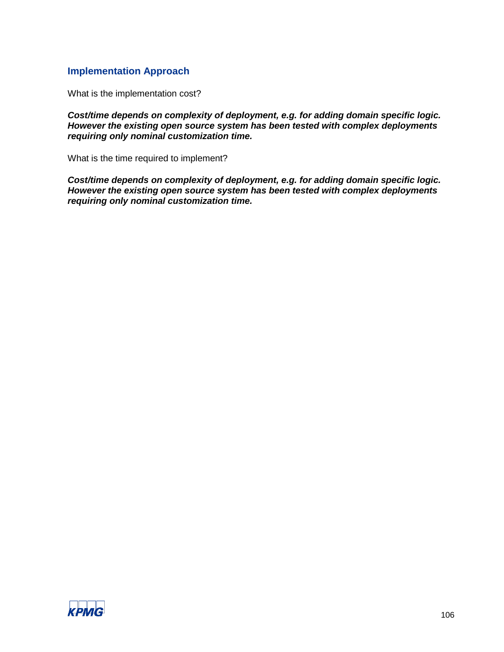# **Implementation Approach**

What is the implementation cost?

*Cost/time depends on complexity of deployment, e.g. for adding domain specific logic. However the existing open source system has been tested with complex deployments requiring only nominal customization time.*

What is the time required to implement?

*Cost/time depends on complexity of deployment, e.g. for adding domain specific logic. However the existing open source system has been tested with complex deployments requiring only nominal customization time.*

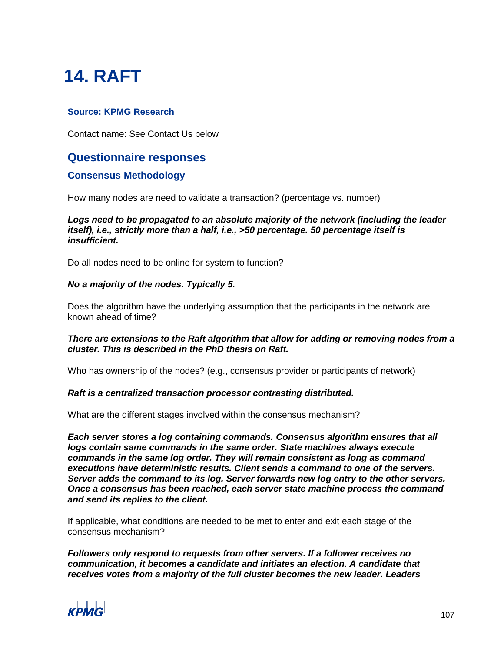# **14. RAFT**

# **Source: KPMG Research**

Contact name: See Contact Us below

# **Questionnaire responses**

## **Consensus Methodology**

How many nodes are need to validate a transaction? (percentage vs. number)

*Logs need to be propagated to an absolute majority of the network (including the leader itself), i.e., strictly more than a half, i.e., >50 percentage. 50 percentage itself is insufficient.*

Do all nodes need to be online for system to function?

#### *No a majority of the nodes. Typically 5.*

Does the algorithm have the underlying assumption that the participants in the network are known ahead of time?

#### *There are extensions to the Raft algorithm that allow for adding or removing nodes from a cluster. This is described in the PhD thesis on Raft.*

Who has ownership of the nodes? (e.g., consensus provider or participants of network)

#### *Raft is a centralized transaction processor contrasting distributed.*

What are the different stages involved within the consensus mechanism?

*Each server stores a log containing commands. Consensus algorithm ensures that all logs contain same commands in the same order. State machines always execute commands in the same log order. They will remain consistent as long as command executions have deterministic results. Client sends a command to one of the servers. Server adds the command to its log. Server forwards new log entry to the other servers. Once a consensus has been reached, each server state machine process the command and send its replies to the client.*

If applicable, what conditions are needed to be met to enter and exit each stage of the consensus mechanism?

*Followers only respond to requests from other servers. If a follower receives no communication, it becomes a candidate and initiates an election. A candidate that receives votes from a majority of the full cluster becomes the new leader. Leaders* 

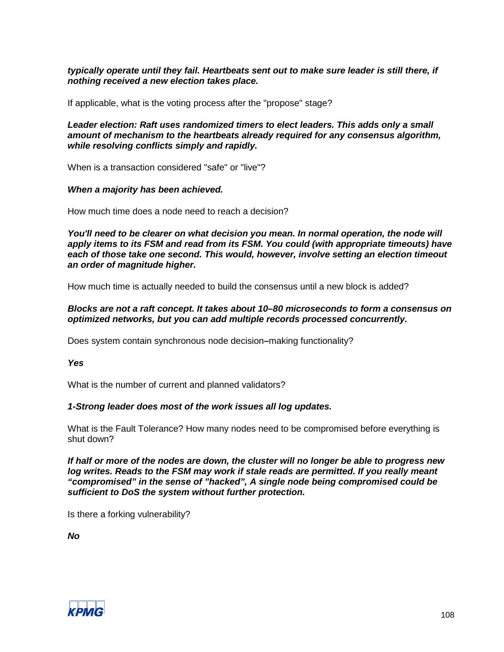#### *typically operate until they fail. Heartbeats sent out to make sure leader is still there, if nothing received a new election takes place.*

If applicable, what is the voting process after the "propose" stage?

*Leader election: Raft uses randomized timers to elect leaders. This adds only a small amount of mechanism to the heartbeats already required for any consensus algorithm, while resolving conflicts simply and rapidly.*

When is a transaction considered "safe" or "live"?

#### *When a majority has been achieved.*

How much time does a node need to reach a decision?

*You'll need to be clearer on what decision you mean. In normal operation, the node will apply items to its FSM and read from its FSM. You could (with appropriate timeouts) have each of those take one second. This would, however, involve setting an election timeout an order of magnitude higher.*

How much time is actually needed to build the consensus until a new block is added?

#### *Blocks are not a raft concept. It takes about 10–80 microseconds to form a consensus on optimized networks, but you can add multiple records processed concurrently.*

Does system contain synchronous node decision**–**making functionality?

*Yes*

What is the number of current and planned validators?

#### *1-Strong leader does most of the work issues all log updates.*

What is the Fault Tolerance? How many nodes need to be compromised before everything is shut down?

*If half or more of the nodes are down, the cluster will no longer be able to progress new log writes. Reads to the FSM may work if stale reads are permitted. If you really meant "compromised" in the sense of "hacked", A single node being compromised could be sufficient to DoS the system without further protection.*

Is there a forking vulnerability?

*No*

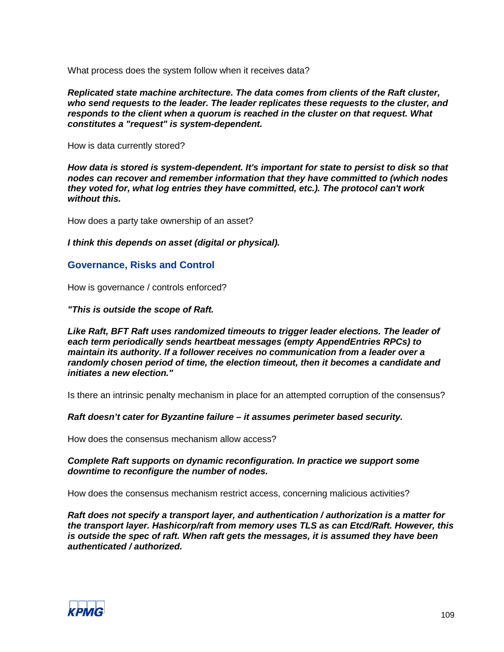What process does the system follow when it receives data?

*Replicated state machine architecture. The data comes from clients of the Raft cluster, who send requests to the leader. The leader replicates these requests to the cluster, and responds to the client when a quorum is reached in the cluster on that request. What constitutes a "request" is system-dependent.*

How is data currently stored?

*How data is stored is system-dependent. It's important for state to persist to disk so that nodes can recover and remember information that they have committed to (which nodes they voted for, what log entries they have committed, etc.). The protocol can't work without this.*

How does a party take ownership of an asset?

*I think this depends on asset (digital or physical).*

# **Governance, Risks and Control**

How is governance / controls enforced?

*"This is outside the scope of Raft.*

*Like Raft, BFT Raft uses randomized timeouts to trigger leader elections. The leader of each term periodically sends heartbeat messages (empty AppendEntries RPCs) to maintain its authority. If a follower receives no communication from a leader over a randomly chosen period of time, the election timeout, then it becomes a candidate and initiates a new election."*

Is there an intrinsic penalty mechanism in place for an attempted corruption of the consensus?

*Raft doesn't cater for Byzantine failure – it assumes perimeter based security.*

How does the consensus mechanism allow access?

#### *Complete Raft supports on dynamic reconfiguration. In practice we support some downtime to reconfigure the number of nodes.*

How does the consensus mechanism restrict access, concerning malicious activities?

*Raft does not specify a transport layer, and authentication / authorization is a matter for the transport layer. Hashicorp/raft from memory uses TLS as can Etcd/Raft. However, this is outside the spec of raft. When raft gets the messages, it is assumed they have been authenticated / authorized.*

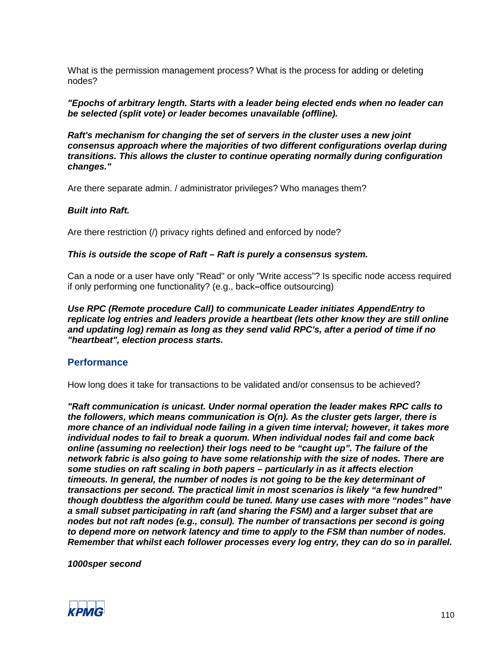What is the permission management process? What is the process for adding or deleting nodes?

*"Epochs of arbitrary length. Starts with a leader being elected ends when no leader can be selected (split vote) or leader becomes unavailable (offline).*

*Raft's mechanism for changing the set of servers in the cluster uses a new joint consensus approach where the majorities of two different configurations overlap during transitions. This allows the cluster to continue operating normally during configuration changes."*

Are there separate admin. / administrator privileges? Who manages them?

#### *Built into Raft.*

Are there restriction (*I*) privacy rights defined and enforced by node?

#### *This is outside the scope of Raft – Raft is purely a consensus system.*

Can a node or a user have only "Read" or only "Write access"? Is specific node access required if only performing one functionality? (e.g., back**–**office outsourcing)

*Use RPC (Remote procedure Call) to communicate Leader initiates AppendEntry to replicate log entries and leaders provide a heartbeat (lets other know they are still online and updating log) remain as long as they send valid RPC's, after a period of time if no "heartbeat", election process starts.*

#### **Performance**

How long does it take for transactions to be validated and/or consensus to be achieved?

*"Raft communication is unicast. Under normal operation the leader makes RPC calls to the followers, which means communication is O(n). As the cluster gets larger, there is more chance of an individual node failing in a given time interval; however, it takes more individual nodes to fail to break a quorum. When individual nodes fail and come back online (assuming no reelection) their logs need to be "caught up". The failure of the network fabric is also going to have some relationship with the size of nodes. There are some studies on raft scaling in both papers – particularly in as it affects election timeouts. In general, the number of nodes is not going to be the key determinant of transactions per second. The practical limit in most scenarios is likely "a few hundred" though doubtless the algorithm could be tuned. Many use cases with more "nodes" have a small subset participating in raft (and sharing the FSM) and a larger subset that are nodes but not raft nodes (e.g., consul). The number of transactions per second is going to depend more on network latency and time to apply to the FSM than number of nodes. Remember that whilst each follower processes every log entry, they can do so in parallel.*

*1000sper second*

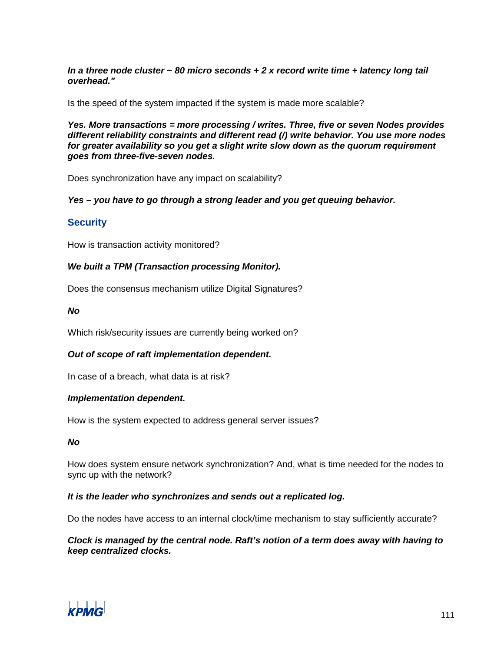*In a three node cluster ~ 80 micro seconds + 2 x record write time + latency long tail overhead."*

Is the speed of the system impacted if the system is made more scalable?

*Yes. More transactions = more processing / writes. Three, five or seven Nodes provides different reliability constraints and different read (/) write behavior. You use more nodes for greater availability so you get a slight write slow down as the quorum requirement goes from three-five-seven nodes.*

Does synchronization have any impact on scalability?

*Yes – you have to go through a strong leader and you get queuing behavior.*

# **Security**

How is transaction activity monitored?

# *We built a TPM (Transaction processing Monitor).*

Does the consensus mechanism utilize Digital Signatures?

#### *No*

Which risk/security issues are currently being worked on?

# *Out of scope of raft implementation dependent.*

In case of a breach, what data is at risk?

#### *Implementation dependent.*

How is the system expected to address general server issues?

#### *No*

How does system ensure network synchronization? And, what is time needed for the nodes to sync up with the network?

#### *It is the leader who synchronizes and sends out a replicated log.*

Do the nodes have access to an internal clock/time mechanism to stay sufficiently accurate?

#### *Clock is managed by the central node. Raft's notion of a term does away with having to keep centralized clocks.*

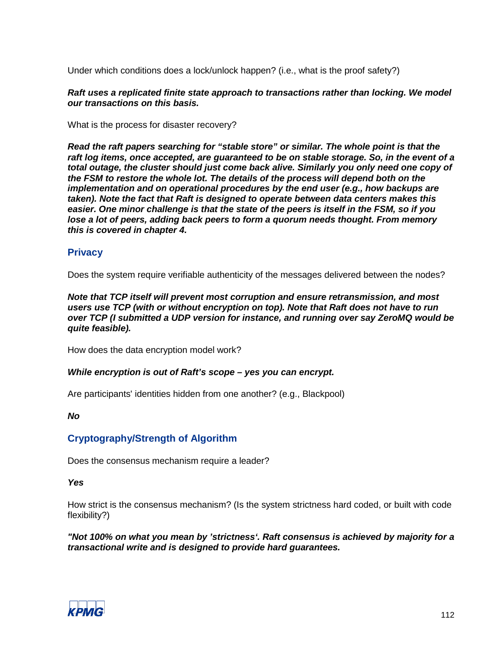Under which conditions does a lock/unlock happen? (i.e., what is the proof safety?)

# *Raft uses a replicated finite state approach to transactions rather than locking. We model our transactions on this basis.*

What is the process for disaster recovery?

*Read the raft papers searching for "stable store" or similar. The whole point is that the raft log items, once accepted, are guaranteed to be on stable storage. So, in the event of a total outage, the cluster should just come back alive. Similarly you only need one copy of the FSM to restore the whole lot. The details of the process will depend both on the implementation and on operational procedures by the end user (e.g., how backups are taken). Note the fact that Raft is designed to operate between data centers makes this easier. One minor challenge is that the state of the peers is itself in the FSM, so if you lose a lot of peers, adding back peers to form a quorum needs thought. From memory this is covered in chapter 4.*

# **Privacy**

Does the system require verifiable authenticity of the messages delivered between the nodes?

*Note that TCP itself will prevent most corruption and ensure retransmission, and most users use TCP (with or without encryption on top). Note that Raft does not have to run over TCP (I submitted a UDP version for instance, and running over say ZeroMQ would be quite feasible).*

How does the data encryption model work?

# *While encryption is out of Raft's scope – yes you can encrypt.*

Are participants' identities hidden from one another? (e.g., Blackpool)

# *No*

# **Cryptography/Strength of Algorithm**

Does the consensus mechanism require a leader?

# *Yes*

How strict is the consensus mechanism? (Is the system strictness hard coded, or built with code flexibility?)

*"Not 100% on what you mean by 'strictness'. Raft consensus is achieved by majority for a transactional write and is designed to provide hard guarantees.*

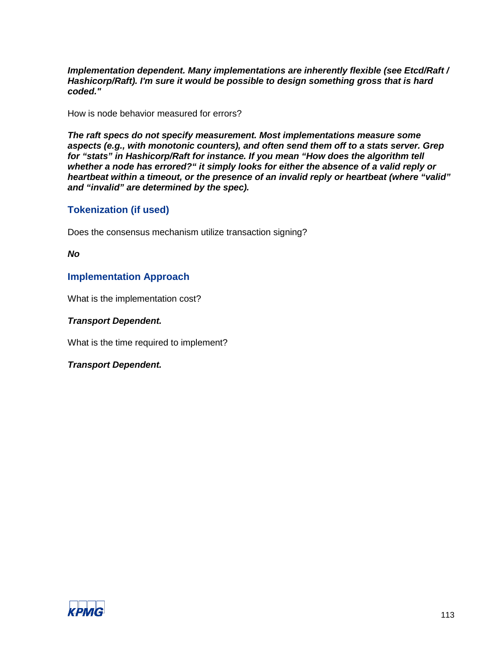*Implementation dependent. Many implementations are inherently flexible (see Etcd/Raft / Hashicorp/Raft). I'm sure it would be possible to design something gross that is hard coded."*

How is node behavior measured for errors?

*The raft specs do not specify measurement. Most implementations measure some aspects (e.g., with monotonic counters), and often send them off to a stats server. Grep for "stats" in Hashicorp/Raft for instance. If you mean "How does the algorithm tell whether a node has errored?" it simply looks for either the absence of a valid reply or heartbeat within a timeout, or the presence of an invalid reply or heartbeat (where "valid" and "invalid" are determined by the spec).*

# **Tokenization (if used)**

Does the consensus mechanism utilize transaction signing?

*No*

# **Implementation Approach**

What is the implementation cost?

# *Transport Dependent.*

What is the time required to implement?

*Transport Dependent.*

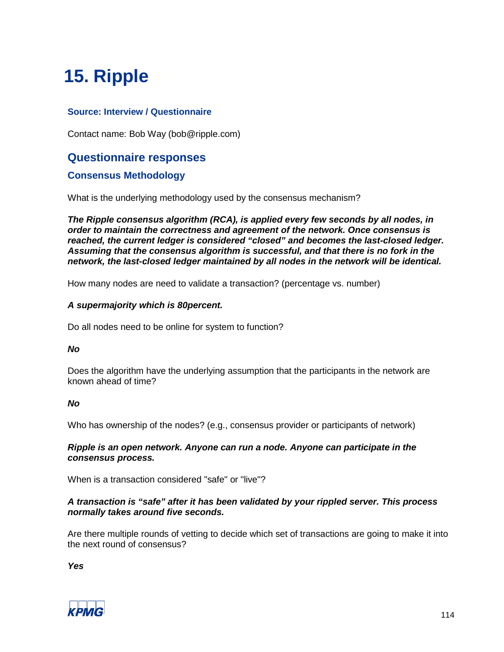# **15. Ripple**

# **Source: Interview / Questionnaire**

Contact name: Bob Way (bob@ripple.com)

# **Questionnaire responses**

# **Consensus Methodology**

What is the underlying methodology used by the consensus mechanism?

*The Ripple consensus algorithm (RCA), is applied every few seconds by all nodes, in order to maintain the correctness and agreement of the network. Once consensus is reached, the current ledger is considered "closed" and becomes the last-closed ledger. Assuming that the consensus algorithm is successful, and that there is no fork in the network, the last-closed ledger maintained by all nodes in the network will be identical.*

How many nodes are need to validate a transaction? (percentage vs. number)

#### *A supermajority which is 80percent.*

Do all nodes need to be online for system to function?

#### *No*

Does the algorithm have the underlying assumption that the participants in the network are known ahead of time?

# *No*

Who has ownership of the nodes? (e.g., consensus provider or participants of network)

#### *Ripple is an open network. Anyone can run a node. Anyone can participate in the consensus process.*

When is a transaction considered "safe" or "live"?

# *A transaction is "safe" after it has been validated by your rippled server. This process normally takes around five seconds.*

Are there multiple rounds of vetting to decide which set of transactions are going to make it into the next round of consensus?

*Yes*

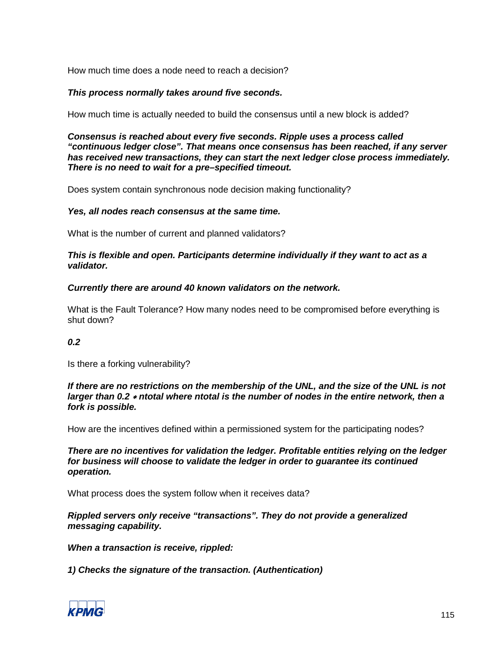How much time does a node need to reach a decision?

#### *This process normally takes around five seconds.*

How much time is actually needed to build the consensus until a new block is added?

*Consensus is reached about every five seconds. Ripple uses a process called "continuous ledger close". That means once consensus has been reached, if any server has received new transactions, they can start the next ledger close process immediately. There is no need to wait for a pre–specified timeout.*

Does system contain synchronous node decision making functionality?

#### *Yes, all nodes reach consensus at the same time.*

What is the number of current and planned validators?

#### *This is flexible and open. Participants determine individually if they want to act as a validator.*

#### *Currently there are around 40 known validators on the network.*

What is the Fault Tolerance? How many nodes need to be compromised before everything is shut down?

# *0.2*

Is there a forking vulnerability?

*If there are no restrictions on the membership of the UNL, and the size of the UNL is not larger than 0.2* <sup>∗</sup> *ntotal where ntotal is the number of nodes in the entire network, then a fork is possible.*

How are the incentives defined within a permissioned system for the participating nodes?

*There are no incentives for validation the ledger. Profitable entities relying on the ledger for business will choose to validate the ledger in order to guarantee its continued operation.*

What process does the system follow when it receives data?

*Rippled servers only receive "transactions". They do not provide a generalized messaging capability.*

*When a transaction is receive, rippled:*

*1) Checks the signature of the transaction. (Authentication)*

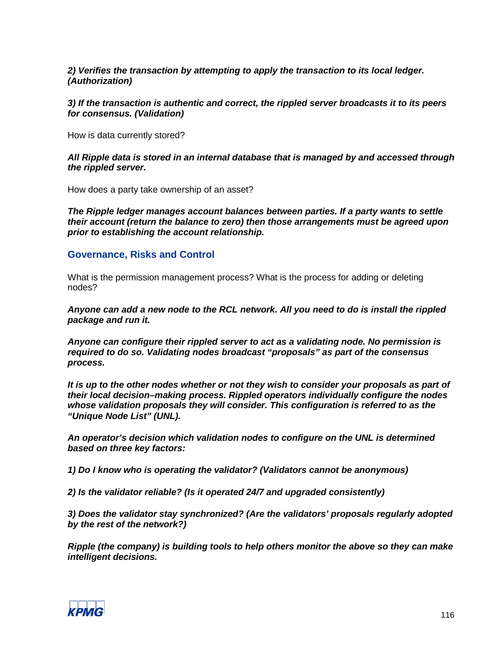*2) Verifies the transaction by attempting to apply the transaction to its local ledger. (Authorization)*

*3) If the transaction is authentic and correct, the rippled server broadcasts it to its peers for consensus. (Validation)*

How is data currently stored?

*All Ripple data is stored in an internal database that is managed by and accessed through the rippled server.*

How does a party take ownership of an asset?

*The Ripple ledger manages account balances between parties. If a party wants to settle their account (return the balance to zero) then those arrangements must be agreed upon prior to establishing the account relationship.*

#### **Governance, Risks and Control**

What is the permission management process? What is the process for adding or deleting nodes?

*Anyone can add a new node to the RCL network. All you need to do is install the rippled package and run it.*

*Anyone can configure their rippled server to act as a validating node. No permission is required to do so. Validating nodes broadcast "proposals" as part of the consensus process.* 

*It is up to the other nodes whether or not they wish to consider your proposals as part of their local decision–making process. Rippled operators individually configure the nodes whose validation proposals they will consider. This configuration is referred to as the "Unique Node List" (UNL).*

*An operator's decision which validation nodes to configure on the UNL is determined based on three key factors:*

*1) Do I know who is operating the validator? (Validators cannot be anonymous)*

*2) Is the validator reliable? (Is it operated 24/7 and upgraded consistently)*

*3) Does the validator stay synchronized? (Are the validators' proposals regularly adopted by the rest of the network?)*

*Ripple (the company) is building tools to help others monitor the above so they can make intelligent decisions.*

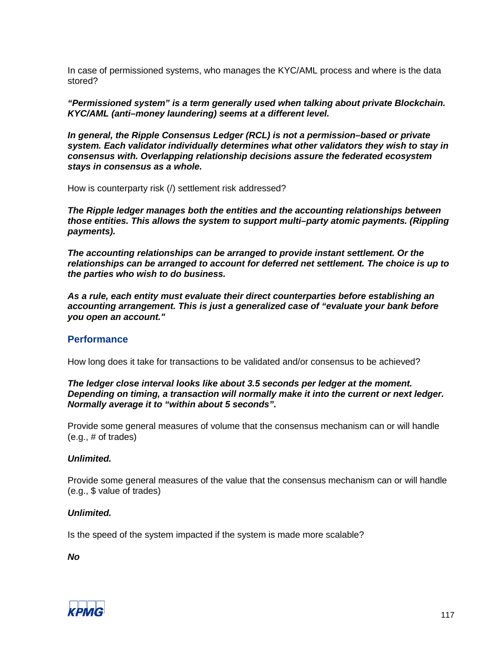In case of permissioned systems, who manages the KYC/AML process and where is the data stored?

*"Permissioned system" is a term generally used when talking about private Blockchain. KYC/AML (anti–money laundering) seems at a different level.*

*In general, the Ripple Consensus Ledger (RCL) is not a permission–based or private system. Each validator individually determines what other validators they wish to stay in consensus with. Overlapping relationship decisions assure the federated ecosystem stays in consensus as a whole.*

How is counterparty risk (/) settlement risk addressed?

*The Ripple ledger manages both the entities and the accounting relationships between those entities. This allows the system to support multi–party atomic payments. (Rippling payments).*

*The accounting relationships can be arranged to provide instant settlement. Or the relationships can be arranged to account for deferred net settlement. The choice is up to the parties who wish to do business.*

*As a rule, each entity must evaluate their direct counterparties before establishing an accounting arrangement. This is just a generalized case of "evaluate your bank before you open an account."*

# **Performance**

How long does it take for transactions to be validated and/or consensus to be achieved?

*The ledger close interval looks like about 3.5 seconds per ledger at the moment. Depending on timing, a transaction will normally make it into the current or next ledger. Normally average it to "within about 5 seconds".*

Provide some general measures of volume that the consensus mechanism can or will handle (e.g., # of trades)

#### *Unlimited.*

Provide some general measures of the value that the consensus mechanism can or will handle (e.g., \$ value of trades)

#### *Unlimited.*

Is the speed of the system impacted if the system is made more scalable?

*No*

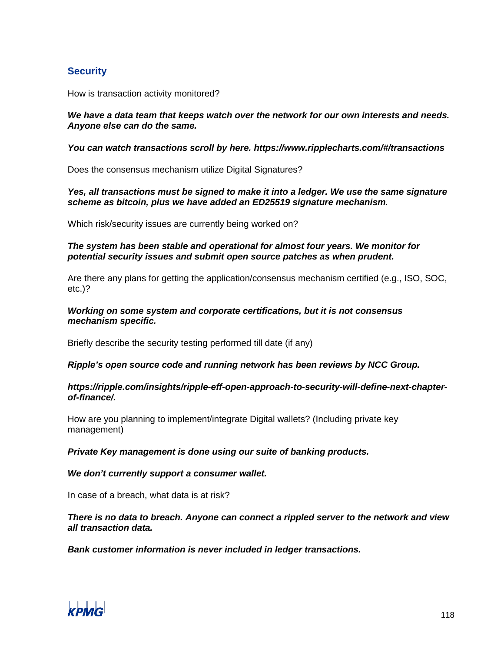# **Security**

How is transaction activity monitored?

#### *We have a data team that keeps watch over the network for our own interests and needs. Anyone else can do the same.*

#### *You can watch transactions scroll by here. https://www.ripplecharts.com/#/transactions*

Does the consensus mechanism utilize Digital Signatures?

#### *Yes, all transactions must be signed to make it into a ledger. We use the same signature scheme as bitcoin, plus we have added an ED25519 signature mechanism.*

Which risk/security issues are currently being worked on?

#### *The system has been stable and operational for almost four years. We monitor for potential security issues and submit open source patches as when prudent.*

Are there any plans for getting the application/consensus mechanism certified (e.g., ISO, SOC, etc.)?

#### *Working on some system and corporate certifications, but it is not consensus mechanism specific.*

Briefly describe the security testing performed till date (if any)

# *Ripple's open source code and running network has been reviews by NCC Group.*

#### *https://ripple.com/insights/ripple-eff-open-approach-to-security-will-define-next-chapterof-finance/.*

How are you planning to implement/integrate Digital wallets? (Including private key management)

# *Private Key management is done using our suite of banking products.*

# *We don't currently support a consumer wallet.*

In case of a breach, what data is at risk?

# *There is no data to breach. Anyone can connect a rippled server to the network and view all transaction data.*

# *Bank customer information is never included in ledger transactions.*

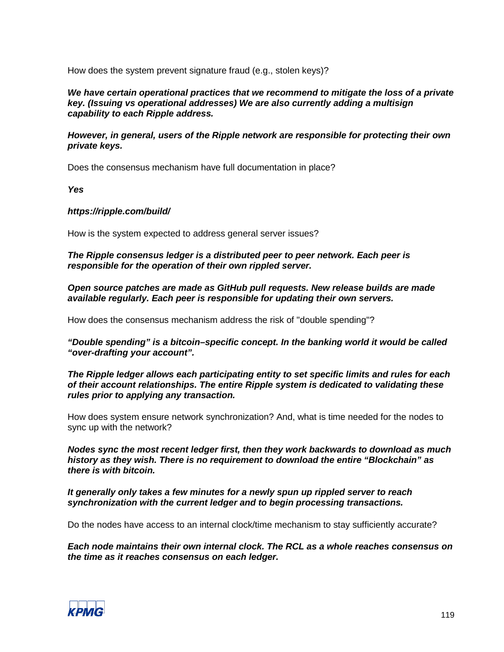How does the system prevent signature fraud (e.g., stolen keys)?

*We have certain operational practices that we recommend to mitigate the loss of a private key. (Issuing vs operational addresses) We are also currently adding a multisign capability to each Ripple address.* 

*However, in general, users of the Ripple network are responsible for protecting their own private keys.*

Does the consensus mechanism have full documentation in place?

*Yes*

#### *https://ripple.com/build/*

How is the system expected to address general server issues?

*The Ripple consensus ledger is a distributed peer to peer network. Each peer is responsible for the operation of their own rippled server.*

*Open source patches are made as GitHub pull requests. New release builds are made available regularly. Each peer is responsible for updating their own servers.*

How does the consensus mechanism address the risk of "double spending"?

*"Double spending" is a bitcoin–specific concept. In the banking world it would be called "over-drafting your account".*

*The Ripple ledger allows each participating entity to set specific limits and rules for each of their account relationships. The entire Ripple system is dedicated to validating these rules prior to applying any transaction.*

How does system ensure network synchronization? And, what is time needed for the nodes to sync up with the network?

*Nodes sync the most recent ledger first, then they work backwards to download as much history as they wish. There is no requirement to download the entire "Blockchain" as there is with bitcoin.*

*It generally only takes a few minutes for a newly spun up rippled server to reach synchronization with the current ledger and to begin processing transactions.*

Do the nodes have access to an internal clock/time mechanism to stay sufficiently accurate?

*Each node maintains their own internal clock. The RCL as a whole reaches consensus on the time as it reaches consensus on each ledger.*

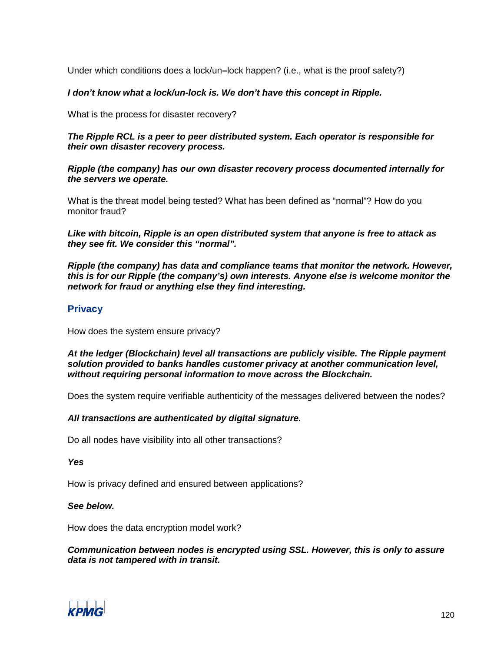Under which conditions does a lock/un**–**lock happen? (i.e., what is the proof safety?)

# *I don't know what a lock/un-lock is. We don't have this concept in Ripple.*

What is the process for disaster recovery?

# *The Ripple RCL is a peer to peer distributed system. Each operator is responsible for their own disaster recovery process.*

*Ripple (the company) has our own disaster recovery process documented internally for the servers we operate.*

What is the threat model being tested? What has been defined as "normal"? How do you monitor fraud?

*Like with bitcoin, Ripple is an open distributed system that anyone is free to attack as they see fit. We consider this "normal".*

*Ripple (the company) has data and compliance teams that monitor the network. However, this is for our Ripple (the company's) own interests. Anyone else is welcome monitor the network for fraud or anything else they find interesting.*

# **Privacy**

How does the system ensure privacy?

#### *At the ledger (Blockchain) level all transactions are publicly visible. The Ripple payment solution provided to banks handles customer privacy at another communication level, without requiring personal information to move across the Blockchain.*

Does the system require verifiable authenticity of the messages delivered between the nodes?

# *All transactions are authenticated by digital signature.*

Do all nodes have visibility into all other transactions?

*Yes*

How is privacy defined and ensured between applications?

#### *See below.*

How does the data encryption model work?

#### *Communication between nodes is encrypted using SSL. However, this is only to assure data is not tampered with in transit.*

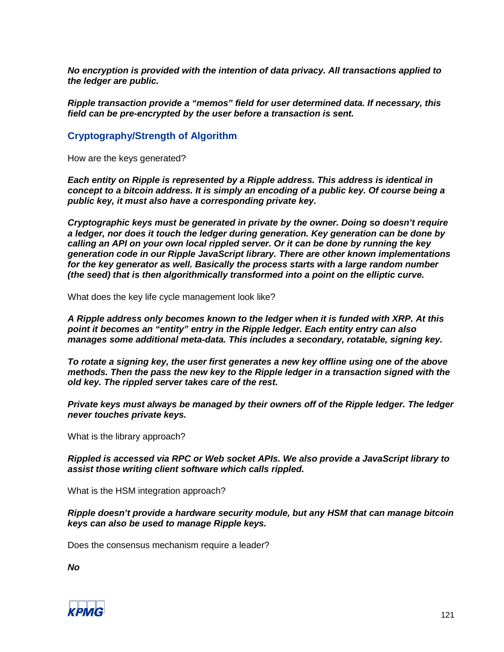*No encryption is provided with the intention of data privacy. All transactions applied to the ledger are public.*

*Ripple transaction provide a "memos" field for user determined data. If necessary, this field can be pre-encrypted by the user before a transaction is sent.*

#### **Cryptography/Strength of Algorithm**

How are the keys generated?

*Each entity on Ripple is represented by a Ripple address. This address is identical in concept to a bitcoin address. It is simply an encoding of a public key. Of course being a public key, it must also have a corresponding private key.*

*Cryptographic keys must be generated in private by the owner. Doing so doesn't require a ledger, nor does it touch the ledger during generation. Key generation can be done by calling an API on your own local rippled server. Or it can be done by running the key generation code in our Ripple JavaScript library. There are other known implementations for the key generator as well. Basically the process starts with a large random number (the seed) that is then algorithmically transformed into a point on the elliptic curve.*

What does the key life cycle management look like?

*A Ripple address only becomes known to the ledger when it is funded with XRP. At this point it becomes an "entity" entry in the Ripple ledger. Each entity entry can also manages some additional meta-data. This includes a secondary, rotatable, signing key.*

*To rotate a signing key, the user first generates a new key offline using one of the above methods. Then the pass the new key to the Ripple ledger in a transaction signed with the old key. The rippled server takes care of the rest.*

*Private keys must always be managed by their owners off of the Ripple ledger. The ledger never touches private keys.* 

What is the library approach?

*Rippled is accessed via RPC or Web socket APIs. We also provide a JavaScript library to assist those writing client software which calls rippled.*

What is the HSM integration approach?

*Ripple doesn't provide a hardware security module, but any HSM that can manage bitcoin keys can also be used to manage Ripple keys.*

Does the consensus mechanism require a leader?

*No*

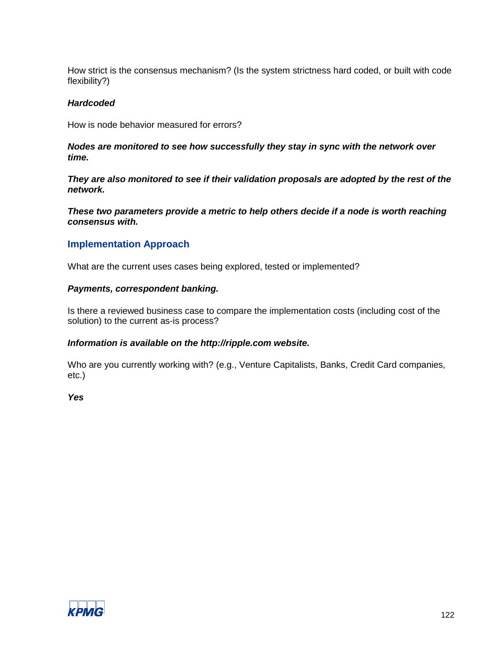How strict is the consensus mechanism? (Is the system strictness hard coded, or built with code flexibility?)

#### *Hardcoded*

How is node behavior measured for errors?

#### *Nodes are monitored to see how successfully they stay in sync with the network over time.*

*They are also monitored to see if their validation proposals are adopted by the rest of the network.*

*These two parameters provide a metric to help others decide if a node is worth reaching consensus with.*

# **Implementation Approach**

What are the current uses cases being explored, tested or implemented?

#### *Payments, correspondent banking.*

Is there a reviewed business case to compare the implementation costs (including cost of the solution) to the current as-is process?

#### *Information is available on the http://ripple.com website.*

Who are you currently working with? (e.g., Venture Capitalists, Banks, Credit Card companies, etc.)

*Yes*

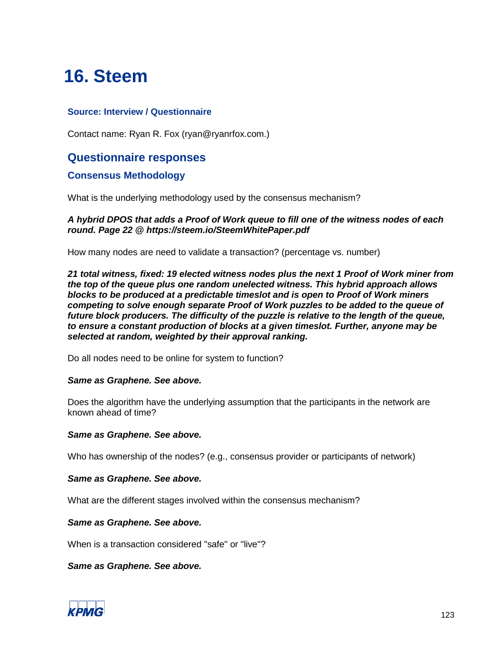# **16. Steem**

# **Source: Interview / Questionnaire**

Contact name: Ryan R. Fox (ryan@ryanrfox.com.)

# **Questionnaire responses**

# **Consensus Methodology**

What is the underlying methodology used by the consensus mechanism?

#### *A hybrid DPOS that adds a Proof of Work queue to fill one of the witness nodes of each round. Page 22 @ https://steem.io/SteemWhitePaper.pdf*

How many nodes are need to validate a transaction? (percentage vs. number)

*21 total witness, fixed: 19 elected witness nodes plus the next 1 Proof of Work miner from the top of the queue plus one random unelected witness. This hybrid approach allows blocks to be produced at a predictable timeslot and is open to Proof of Work miners competing to solve enough separate Proof of Work puzzles to be added to the queue of future block producers. The difficulty of the puzzle is relative to the length of the queue, to ensure a constant production of blocks at a given timeslot. Further, anyone may be selected at random, weighted by their approval ranking.*

Do all nodes need to be online for system to function?

#### *Same as Graphene. See above.*

Does the algorithm have the underlying assumption that the participants in the network are known ahead of time?

#### *Same as Graphene. See above.*

Who has ownership of the nodes? (e.g., consensus provider or participants of network)

#### *Same as Graphene. See above.*

What are the different stages involved within the consensus mechanism?

#### *Same as Graphene. See above.*

When is a transaction considered "safe" or "live"?

*Same as Graphene. See above.*

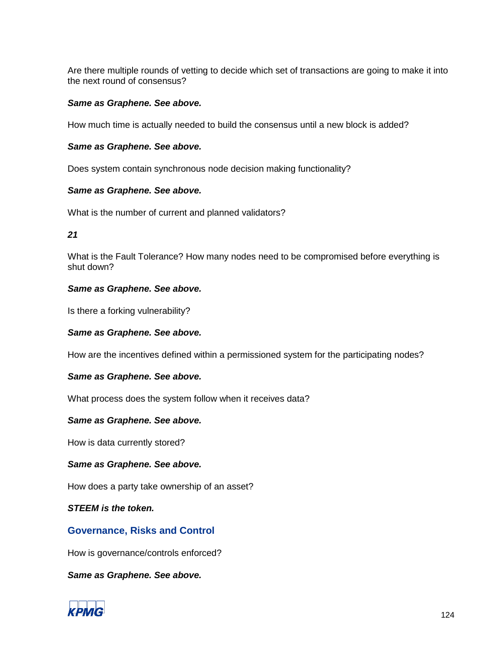Are there multiple rounds of vetting to decide which set of transactions are going to make it into the next round of consensus?

#### *Same as Graphene. See above.*

How much time is actually needed to build the consensus until a new block is added?

#### *Same as Graphene. See above.*

Does system contain synchronous node decision making functionality?

#### *Same as Graphene. See above.*

What is the number of current and planned validators?

*21*

What is the Fault Tolerance? How many nodes need to be compromised before everything is shut down?

#### *Same as Graphene. See above.*

Is there a forking vulnerability?

# *Same as Graphene. See above.*

How are the incentives defined within a permissioned system for the participating nodes?

# *Same as Graphene. See above.*

What process does the system follow when it receives data?

#### *Same as Graphene. See above.*

How is data currently stored?

# *Same as Graphene. See above.*

How does a party take ownership of an asset?

*STEEM is the token.*

# **Governance, Risks and Control**

How is governance/controls enforced?

*Same as Graphene. See above.*

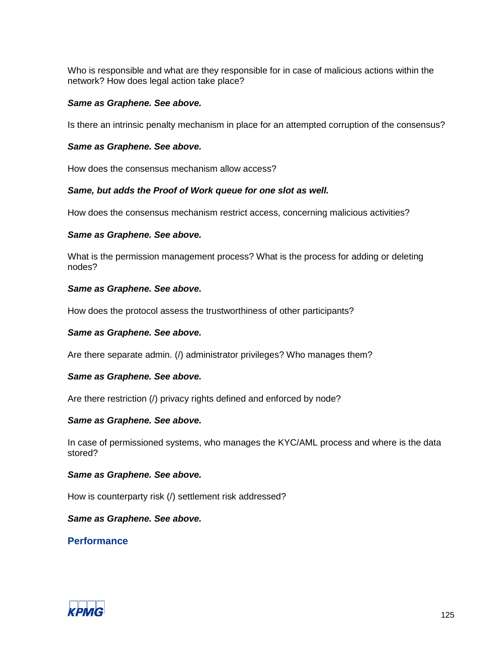Who is responsible and what are they responsible for in case of malicious actions within the network? How does legal action take place?

#### *Same as Graphene. See above.*

Is there an intrinsic penalty mechanism in place for an attempted corruption of the consensus?

#### *Same as Graphene. See above.*

How does the consensus mechanism allow access?

#### *Same, but adds the Proof of Work queue for one slot as well.*

How does the consensus mechanism restrict access, concerning malicious activities?

#### *Same as Graphene. See above.*

What is the permission management process? What is the process for adding or deleting nodes?

#### *Same as Graphene. See above.*

How does the protocol assess the trustworthiness of other participants?

# *Same as Graphene. See above.*

Are there separate admin. (/) administrator privileges? Who manages them?

# *Same as Graphene. See above.*

Are there restriction (/) privacy rights defined and enforced by node?

#### *Same as Graphene. See above.*

In case of permissioned systems, who manages the KYC/AML process and where is the data stored?

#### *Same as Graphene. See above.*

How is counterparty risk (/) settlement risk addressed?

*Same as Graphene. See above.*

**Performance**

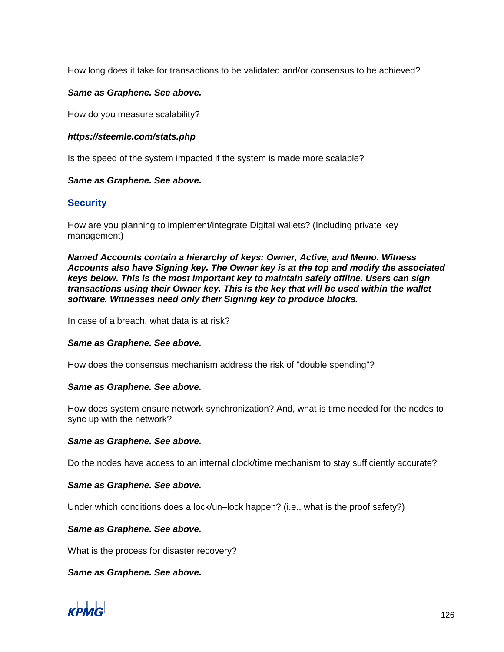How long does it take for transactions to be validated and/or consensus to be achieved?

#### *Same as Graphene. See above.*

How do you measure scalability?

#### *https://steemle.com/stats.php*

Is the speed of the system impacted if the system is made more scalable?

#### *Same as Graphene. See above.*

# **Security**

How are you planning to implement/integrate Digital wallets? (Including private key management)

*Named Accounts contain a hierarchy of keys: Owner, Active, and Memo. Witness Accounts also have Signing key. The Owner key is at the top and modify the associated keys below. This is the most important key to maintain safely offline. Users can sign transactions using their Owner key. This is the key that will be used within the wallet software. Witnesses need only their Signing key to produce blocks.*

In case of a breach, what data is at risk?

#### *Same as Graphene. See above.*

How does the consensus mechanism address the risk of "double spending"?

#### *Same as Graphene. See above.*

How does system ensure network synchronization? And, what is time needed for the nodes to sync up with the network?

#### *Same as Graphene. See above.*

Do the nodes have access to an internal clock/time mechanism to stay sufficiently accurate?

#### *Same as Graphene. See above.*

Under which conditions does a lock/un**–**lock happen? (i.e., what is the proof safety?)

#### *Same as Graphene. See above.*

What is the process for disaster recovery?

*Same as Graphene. See above.*

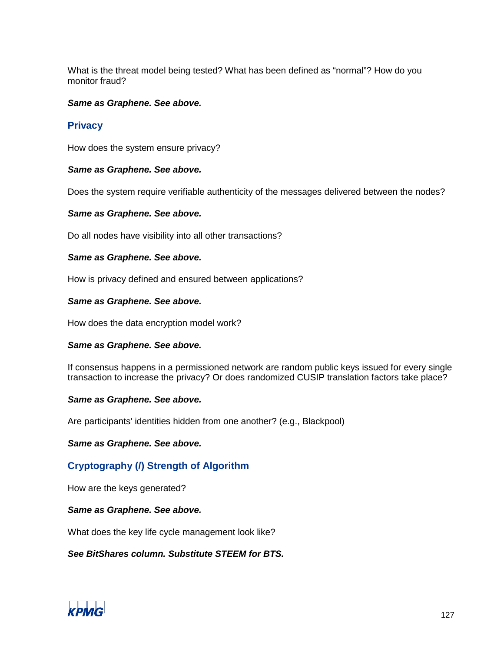What is the threat model being tested? What has been defined as "normal"? How do you monitor fraud?

#### *Same as Graphene. See above.*

# **Privacy**

How does the system ensure privacy?

#### *Same as Graphene. See above.*

Does the system require verifiable authenticity of the messages delivered between the nodes?

#### *Same as Graphene. See above.*

Do all nodes have visibility into all other transactions?

#### *Same as Graphene. See above.*

How is privacy defined and ensured between applications?

#### *Same as Graphene. See above.*

How does the data encryption model work?

#### *Same as Graphene. See above.*

If consensus happens in a permissioned network are random public keys issued for every single transaction to increase the privacy? Or does randomized CUSIP translation factors take place?

# *Same as Graphene. See above.*

Are participants' identities hidden from one another? (e.g., Blackpool)

#### *Same as Graphene. See above.*

# **Cryptography (/) Strength of Algorithm**

How are the keys generated?

# *Same as Graphene. See above.*

What does the key life cycle management look like?

# *See BitShares column. Substitute STEEM for BTS.*

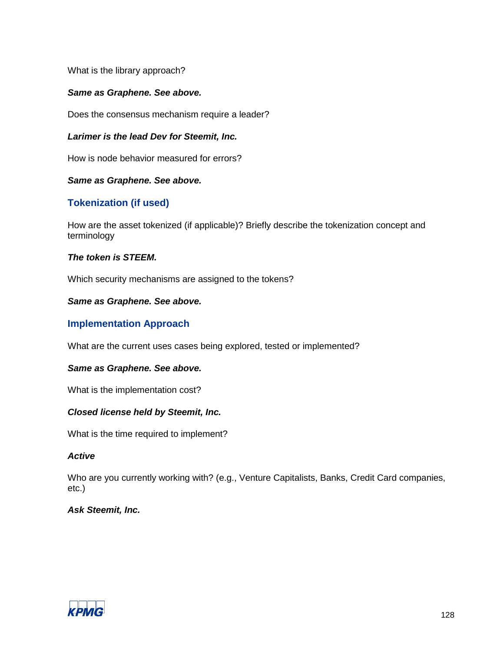What is the library approach?

# *Same as Graphene. See above.*

Does the consensus mechanism require a leader?

#### *Larimer is the lead Dev for Steemit, Inc.*

How is node behavior measured for errors?

#### *Same as Graphene. See above.*

# **Tokenization (if used)**

How are the asset tokenized (if applicable)? Briefly describe the tokenization concept and terminology

#### *The token is STEEM.*

Which security mechanisms are assigned to the tokens?

#### *Same as Graphene. See above.*

# **Implementation Approach**

What are the current uses cases being explored, tested or implemented?

#### *Same as Graphene. See above.*

What is the implementation cost?

# *Closed license held by Steemit, Inc.*

What is the time required to implement?

#### *Active*

Who are you currently working with? (e.g., Venture Capitalists, Banks, Credit Card companies, etc.)

# *Ask Steemit, Inc.*

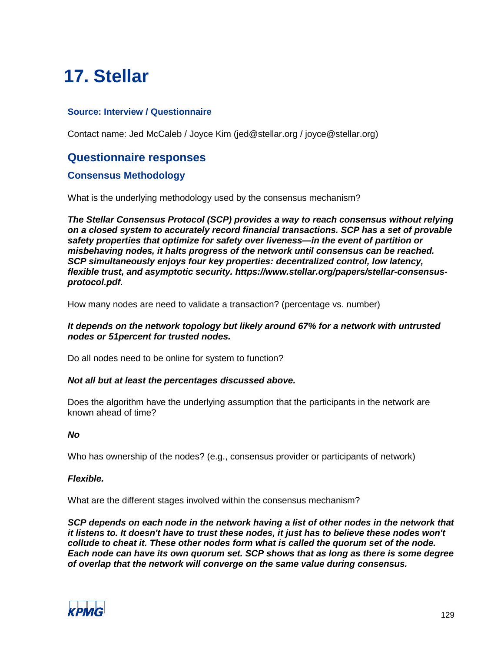# **17. Stellar**

# **Source: Interview / Questionnaire**

Contact name: Jed McCaleb / Joyce Kim (jed@stellar.org / joyce@stellar.org)

# **Questionnaire responses**

# **Consensus Methodology**

What is the underlying methodology used by the consensus mechanism?

*The Stellar Consensus Protocol (SCP) provides a way to reach consensus without relying on a closed system to accurately record financial transactions. SCP has a set of provable safety properties that optimize for safety over liveness—in the event of partition or misbehaving nodes, it halts progress of the network until consensus can be reached. SCP simultaneously enjoys four key properties: decentralized control, low latency, flexible trust, and asymptotic security. https://www.stellar.org/papers/stellar-consensusprotocol.pdf.*

How many nodes are need to validate a transaction? (percentage vs. number)

#### *It depends on the network topology but likely around 67% for a network with untrusted nodes or 51percent for trusted nodes.*

Do all nodes need to be online for system to function?

#### *Not all but at least the percentages discussed above.*

Does the algorithm have the underlying assumption that the participants in the network are known ahead of time?

#### *No*

Who has ownership of the nodes? (e.g., consensus provider or participants of network)

#### *Flexible.*

What are the different stages involved within the consensus mechanism?

*SCP depends on each node in the network having a list of other nodes in the network that it listens to. It doesn't have to trust these nodes, it just has to believe these nodes won't collude to cheat it. These other nodes form what is called the quorum set of the node. Each node can have its own quorum set. SCP shows that as long as there is some degree of overlap that the network will converge on the same value during consensus.*

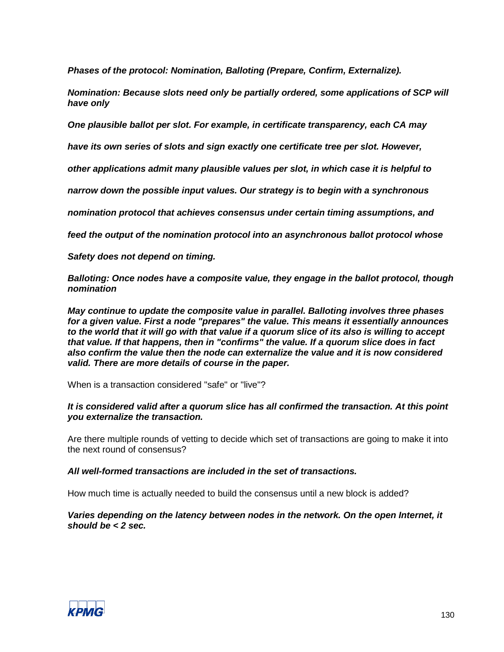*Phases of the protocol: Nomination, Balloting (Prepare, Confirm, Externalize).* 

*Nomination: Because slots need only be partially ordered, some applications of SCP will have only* 

*One plausible ballot per slot. For example, in certificate transparency, each CA may*

*have its own series of slots and sign exactly one certificate tree per slot. However,*

*other applications admit many plausible values per slot, in which case it is helpful to*

*narrow down the possible input values. Our strategy is to begin with a synchronous*

*nomination protocol that achieves consensus under certain timing assumptions, and*

*feed the output of the nomination protocol into an asynchronous ballot protocol whose*

*Safety does not depend on timing.*

*Balloting: Once nodes have a composite value, they engage in the ballot protocol, though nomination*

*May continue to update the composite value in parallel. Balloting involves three phases for a given value. First a node "prepares" the value. This means it essentially announces to the world that it will go with that value if a quorum slice of its also is willing to accept that value. If that happens, then in "confirms" the value. If a quorum slice does in fact also confirm the value then the node can externalize the value and it is now considered valid. There are more details of course in the paper.*

When is a transaction considered "safe" or "live"?

#### *It is considered valid after a quorum slice has all confirmed the transaction. At this point you externalize the transaction.*

Are there multiple rounds of vetting to decide which set of transactions are going to make it into the next round of consensus?

*All well-formed transactions are included in the set of transactions.*

How much time is actually needed to build the consensus until a new block is added?

*Varies depending on the latency between nodes in the network. On the open Internet, it should be < 2 sec.*

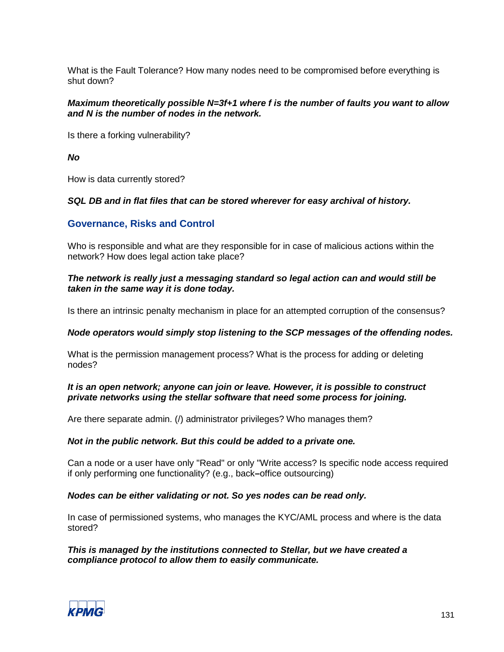What is the Fault Tolerance? How many nodes need to be compromised before everything is shut down?

#### *Maximum theoretically possible N=3f+1 where f is the number of faults you want to allow and N is the number of nodes in the network.*

Is there a forking vulnerability?

*No*

How is data currently stored?

#### *SQL DB and in flat files that can be stored wherever for easy archival of history.*

# **Governance, Risks and Control**

Who is responsible and what are they responsible for in case of malicious actions within the network? How does legal action take place?

#### *The network is really just a messaging standard so legal action can and would still be taken in the same way it is done today.*

Is there an intrinsic penalty mechanism in place for an attempted corruption of the consensus?

#### *Node operators would simply stop listening to the SCP messages of the offending nodes.*

What is the permission management process? What is the process for adding or deleting nodes?

#### *It is an open network; anyone can join or leave. However, it is possible to construct private networks using the stellar software that need some process for joining.*

Are there separate admin. (/) administrator privileges? Who manages them?

#### *Not in the public network. But this could be added to a private one.*

Can a node or a user have only "Read" or only "Write access? Is specific node access required if only performing one functionality? (e.g., back**–**office outsourcing)

#### *Nodes can be either validating or not. So yes nodes can be read only.*

In case of permissioned systems, who manages the KYC/AML process and where is the data stored?

*This is managed by the institutions connected to Stellar, but we have created a compliance protocol to allow them to easily communicate.*

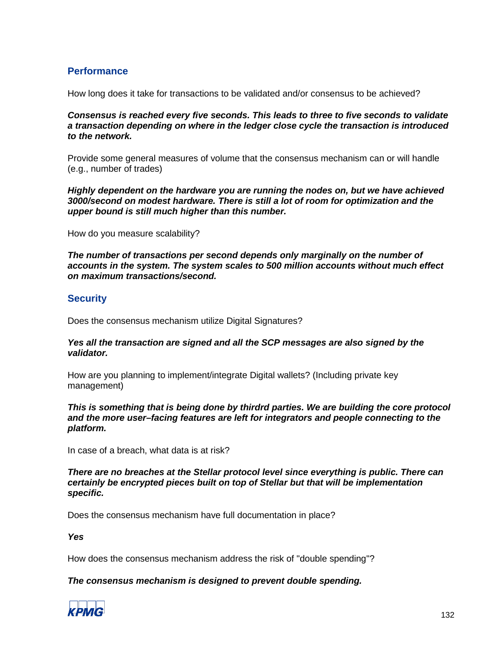# **Performance**

How long does it take for transactions to be validated and/or consensus to be achieved?

*Consensus is reached every five seconds. This leads to three to five seconds to validate a transaction depending on where in the ledger close cycle the transaction is introduced to the network.*

Provide some general measures of volume that the consensus mechanism can or will handle (e.g., number of trades)

*Highly dependent on the hardware you are running the nodes on, but we have achieved 3000/second on modest hardware. There is still a lot of room for optimization and the upper bound is still much higher than this number.*

How do you measure scalability?

*The number of transactions per second depends only marginally on the number of accounts in the system. The system scales to 500 million accounts without much effect on maximum transactions/second.*

# **Security**

Does the consensus mechanism utilize Digital Signatures?

#### *Yes all the transaction are signed and all the SCP messages are also signed by the validator.*

How are you planning to implement/integrate Digital wallets? (Including private key management)

*This is something that is being done by thirdrd parties. We are building the core protocol and the more user–facing features are left for integrators and people connecting to the platform.*

In case of a breach, what data is at risk?

*There are no breaches at the Stellar protocol level since everything is public. There can certainly be encrypted pieces built on top of Stellar but that will be implementation specific.*

Does the consensus mechanism have full documentation in place?

*Yes*

How does the consensus mechanism address the risk of "double spending"?

# *The consensus mechanism is designed to prevent double spending.*

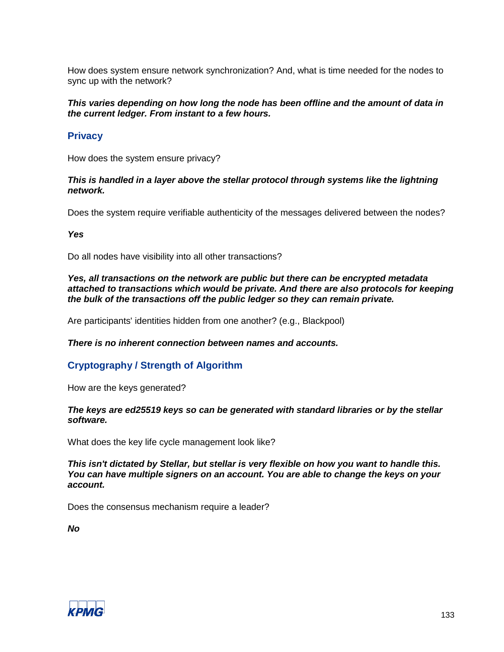How does system ensure network synchronization? And, what is time needed for the nodes to sync up with the network?

#### *This varies depending on how long the node has been offline and the amount of data in the current ledger. From instant to a few hours.*

# **Privacy**

How does the system ensure privacy?

#### *This is handled in a layer above the stellar protocol through systems like the lightning network.*

Does the system require verifiable authenticity of the messages delivered between the nodes?

*Yes*

Do all nodes have visibility into all other transactions?

*Yes, all transactions on the network are public but there can be encrypted metadata attached to transactions which would be private. And there are also protocols for keeping the bulk of the transactions off the public ledger so they can remain private.*

Are participants' identities hidden from one another? (e.g., Blackpool)

# *There is no inherent connection between names and accounts.*

# **Cryptography / Strength of Algorithm**

How are the keys generated?

#### *The keys are ed25519 keys so can be generated with standard libraries or by the stellar software.*

What does the key life cycle management look like?

*This isn't dictated by Stellar, but stellar is very flexible on how you want to handle this. You can have multiple signers on an account. You are able to change the keys on your account.*

Does the consensus mechanism require a leader?

*No*

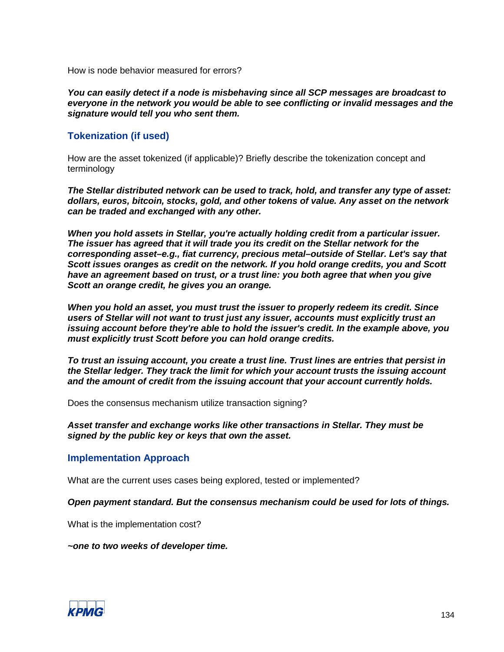How is node behavior measured for errors?

*You can easily detect if a node is misbehaving since all SCP messages are broadcast to everyone in the network you would be able to see conflicting or invalid messages and the signature would tell you who sent them.*

# **Tokenization (if used)**

How are the asset tokenized (if applicable)? Briefly describe the tokenization concept and terminology

*The Stellar distributed network can be used to track, hold, and transfer any type of asset: dollars, euros, bitcoin, stocks, gold, and other tokens of value. Any asset on the network can be traded and exchanged with any other.*

*When you hold assets in Stellar, you're actually holding credit from a particular issuer. The issuer has agreed that it will trade you its credit on the Stellar network for the corresponding asset–e.g., fiat currency, precious metal–outside of Stellar. Let's say that Scott issues oranges as credit on the network. If you hold orange credits, you and Scott have an agreement based on trust, or a trust line: you both agree that when you give Scott an orange credit, he gives you an orange.*

*When you hold an asset, you must trust the issuer to properly redeem its credit. Since users of Stellar will not want to trust just any issuer, accounts must explicitly trust an issuing account before they're able to hold the issuer's credit. In the example above, you must explicitly trust Scott before you can hold orange credits.*

*To trust an issuing account, you create a trust line. Trust lines are entries that persist in the Stellar ledger. They track the limit for which your account trusts the issuing account and the amount of credit from the issuing account that your account currently holds.*

Does the consensus mechanism utilize transaction signing?

*Asset transfer and exchange works like other transactions in Stellar. They must be signed by the public key or keys that own the asset.*

# **Implementation Approach**

What are the current uses cases being explored, tested or implemented?

#### *Open payment standard. But the consensus mechanism could be used for lots of things.*

What is the implementation cost?

*~one to two weeks of developer time.*

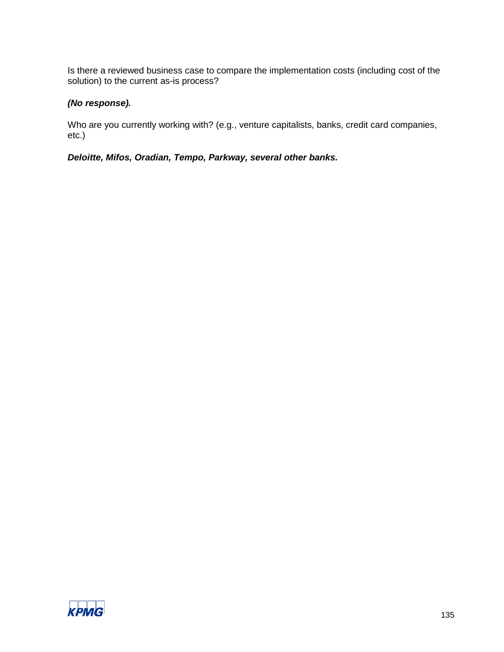Is there a reviewed business case to compare the implementation costs (including cost of the solution) to the current as-is process?

# *(No response).*

Who are you currently working with? (e.g., venture capitalists, banks, credit card companies, etc.)

*Deloitte, Mifos, Oradian, Tempo, Parkway, several other banks.*

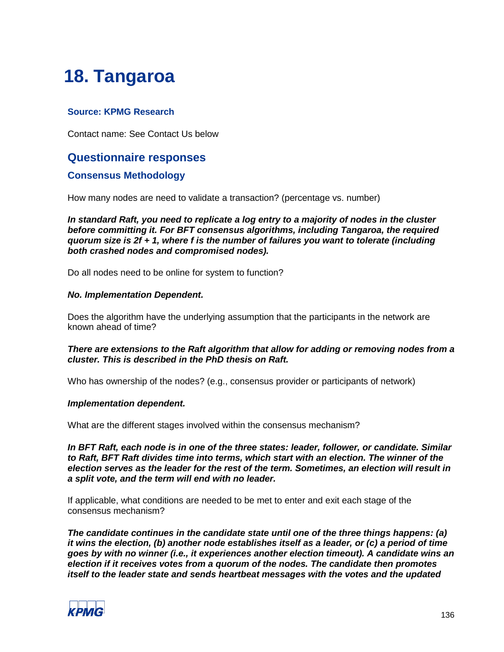# **18. Tangaroa**

# **Source: KPMG Research**

Contact name: See Contact Us below

# **Questionnaire responses**

# **Consensus Methodology**

How many nodes are need to validate a transaction? (percentage vs. number)

*In standard Raft, you need to replicate a log entry to a majority of nodes in the cluster before committing it. For BFT consensus algorithms, including Tangaroa, the required quorum size is 2f + 1, where f is the number of failures you want to tolerate (including both crashed nodes and compromised nodes).*

Do all nodes need to be online for system to function?

#### *No. Implementation Dependent.*

Does the algorithm have the underlying assumption that the participants in the network are known ahead of time?

#### *There are extensions to the Raft algorithm that allow for adding or removing nodes from a cluster. This is described in the PhD thesis on Raft.*

Who has ownership of the nodes? (e.g., consensus provider or participants of network)

#### *Implementation dependent.*

What are the different stages involved within the consensus mechanism?

*In BFT Raft, each node is in one of the three states: leader, follower, or candidate. Similar to Raft, BFT Raft divides time into terms, which start with an election. The winner of the election serves as the leader for the rest of the term. Sometimes, an election will result in a split vote, and the term will end with no leader.*

If applicable, what conditions are needed to be met to enter and exit each stage of the consensus mechanism?

*The candidate continues in the candidate state until one of the three things happens: (a) it wins the election, (b) another node establishes itself as a leader, or (c) a period of time goes by with no winner (i.e., it experiences another election timeout). A candidate wins an election if it receives votes from a quorum of the nodes. The candidate then promotes itself to the leader state and sends heartbeat messages with the votes and the updated* 

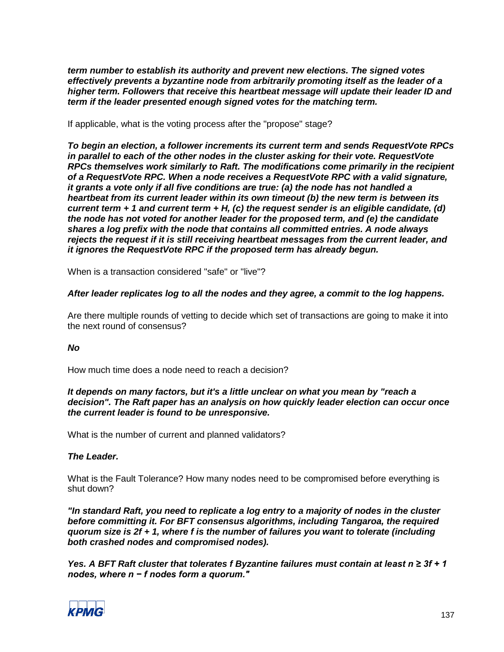*term number to establish its authority and prevent new elections. The signed votes effectively prevents a byzantine node from arbitrarily promoting itself as the leader of a higher term. Followers that receive this heartbeat message will update their leader ID and term if the leader presented enough signed votes for the matching term.*

If applicable, what is the voting process after the "propose" stage?

*To begin an election, a follower increments its current term and sends RequestVote RPCs in parallel to each of the other nodes in the cluster asking for their vote. RequestVote RPCs themselves work similarly to Raft. The modifications come primarily in the recipient of a RequestVote RPC. When a node receives a RequestVote RPC with a valid signature, it grants a vote only if all five conditions are true: (a) the node has not handled a heartbeat from its current leader within its own timeout (b) the new term is between its current term + 1 and current term + H, (c) the request sender is an eligible candidate, (d) the node has not voted for another leader for the proposed term, and (e) the candidate shares a log prefix with the node that contains all committed entries. A node always rejects the request if it is still receiving heartbeat messages from the current leader, and it ignores the RequestVote RPC if the proposed term has already begun.*

When is a transaction considered "safe" or "live"?

# *After leader replicates log to all the nodes and they agree, a commit to the log happens.*

Are there multiple rounds of vetting to decide which set of transactions are going to make it into the next round of consensus?

# *No*

How much time does a node need to reach a decision?

#### *It depends on many factors, but it's a little unclear on what you mean by "reach a decision". The Raft paper has an analysis on how quickly leader election can occur once the current leader is found to be unresponsive.*

What is the number of current and planned validators?

# *The Leader.*

What is the Fault Tolerance? How many nodes need to be compromised before everything is shut down?

*"In standard Raft, you need to replicate a log entry to a majority of nodes in the cluster before committing it. For BFT consensus algorithms, including Tangaroa, the required quorum size is 2f + 1, where f is the number of failures you want to tolerate (including both crashed nodes and compromised nodes).*

*Yes. A BFT Raft cluster that tolerates f Byzantine failures must contain at least n ≥ 3f + 1 nodes, where n − f nodes form a quorum."*

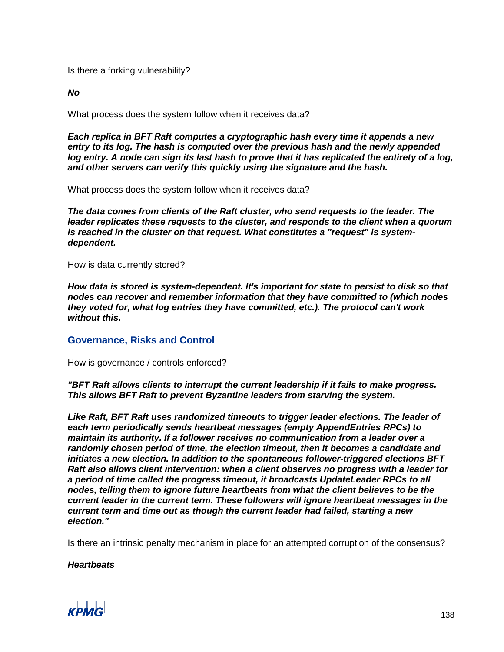Is there a forking vulnerability?

*No*

What process does the system follow when it receives data?

*Each replica in BFT Raft computes a cryptographic hash every time it appends a new entry to its log. The hash is computed over the previous hash and the newly appended log entry. A node can sign its last hash to prove that it has replicated the entirety of a log, and other servers can verify this quickly using the signature and the hash.*

What process does the system follow when it receives data?

*The data comes from clients of the Raft cluster, who send requests to the leader. The leader replicates these requests to the cluster, and responds to the client when a quorum is reached in the cluster on that request. What constitutes a "request" is systemdependent.*

How is data currently stored?

*How data is stored is system-dependent. It's important for state to persist to disk so that nodes can recover and remember information that they have committed to (which nodes they voted for, what log entries they have committed, etc.). The protocol can't work without this.*

# **Governance, Risks and Control**

How is governance / controls enforced?

*"BFT Raft allows clients to interrupt the current leadership if it fails to make progress. This allows BFT Raft to prevent Byzantine leaders from starving the system.*

*Like Raft, BFT Raft uses randomized timeouts to trigger leader elections. The leader of each term periodically sends heartbeat messages (empty AppendEntries RPCs) to maintain its authority. If a follower receives no communication from a leader over a randomly chosen period of time, the election timeout, then it becomes a candidate and initiates a new election. In addition to the spontaneous follower-triggered elections BFT Raft also allows client intervention: when a client observes no progress with a leader for a period of time called the progress timeout, it broadcasts UpdateLeader RPCs to all nodes, telling them to ignore future heartbeats from what the client believes to be the current leader in the current term. These followers will ignore heartbeat messages in the current term and time out as though the current leader had failed, starting a new election."*

Is there an intrinsic penalty mechanism in place for an attempted corruption of the consensus?

*Heartbeats*

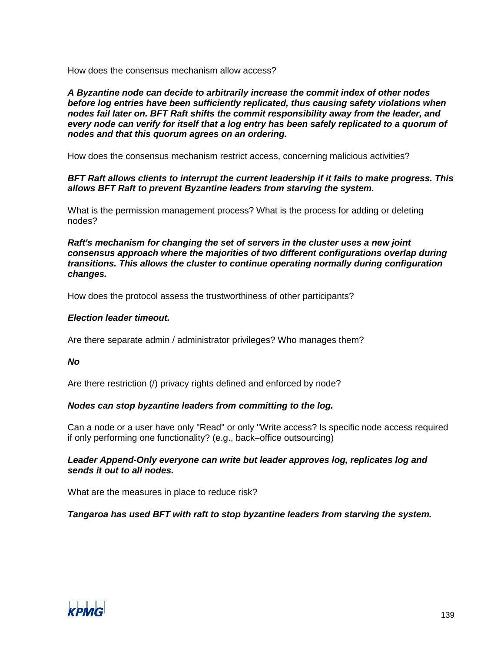How does the consensus mechanism allow access?

*A Byzantine node can decide to arbitrarily increase the commit index of other nodes before log entries have been sufficiently replicated, thus causing safety violations when nodes fail later on. BFT Raft shifts the commit responsibility away from the leader, and every node can verify for itself that a log entry has been safely replicated to a quorum of nodes and that this quorum agrees on an ordering.*

How does the consensus mechanism restrict access, concerning malicious activities?

#### *BFT Raft allows clients to interrupt the current leadership if it fails to make progress. This allows BFT Raft to prevent Byzantine leaders from starving the system.*

What is the permission management process? What is the process for adding or deleting nodes?

*Raft's mechanism for changing the set of servers in the cluster uses a new joint consensus approach where the majorities of two different configurations overlap during transitions. This allows the cluster to continue operating normally during configuration changes.*

How does the protocol assess the trustworthiness of other participants?

#### *Election leader timeout.*

Are there separate admin / administrator privileges? Who manages them?

#### *No*

Are there restriction (/) privacy rights defined and enforced by node?

# *Nodes can stop byzantine leaders from committing to the log.*

Can a node or a user have only "Read" or only "Write access? Is specific node access required if only performing one functionality? (e.g., back**–**office outsourcing)

# *Leader Append-Only everyone can write but leader approves log, replicates log and sends it out to all nodes.*

What are the measures in place to reduce risk?

*Tangaroa has used BFT with raft to stop byzantine leaders from starving the system.*

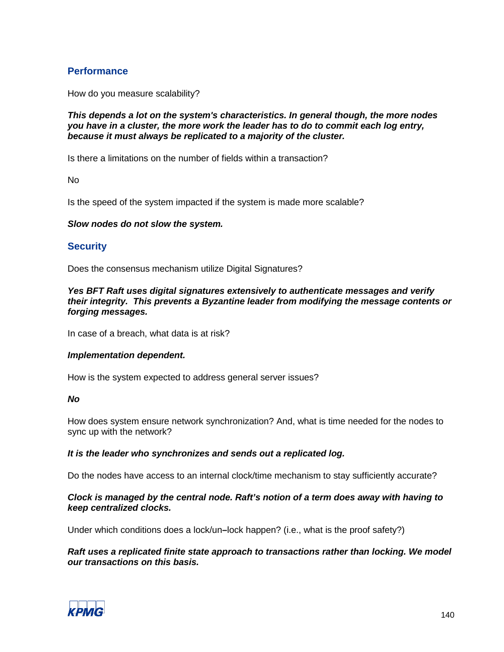# **Performance**

How do you measure scalability?

*This depends a lot on the system's characteristics. In general though, the more nodes you have in a cluster, the more work the leader has to do to commit each log entry, because it must always be replicated to a majority of the cluster.*

Is there a limitations on the number of fields within a transaction?

No

Is the speed of the system impacted if the system is made more scalable?

#### *Slow nodes do not slow the system.*

# **Security**

Does the consensus mechanism utilize Digital Signatures?

*Yes BFT Raft uses digital signatures extensively to authenticate messages and verify their integrity. This prevents a Byzantine leader from modifying the message contents or forging messages.*

In case of a breach, what data is at risk?

#### *Implementation dependent.*

How is the system expected to address general server issues?

#### *No*

How does system ensure network synchronization? And, what is time needed for the nodes to sync up with the network?

#### *It is the leader who synchronizes and sends out a replicated log.*

Do the nodes have access to an internal clock/time mechanism to stay sufficiently accurate?

#### *Clock is managed by the central node. Raft's notion of a term does away with having to keep centralized clocks.*

Under which conditions does a lock/un**–**lock happen? (i.e., what is the proof safety?)

#### *Raft uses a replicated finite state approach to transactions rather than locking. We model our transactions on this basis.*

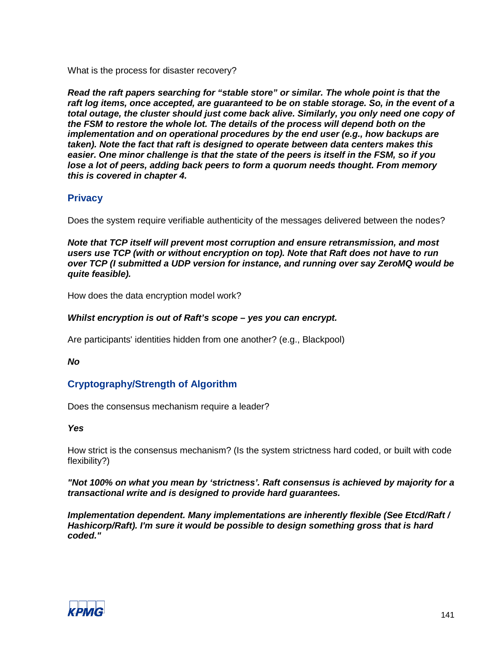What is the process for disaster recovery?

*Read the raft papers searching for "stable store" or similar. The whole point is that the raft log items, once accepted, are guaranteed to be on stable storage. So, in the event of a total outage, the cluster should just come back alive. Similarly, you only need one copy of the FSM to restore the whole lot. The details of the process will depend both on the implementation and on operational procedures by the end user (e.g., how backups are taken). Note the fact that raft is designed to operate between data centers makes this easier. One minor challenge is that the state of the peers is itself in the FSM, so if you lose a lot of peers, adding back peers to form a quorum needs thought. From memory this is covered in chapter 4.*

# **Privacy**

Does the system require verifiable authenticity of the messages delivered between the nodes?

*Note that TCP itself will prevent most corruption and ensure retransmission, and most users use TCP (with or without encryption on top). Note that Raft does not have to run over TCP (I submitted a UDP version for instance, and running over say ZeroMQ would be quite feasible).*

How does the data encryption model work?

#### *Whilst encryption is out of Raft's scope – yes you can encrypt.*

Are participants' identities hidden from one another? (e.g., Blackpool)

#### *No*

# **Cryptography/Strength of Algorithm**

Does the consensus mechanism require a leader?

# *Yes*

How strict is the consensus mechanism? (Is the system strictness hard coded, or built with code flexibility?)

*"Not 100% on what you mean by 'strictness'. Raft consensus is achieved by majority for a transactional write and is designed to provide hard guarantees.*

*Implementation dependent. Many implementations are inherently flexible (See Etcd/Raft / Hashicorp/Raft). I'm sure it would be possible to design something gross that is hard coded."*

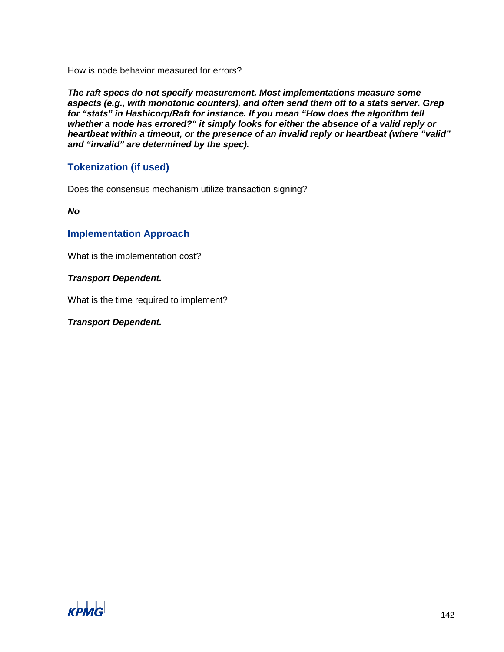How is node behavior measured for errors?

*The raft specs do not specify measurement. Most implementations measure some aspects (e.g., with monotonic counters), and often send them off to a stats server. Grep for "stats" in Hashicorp/Raft for instance. If you mean "How does the algorithm tell whether a node has errored?" it simply looks for either the absence of a valid reply or heartbeat within a timeout, or the presence of an invalid reply or heartbeat (where "valid" and "invalid" are determined by the spec).*

# **Tokenization (if used)**

Does the consensus mechanism utilize transaction signing?

*No*

# **Implementation Approach**

What is the implementation cost?

# *Transport Dependent.*

What is the time required to implement?

# *Transport Dependent.*

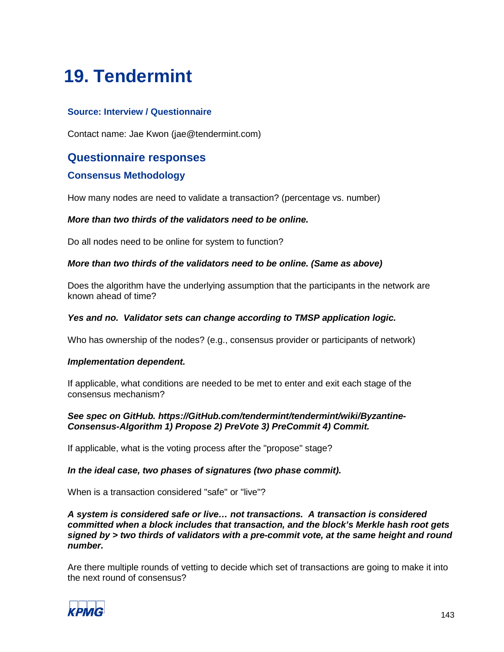# **19. Tendermint**

# **Source: Interview / Questionnaire**

Contact name: Jae Kwon (jae@tendermint.com)

# **Questionnaire responses**

# **Consensus Methodology**

How many nodes are need to validate a transaction? (percentage vs. number)

# *More than two thirds of the validators need to be online.*

Do all nodes need to be online for system to function?

#### *More than two thirds of the validators need to be online. (Same as above)*

Does the algorithm have the underlying assumption that the participants in the network are known ahead of time?

#### *Yes and no. Validator sets can change according to TMSP application logic.*

Who has ownership of the nodes? (e.g., consensus provider or participants of network)

# *Implementation dependent.*

If applicable, what conditions are needed to be met to enter and exit each stage of the consensus mechanism?

# *See spec on GitHub. https://GitHub.com/tendermint/tendermint/wiki/Byzantine-Consensus-Algorithm 1) Propose 2) PreVote 3) PreCommit 4) Commit.*

If applicable, what is the voting process after the "propose" stage?

# *In the ideal case, two phases of signatures (two phase commit).*

When is a transaction considered "safe" or "live"?

#### *A system is considered safe or live… not transactions. A transaction is considered committed when a block includes that transaction, and the block's Merkle hash root gets signed by > two thirds of validators with a pre-commit vote, at the same height and round number.*

Are there multiple rounds of vetting to decide which set of transactions are going to make it into the next round of consensus?

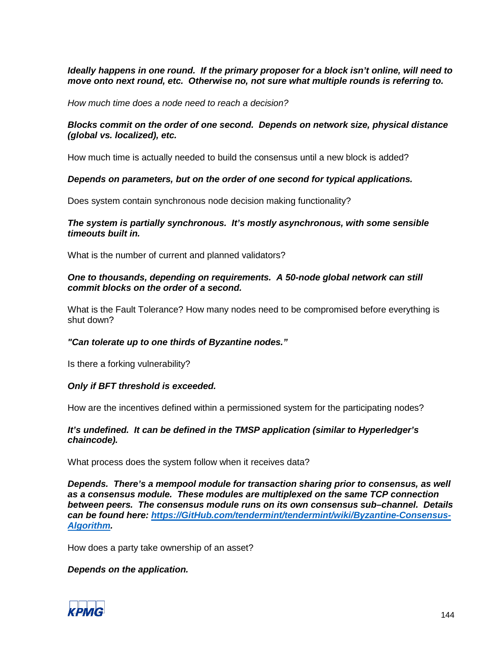#### *Ideally happens in one round. If the primary proposer for a block isn't online, will need to move onto next round, etc. Otherwise no, not sure what multiple rounds is referring to.*

*How much time does a node need to reach a decision?*

#### *Blocks commit on the order of one second. Depends on network size, physical distance (global vs. localized), etc.*

How much time is actually needed to build the consensus until a new block is added?

#### *Depends on parameters, but on the order of one second for typical applications.*

Does system contain synchronous node decision making functionality?

#### *The system is partially synchronous. It's mostly asynchronous, with some sensible timeouts built in.*

What is the number of current and planned validators?

#### *One to thousands, depending on requirements. A 50-node global network can still commit blocks on the order of a second.*

What is the Fault Tolerance? How many nodes need to be compromised before everything is shut down?

# *"Can tolerate up to one thirds of Byzantine nodes."*

Is there a forking vulnerability?

# *Only if BFT threshold is exceeded.*

How are the incentives defined within a permissioned system for the participating nodes?

# *It's undefined. It can be defined in the TMSP application (similar to Hyperledger's chaincode).*

What process does the system follow when it receives data?

*Depends. There's a mempool module for transaction sharing prior to consensus, as well as a consensus module. These modules are multiplexed on the same TCP connection between peers. The consensus module runs on its own consensus sub–channel. Details can be found here: [https://GitHub.com/tendermint/tendermint/wiki/Byzantine-Consensus-](https://github.com/tendermint/tendermint/wiki/Byzantine-Consensus-Algorithm)[Algorithm.](https://github.com/tendermint/tendermint/wiki/Byzantine-Consensus-Algorithm)*

How does a party take ownership of an asset?

# *Depends on the application.*

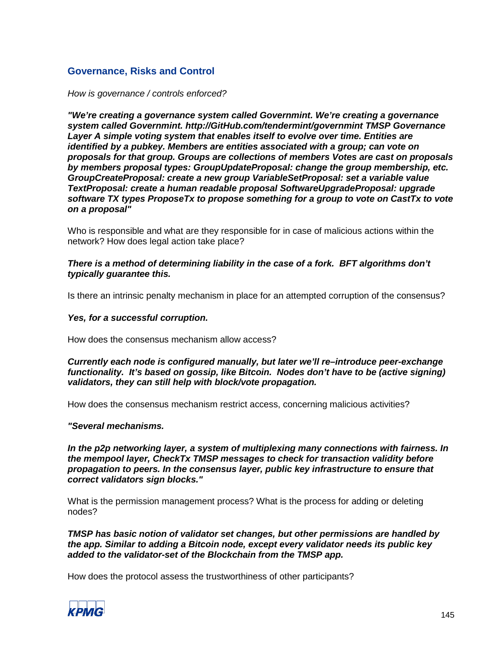# **Governance, Risks and Control**

*How is governance / controls enforced?*

*"We're creating a governance system called Governmint. We're creating a governance system called Governmint. http://GitHub.com/tendermint/governmint TMSP Governance Layer A simple voting system that enables itself to evolve over time. Entities are identified by a pubkey. Members are entities associated with a group; can vote on proposals for that group. Groups are collections of members Votes are cast on proposals by members proposal types: GroupUpdateProposal: change the group membership, etc. GroupCreateProposal: create a new group VariableSetProposal: set a variable value TextProposal: create a human readable proposal SoftwareUpgradeProposal: upgrade software TX types ProposeTx to propose something for a group to vote on CastTx to vote on a proposal"*

Who is responsible and what are they responsible for in case of malicious actions within the network? How does legal action take place?

*There is a method of determining liability in the case of a fork. BFT algorithms don't typically guarantee this.*

Is there an intrinsic penalty mechanism in place for an attempted corruption of the consensus?

#### *Yes, for a successful corruption.*

How does the consensus mechanism allow access?

#### *Currently each node is configured manually, but later we'll re–introduce peer-exchange functionality. It's based on gossip, like Bitcoin. Nodes don't have to be (active signing) validators, they can still help with block/vote propagation.*

How does the consensus mechanism restrict access, concerning malicious activities?

#### *"Several mechanisms.*

*In the p2p networking layer, a system of multiplexing many connections with fairness. In the mempool layer, CheckTx TMSP messages to check for transaction validity before propagation to peers. In the consensus layer, public key infrastructure to ensure that correct validators sign blocks."*

What is the permission management process? What is the process for adding or deleting nodes?

*TMSP has basic notion of validator set changes, but other permissions are handled by the app. Similar to adding a Bitcoin node, except every validator needs its public key added to the validator-set of the Blockchain from the TMSP app.*

How does the protocol assess the trustworthiness of other participants?

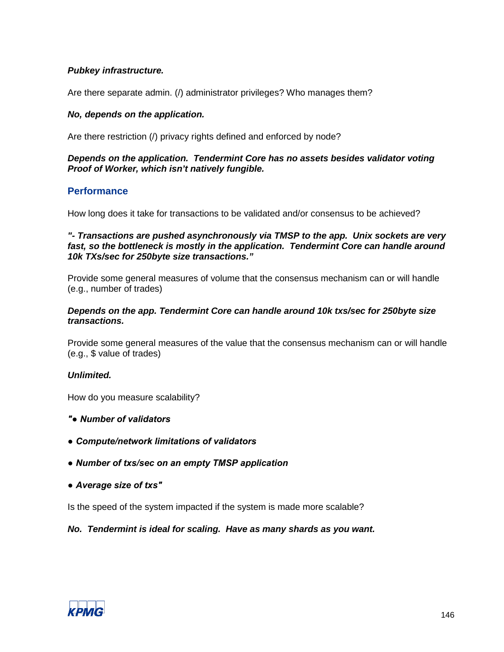# *Pubkey infrastructure.*

Are there separate admin. (/) administrator privileges? Who manages them?

#### *No, depends on the application.*

Are there restriction (/) privacy rights defined and enforced by node?

#### *Depends on the application. Tendermint Core has no assets besides validator voting Proof of Worker, which isn't natively fungible.*

# **Performance**

How long does it take for transactions to be validated and/or consensus to be achieved?

#### *"- Transactions are pushed asynchronously via TMSP to the app. Unix sockets are very fast, so the bottleneck is mostly in the application. Tendermint Core can handle around 10k TXs/sec for 250byte size transactions."*

Provide some general measures of volume that the consensus mechanism can or will handle (e.g., number of trades)

#### *Depends on the app. Tendermint Core can handle around 10k txs/sec for 250byte size transactions.*

Provide some general measures of the value that the consensus mechanism can or will handle (e.g., \$ value of trades)

# *Unlimited.*

How do you measure scalability?

- *"● Number of validators*
- *Compute/network limitations of validators*
- *Number of txs/sec on an empty TMSP application*
- *Average size of txs"*

Is the speed of the system impacted if the system is made more scalable?

# *No. Tendermint is ideal for scaling. Have as many shards as you want.*

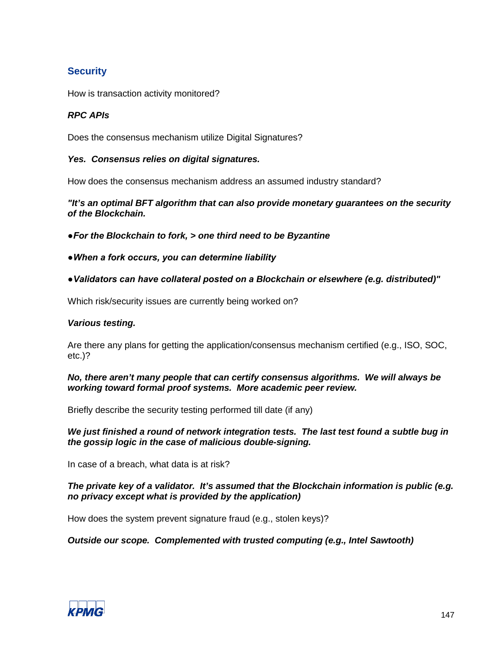# **Security**

How is transaction activity monitored?

# *RPC APIs*

Does the consensus mechanism utilize Digital Signatures?

# *Yes. Consensus relies on digital signatures.*

How does the consensus mechanism address an assumed industry standard?

*"It's an optimal BFT algorithm that can also provide monetary guarantees on the security of the Blockchain.*

*●For the Blockchain to fork, > one third need to be Byzantine*

- *●When a fork occurs, you can determine liability*
- *●Validators can have collateral posted on a Blockchain or elsewhere (e.g. distributed)"*

Which risk/security issues are currently being worked on?

#### *Various testing.*

Are there any plans for getting the application/consensus mechanism certified (e.g., ISO, SOC, etc.)?

*No, there aren't many people that can certify consensus algorithms. We will always be working toward formal proof systems. More academic peer review.*

Briefly describe the security testing performed till date (if any)

*We just finished a round of network integration tests. The last test found a subtle bug in the gossip logic in the case of malicious double-signing.*

In case of a breach, what data is at risk?

#### *The private key of a validator. It's assumed that the Blockchain information is public (e.g. no privacy except what is provided by the application)*

How does the system prevent signature fraud (e.g., stolen keys)?

*Outside our scope. Complemented with trusted computing (e.g., Intel Sawtooth)*

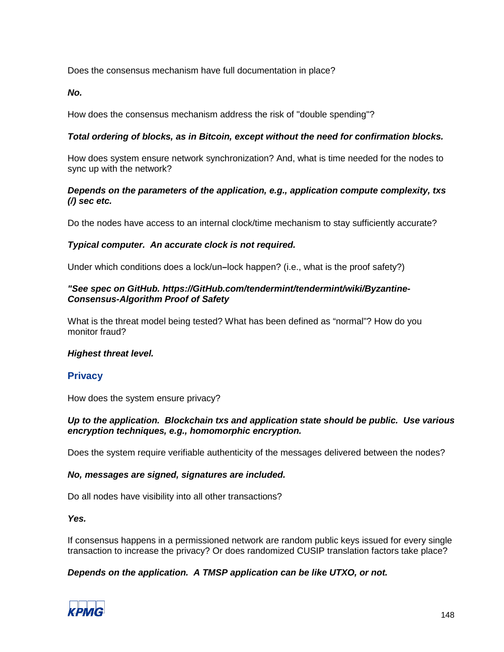Does the consensus mechanism have full documentation in place?

*No.*

How does the consensus mechanism address the risk of "double spending"?

# *Total ordering of blocks, as in Bitcoin, except without the need for confirmation blocks.*

How does system ensure network synchronization? And, what is time needed for the nodes to sync up with the network?

#### *Depends on the parameters of the application, e.g., application compute complexity, txs (/) sec etc.*

Do the nodes have access to an internal clock/time mechanism to stay sufficiently accurate?

# *Typical computer. An accurate clock is not required.*

Under which conditions does a lock/un*–*lock happen? (i.e., what is the proof safety?)

#### *"See spec on GitHub. https://GitHub.com/tendermint/tendermint/wiki/Byzantine-Consensus-Algorithm Proof of Safety*

What is the threat model being tested? What has been defined as "normal"? How do you monitor fraud?

#### *Highest threat level.*

# **Privacy**

How does the system ensure privacy?

# *Up to the application. Blockchain txs and application state should be public. Use various encryption techniques, e.g., homomorphic encryption.*

Does the system require verifiable authenticity of the messages delivered between the nodes?

# *No, messages are signed, signatures are included.*

Do all nodes have visibility into all other transactions?

*Yes.*

If consensus happens in a permissioned network are random public keys issued for every single transaction to increase the privacy? Or does randomized CUSIP translation factors take place?

# *Depends on the application. A TMSP application can be like UTXO, or not.*

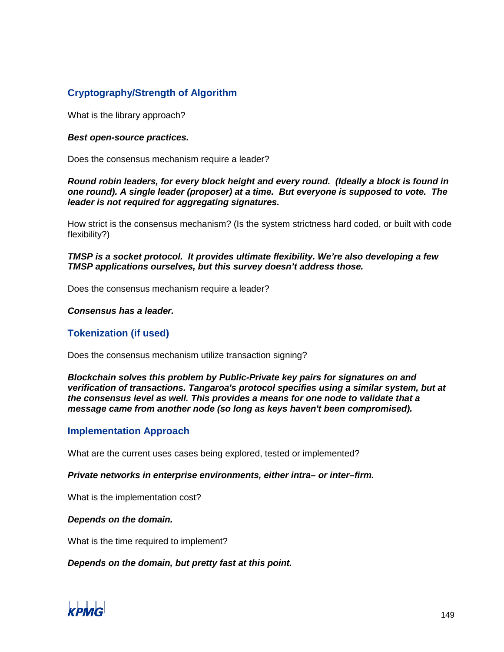# **Cryptography/Strength of Algorithm**

What is the library approach?

#### *Best open-source practices.*

Does the consensus mechanism require a leader?

#### *Round robin leaders, for every block height and every round. (Ideally a block is found in one round). A single leader (proposer) at a time. But everyone is supposed to vote. The leader is not required for aggregating signatures.*

How strict is the consensus mechanism? (Is the system strictness hard coded, or built with code flexibility?)

# *TMSP is a socket protocol. It provides ultimate flexibility. We're also developing a few TMSP applications ourselves, but this survey doesn't address those.*

Does the consensus mechanism require a leader?

#### *Consensus has a leader.*

# **Tokenization (if used)**

Does the consensus mechanism utilize transaction signing?

*Blockchain solves this problem by Public-Private key pairs for signatures on and verification of transactions. Tangaroa's protocol specifies using a similar system, but at the consensus level as well. This provides a means for one node to validate that a message came from another node (so long as keys haven't been compromised).*

# **Implementation Approach**

What are the current uses cases being explored, tested or implemented?

#### *Private networks in enterprise environments, either intra– or inter–firm.*

What is the implementation cost?

#### *Depends on the domain.*

What is the time required to implement?

*Depends on the domain, but pretty fast at this point.*

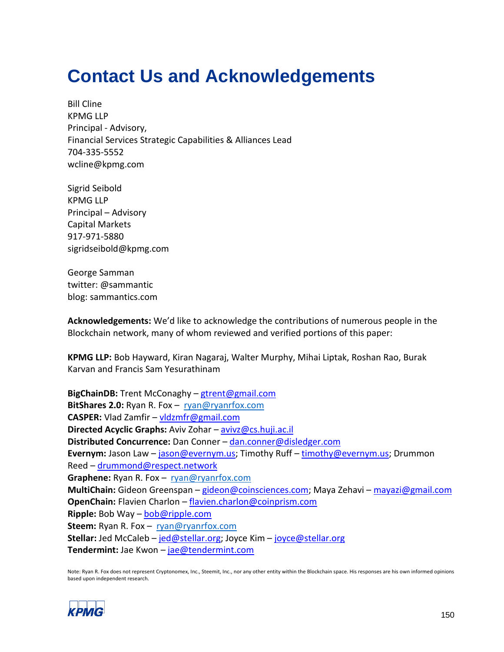# **Contact Us and Acknowledgements**

Bill Cline KPMG LLP Principal - Advisory, Financial Services Strategic Capabilities & Alliances Lead 704-335-5552 wcline@kpmg.com

Sigrid Seibold KPMG LLP Principal – Advisory Capital Markets 917-971-5880 sigridseibold@kpmg.com

George Samman twitter: @sammantic blog: sammantics.com

**Acknowledgements:** We'd like to acknowledge the contributions of numerous people in the Blockchain network, many of whom reviewed and verified portions of this paper:

**KPMG LLP:** Bob Hayward, Kiran Nagaraj, Walter Murphy, Mihai Liptak, Roshan Rao, Burak Karvan and Francis Sam Yesurathinam

**BigChainDB:** Trent McConaghy – [gtrent@gmail.com](mailto:gtrent@gmail.com)  **BitShares 2.0:** Ryan R. Fox – [ryan@ryanrfox.com](mailto:ryan@ryanrfox.com)  **CASPER:** Vlad Zamfir – [vldzmfr@gmail.com](mailto:vldzmfr@gmail.com) **Directed Acyclic Graphs:** Aviv Zohar – [avivz@cs.huji.ac.il](mailto:avivz@cs.huji.ac.il)  **Distributed Concurrence:** Dan Conner – [dan.conner@disledger.com](mailto:dan.conner@disledger.com) **Evernym:** Jason Law – [jason@evernym.us;](mailto:jason@evernym.us) Timothy Ruff – [timothy@evernym.us;](mailto:timothy@evernym.us) Drummon Reed – [drummond@respect.network](mailto:drummond@respect.network)  Graphene: Ryan R. Fox - ryan@ryanrfox.com **MultiChain:** Gideon Greenspan – [gideon@coinsciences.com;](mailto:gideon@coinsciences.com) Maya Zehavi – [mayazi@gmail.com](mailto:mayazi@gmail.com) **OpenChain:** Flavien Charlon – [flavien.charlon@coinprism.com](mailto:flavien.charlon@coinprism.com) **Ripple:** Bob Way – [bob@ripple.com](mailto:bob@ripple.com) **Steem:** Ryan R. Fox – [ryan@ryanrfox.com](mailto:ryan@ryanrfox.com) **Stellar:** Jed McCaleb – [jed@stellar.org;](mailto:jed@stellar.org) Joyce Kim – [joyce@stellar.org](mailto:joyce@stellar.org) **Tendermint:** Jae Kwon – [jae@tendermint.com](mailto:jae@tendermint.com)

Note: Ryan R. Fox does not represent Cryptonomex, Inc., Steemit, Inc., nor any other entity within the Blockchain space. His responses are his own informed opinions based upon independent research.